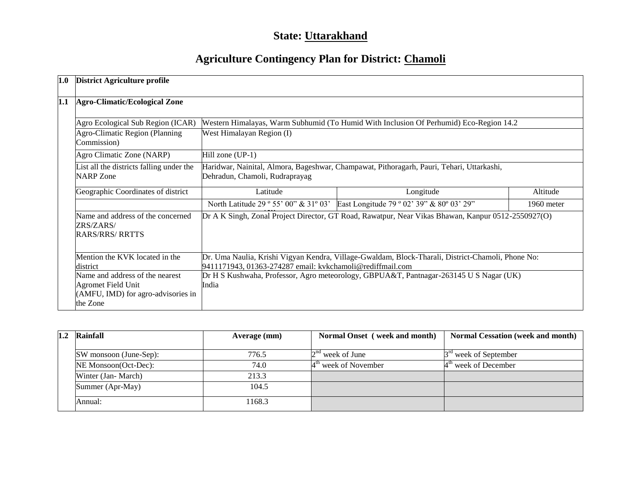# **State: Uttarakhand**

# **Agriculture Contingency Plan for District: Chamoli**

| 1.0                                                                                                                                                                                                        | <b>District Agriculture profile</b>                                      |                                                                                                                                                                |                                                                                        |              |  |  |  |
|------------------------------------------------------------------------------------------------------------------------------------------------------------------------------------------------------------|--------------------------------------------------------------------------|----------------------------------------------------------------------------------------------------------------------------------------------------------------|----------------------------------------------------------------------------------------|--------------|--|--|--|
| 1.1                                                                                                                                                                                                        | <b>Agro-Climatic/Ecological Zone</b>                                     |                                                                                                                                                                |                                                                                        |              |  |  |  |
|                                                                                                                                                                                                            | Agro Ecological Sub Region (ICAR)                                        |                                                                                                                                                                | Western Himalayas, Warm Subhumid (To Humid With Inclusion Of Perhumid) Eco-Region 14.2 |              |  |  |  |
|                                                                                                                                                                                                            | Agro-Climatic Region (Planning<br>Commission)                            | West Himalayan Region (I)                                                                                                                                      |                                                                                        |              |  |  |  |
|                                                                                                                                                                                                            | Agro Climatic Zone (NARP)                                                | Hill zone $(UP-1)$                                                                                                                                             |                                                                                        |              |  |  |  |
|                                                                                                                                                                                                            | List all the districts falling under the<br><b>NARP</b> Zone             | Haridwar, Nainital, Almora, Bageshwar, Champawat, Pithoragarh, Pauri, Tehari, Uttarkashi,<br>Dehradun, Chamoli, Rudraprayag                                    |                                                                                        |              |  |  |  |
|                                                                                                                                                                                                            | Geographic Coordinates of district                                       | Latitude                                                                                                                                                       | Longitude                                                                              | Altitude     |  |  |  |
|                                                                                                                                                                                                            |                                                                          | North Latitude 29 ° 55' 00" & 31° 03'                                                                                                                          | East Longitude 79 ° 02' 39" & 80° 03' 29"                                              | $1960$ meter |  |  |  |
|                                                                                                                                                                                                            | Name and address of the concerned<br>ZRS/ZARS/<br><b>RARS/RRS/ RRTTS</b> | Dr A K Singh, Zonal Project Director, GT Road, Rawatpur, Near Vikas Bhawan, Kanpur 0512-2550927(O)                                                             |                                                                                        |              |  |  |  |
|                                                                                                                                                                                                            | Mention the KVK located in the<br>district                               | Dr. Uma Naulia, Krishi Vigyan Kendra, Village-Gwaldam, Block-Tharali, District-Chamoli, Phone No:<br>9411171943, 01363-274287 email: kvkchamoli@rediffmail.com |                                                                                        |              |  |  |  |
| Name and address of the nearest<br>Dr H S Kushwaha, Professor, Agro meteorology, GBPUA&T, Pantnagar-263145 U S Nagar (UK)<br>Agromet Field Unit<br>India<br>(AMFU, IMD) for agro-advisories in<br>the Zone |                                                                          |                                                                                                                                                                |                                                                                        |              |  |  |  |

| 1.2 | Rainfall               | Average (mm) | Normal Onset (week and month) | <b>Normal Cessation (week and month)</b> |
|-----|------------------------|--------------|-------------------------------|------------------------------------------|
|     | SW monsoon (June-Sep): | 776.5        | $2nd$ week of June            | 3 <sup>rd</sup> week of September        |
|     | NE Monsoon(Oct-Dec):   | 74.0         | $4th$ week of November        | $4th$ week of December                   |
|     | Winter (Jan-March)     | 213.3        |                               |                                          |
|     | Summer (Apr-May)       | 104.5        |                               |                                          |
|     | Annual:                | 1168.3       |                               |                                          |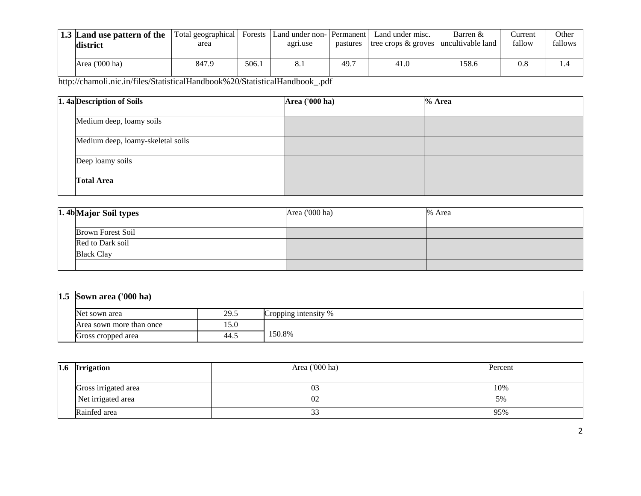| 1.3 Land use pattern of the<br>district | Total geographical  <br>area | Forests | Land under non- Permanent<br>agri.use | pastures | Land under misc.<br>tree crops $\&$ groves | Barren &<br>uncultivable land | ∴urrent<br>fallow | Other<br>fallows |
|-----------------------------------------|------------------------------|---------|---------------------------------------|----------|--------------------------------------------|-------------------------------|-------------------|------------------|
| Area ('000 ha)                          | 847.9                        | 506.1   | 8.1                                   | 49.7     | 41.0                                       | 158.6                         | 0.8               |                  |

| 1. 4a Description of Soils        | <b>Area</b> ('000 ha) | $%$ Area |
|-----------------------------------|-----------------------|----------|
|                                   |                       |          |
| Medium deep, loamy soils          |                       |          |
| Medium deep, loamy-skeletal soils |                       |          |
| Deep loamy soils                  |                       |          |
| <b>Total Area</b>                 |                       |          |

| 1.4b Major Soil types    | Area ('000 ha) | % Area |
|--------------------------|----------------|--------|
| <b>Brown Forest Soil</b> |                |        |
| Red to Dark soil         |                |        |
| <b>Black Clay</b>        |                |        |
|                          |                |        |

| $1.5$ Sown area ('000 ha) |      |                      |  |  |  |
|---------------------------|------|----------------------|--|--|--|
| Net sown area             | 29.5 | Cropping intensity % |  |  |  |
| Area sown more than once  | 15.0 |                      |  |  |  |
| Gross cropped area        | 44.5 | 150.8%               |  |  |  |

| 1.6 | <b>Irrigation</b>    | Area $(000 \text{ ha})$ | Percent |  |  |
|-----|----------------------|-------------------------|---------|--|--|
|     |                      |                         |         |  |  |
|     | Gross irrigated area | 03                      | 10%     |  |  |
|     | Net irrigated area   | 02                      | 5%      |  |  |
|     | Rainfed area         | ^^<br>∍<br>ັ            | 95%     |  |  |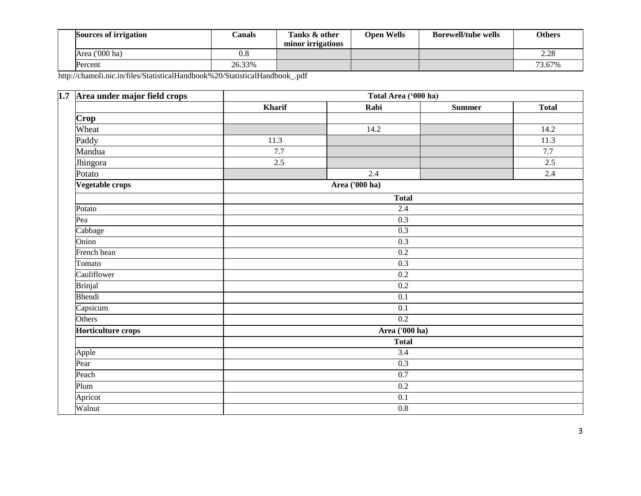| <b>Sources of irrigation</b> | $\cap$ anals | Tanks & other<br>minor irrigations | <b>Open Wells</b> | <b>Borewell/tube wells</b> | <b>Others</b> |
|------------------------------|--------------|------------------------------------|-------------------|----------------------------|---------------|
| Area ('000 ha)               | $_{\rm 0.8}$ |                                    |                   |                            | 2.28          |
| Percent                      | 26.33%       |                                    |                   |                            | 73.67%        |

| 1.7 Area under major field crops | Total Area ('000 ha) |                |               |              |  |  |  |  |
|----------------------------------|----------------------|----------------|---------------|--------------|--|--|--|--|
|                                  | Kharif               | Rabi           | <b>Summer</b> | <b>Total</b> |  |  |  |  |
| Crop                             |                      |                |               |              |  |  |  |  |
| Wheat                            |                      | 14.2           |               | 14.2         |  |  |  |  |
| Paddy                            | 11.3                 |                |               | 11.3         |  |  |  |  |
| Mandua                           | $7.7\,$              |                |               | $7.7\,$      |  |  |  |  |
| Jhingora                         | 2.5                  |                |               | 2.5          |  |  |  |  |
| Potato                           |                      | $2.4\,$        |               | 2.4          |  |  |  |  |
| Vegetable crops                  |                      | Area ('000 ha) |               |              |  |  |  |  |
|                                  |                      | Total          |               |              |  |  |  |  |
| Potato                           |                      | 2.4            |               |              |  |  |  |  |
| Pea                              | 0.3                  |                |               |              |  |  |  |  |
| Cabbage                          |                      |                |               |              |  |  |  |  |
| Onion                            | 0.3                  |                |               |              |  |  |  |  |
| French bean                      |                      | 0.2            |               |              |  |  |  |  |
| Tomato                           |                      | 0.3            |               |              |  |  |  |  |
| Cauliflower                      |                      | 0.2            |               |              |  |  |  |  |
| <b>Brinjal</b>                   |                      | 0.2            |               |              |  |  |  |  |
| Bhendi                           |                      | 0.1            |               |              |  |  |  |  |
| Capsicum                         |                      | 0.1            |               |              |  |  |  |  |
| Others                           |                      | 0.2            |               |              |  |  |  |  |
| Horticulture crops               |                      | Area ('000 ha) |               |              |  |  |  |  |
|                                  |                      | <b>Total</b>   |               |              |  |  |  |  |
| Apple                            |                      | 3.4            |               |              |  |  |  |  |
| Pear                             | 0.3                  |                |               |              |  |  |  |  |
| Peach                            |                      | 0.7            |               |              |  |  |  |  |
| Plum                             |                      | 0.2            |               |              |  |  |  |  |
| Apricot                          |                      | 0.1            |               |              |  |  |  |  |
| Walnut                           |                      | $0.8\,$        |               |              |  |  |  |  |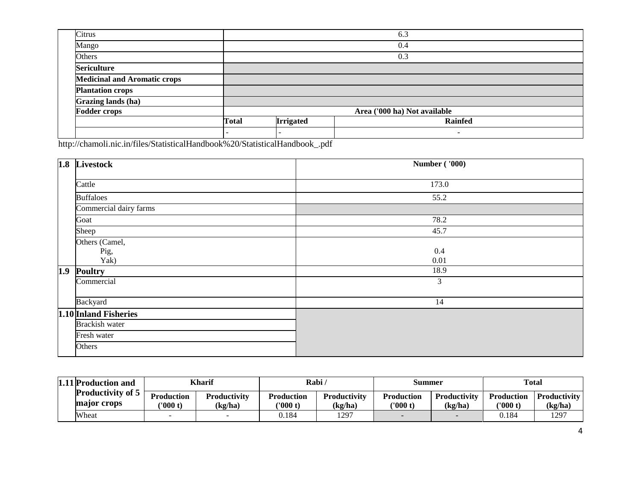| Citrus                              |              |                              | 6.3            |  |  |  |  |
|-------------------------------------|--------------|------------------------------|----------------|--|--|--|--|
| Mango                               |              |                              | 0.4            |  |  |  |  |
| Others                              |              | 0.3                          |                |  |  |  |  |
| <b>Sericulture</b>                  |              |                              |                |  |  |  |  |
| <b>Medicinal and Aromatic crops</b> |              |                              |                |  |  |  |  |
| <b>Plantation crops</b>             |              |                              |                |  |  |  |  |
| Grazing lands (ha)                  |              |                              |                |  |  |  |  |
| <b>Fodder crops</b>                 |              | Area ('000 ha) Not available |                |  |  |  |  |
|                                     | <b>Total</b> | <b>Irrigated</b>             | <b>Rainfed</b> |  |  |  |  |
|                                     |              |                              | ۰              |  |  |  |  |

| 1.8 Livestock          | <b>Number ('000)</b> |
|------------------------|----------------------|
| Cattle                 | 173.0                |
| <b>Buffaloes</b>       | 55.2                 |
| Commercial dairy farms |                      |
| Goat                   | 78.2                 |
| Sheep                  | 45.7                 |
| Others (Camel,         |                      |
| Pig,                   | 0.4                  |
| Yak)                   | 0.01                 |
| 1.9 Poultry            | 18.9                 |
| Commercial             | $\mathfrak{Z}$       |
|                        |                      |
| Backyard               | 14                   |
| 1.10 Inland Fisheries  |                      |
| Brackish water         |                      |
| Fresh water            |                      |
| Others                 |                      |

| 1.11 Production and                     | Kharif                 |                                | Rabi $\prime$                 |                                | Summer                        |                                | <b>Total</b>                  |                                |
|-----------------------------------------|------------------------|--------------------------------|-------------------------------|--------------------------------|-------------------------------|--------------------------------|-------------------------------|--------------------------------|
| <b>Productivity of 5</b><br>major crops | Production<br>('000 t) | <b>Productivity</b><br>(kg/ha) | <b>Production</b><br>('000 t) | <b>Productivity</b><br>(kg/ha) | <b>Production</b><br>('000 t) | <b>Productivity</b><br>(kg/ha) | <b>Production</b><br>('000 t) | <b>Productivity</b><br>(kg/ha) |
| Wheat                                   |                        |                                | 0.184                         | 1297                           |                               |                                | ).184                         | 1297                           |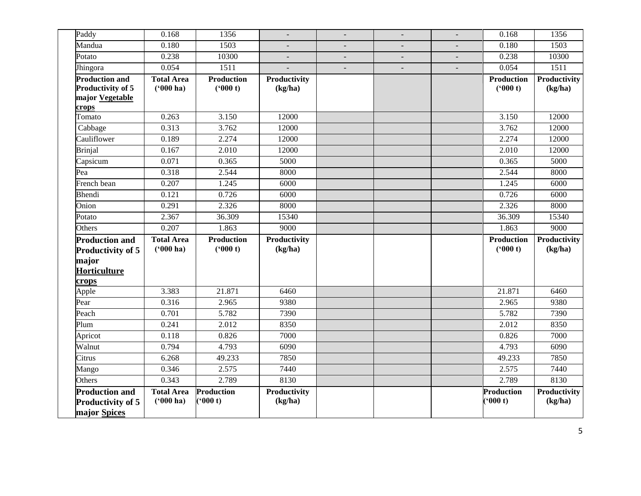| Paddy                    | 0.168             | 1356              |              | $\blacksquare$           | $\overline{\phantom{a}}$ | $\blacksquare$ | 0.168             | 1356         |
|--------------------------|-------------------|-------------------|--------------|--------------------------|--------------------------|----------------|-------------------|--------------|
| Mandua                   | 0.180             | 1503              |              | $\overline{\phantom{a}}$ | $\overline{\phantom{a}}$ | $\blacksquare$ | 0.180             | 1503         |
| Potato                   | 0.238             | 10300             |              | $\overline{\phantom{a}}$ | $\overline{\phantom{a}}$ | $\blacksquare$ | 0.238             | 10300        |
| Jhingora                 | 0.054             | 1511              |              | $\frac{1}{2}$            | $\overline{a}$           |                | 0.054             | 1511         |
| <b>Production and</b>    | <b>Total Area</b> | <b>Production</b> | Productivity |                          |                          |                | <b>Production</b> | Productivity |
| Productivity of 5        | $(900)$ ha)       | (900 t)           | (kg/ha)      |                          |                          |                | (900 t)           | (kg/ha)      |
| major Vegetable<br>crops |                   |                   |              |                          |                          |                |                   |              |
| Tomato                   | 0.263             | 3.150             | 12000        |                          |                          |                | 3.150             | 12000        |
| Cabbage                  | 0.313             | 3.762             | 12000        |                          |                          |                | 3.762             | 12000        |
| Cauliflower              | 0.189             | 2.274             | 12000        |                          |                          |                | 2.274             | 12000        |
| <b>Brinjal</b>           | 0.167             | 2.010             | 12000        |                          |                          |                | 2.010             | 12000        |
| Capsicum                 | 0.071             | 0.365             | 5000         |                          |                          |                | 0.365             | 5000         |
| Pea                      | 0.318             | 2.544             | 8000         |                          |                          |                | 2.544             | 8000         |
| French bean              | 0.207             | 1.245             | 6000         |                          |                          |                | 1.245             | 6000         |
| Bhendi                   | 0.121             | 0.726             | 6000         |                          |                          |                | 0.726             | 6000         |
| Onion                    | 0.291             | 2.326             | 8000         |                          |                          |                | 2.326             | 8000         |
| Potato                   | 2.367             | 36.309            | 15340        |                          |                          |                | 36.309            | 15340        |
| Others                   | 0.207             | 1.863             | 9000         |                          |                          |                | 1.863             | 9000         |
| <b>Production and</b>    | <b>Total Area</b> | <b>Production</b> | Productivity |                          |                          |                | <b>Production</b> | Productivity |
| <b>Productivity of 5</b> | $(900)$ ha)       | ('000 t)          | (kg/ha)      |                          |                          |                | (900 t)           | (kg/ha)      |
| major                    |                   |                   |              |                          |                          |                |                   |              |
| Horticulture             |                   |                   |              |                          |                          |                |                   |              |
| crops                    |                   |                   |              |                          |                          |                |                   |              |
| Apple                    | 3.383             | 21.871            | 6460         |                          |                          |                | 21.871            | 6460         |
| Pear                     | 0.316             | 2.965             | 9380         |                          |                          |                | 2.965             | 9380         |
| Peach                    | 0.701             | 5.782             | 7390         |                          |                          |                | 5.782             | 7390         |
| Plum                     | 0.241             | 2.012             | 8350         |                          |                          |                | 2.012             | 8350         |
| Apricot                  | 0.118             | 0.826             | 7000         |                          |                          |                | 0.826             | 7000         |
| Walnut                   | 0.794             | 4.793             | 6090         |                          |                          |                | 4.793             | 6090         |
| Citrus                   | 6.268             | 49.233            | 7850         |                          |                          |                | 49.233            | 7850         |
| Mango                    | 0.346             | 2.575             | 7440         |                          |                          |                | 2.575             | 7440         |
| Others                   | 0.343             | 2.789             | 8130         |                          |                          |                | 2.789             | 8130         |
| <b>Production and</b>    | <b>Total Area</b> | Production        | Productivity |                          |                          |                | Production        | Productivity |
| Productivity of 5        | $(900)$ ha)       | (900 t)           | (kg/ha)      |                          |                          |                | (600 t)           | (kg/ha)      |
| major Spices             |                   |                   |              |                          |                          |                |                   |              |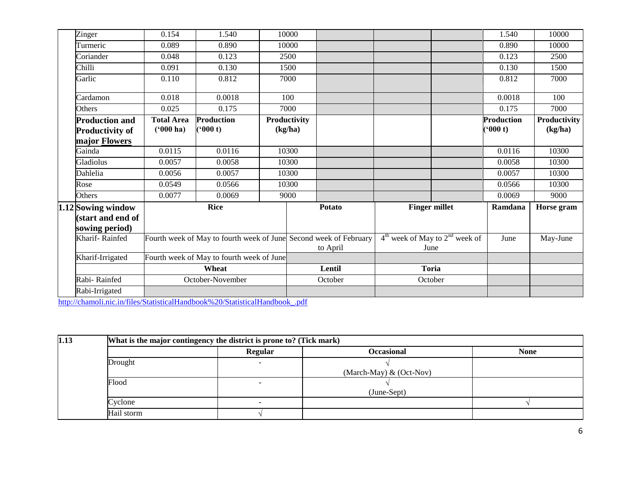| Zinger                 | 0.154             | 1.540                                                             | 10000        |               |                      |                                    | 1.540             | 10000        |
|------------------------|-------------------|-------------------------------------------------------------------|--------------|---------------|----------------------|------------------------------------|-------------------|--------------|
| Turmeric               | 0.089             | 0.890                                                             | 10000        |               |                      |                                    | 0.890             | 10000        |
| Coriander              | 0.048             | 0.123                                                             | 2500         |               |                      |                                    | 0.123             | 2500         |
| Chilli                 | 0.091             | 0.130                                                             | 1500         |               |                      |                                    | 0.130             | 1500         |
| Garlic                 | 0.110             | 0.812                                                             | 7000         |               |                      |                                    | 0.812             | 7000         |
|                        |                   |                                                                   |              |               |                      |                                    |                   |              |
| Cardamon               | 0.018             | 0.0018                                                            | 100          |               |                      |                                    | 0.0018            | 100          |
| Others                 | 0.025             | 0.175                                                             | 7000         |               |                      |                                    | 0.175             | 7000         |
| <b>Production and</b>  | <b>Total Area</b> | <b>Production</b>                                                 | Productivity |               |                      |                                    | <b>Production</b> | Productivity |
| <b>Productivity of</b> | $(900)$ ha)       | (900 t)                                                           | (kg/ha)      |               |                      |                                    | (900 t)           | (kg/ha)      |
| major Flowers          |                   |                                                                   |              |               |                      |                                    |                   |              |
| Gainda                 | 0.0115            | 0.0116                                                            | 10300        |               |                      |                                    | 0.0116            | 10300        |
| Gladiolus              | 0.0057            | 0.0058                                                            | 10300        |               |                      |                                    | 0.0058            | 10300        |
| Dahlelia               | 0.0056            | 0.0057                                                            | 10300        |               |                      |                                    | 0.0057            | 10300        |
| Rose                   | 0.0549            | 0.0566                                                            | 10300        |               |                      |                                    | 0.0566            | 10300        |
| Others                 | 0.0077            | 0.0069                                                            | 9000         |               |                      |                                    | 0.0069            | 9000         |
| 1.12 Sowing window     |                   | <b>Rice</b>                                                       |              | <b>Potato</b> | <b>Finger millet</b> |                                    | Ramdana           | Horse gram   |
| (start and end of      |                   |                                                                   |              |               |                      |                                    |                   |              |
| sowing period)         |                   |                                                                   |              |               |                      |                                    |                   |              |
| Kharif-Rainfed         |                   | Fourth week of May to fourth week of June Second week of February |              |               |                      | $4th$ week of May to $2nd$ week of | June              | May-June     |
|                        |                   |                                                                   |              | to April      | June                 |                                    |                   |              |
| Kharif-Irrigated       |                   | Fourth week of May to fourth week of June                         |              |               |                      |                                    |                   |              |
|                        |                   | Wheat                                                             |              | Lentil        |                      | <b>Toria</b>                       |                   |              |
| Rabi-Rainfed           |                   | October-November                                                  |              | October       | October              |                                    |                   |              |
| Rabi-Irrigated         |                   |                                                                   |              |               |                      |                                    |                   |              |

| 1.13 |            | What is the major contingency the district is prone to? (Tick mark) |                           |             |  |  |  |  |  |  |
|------|------------|---------------------------------------------------------------------|---------------------------|-------------|--|--|--|--|--|--|
|      |            | Regular                                                             | <b>Occasional</b>         | <b>None</b> |  |  |  |  |  |  |
|      | Drought    |                                                                     |                           |             |  |  |  |  |  |  |
|      |            |                                                                     | (March-May) $& (Oct-Nov)$ |             |  |  |  |  |  |  |
|      | Flood      |                                                                     |                           |             |  |  |  |  |  |  |
|      |            |                                                                     | (June-Sept)               |             |  |  |  |  |  |  |
|      | Cyclone    |                                                                     |                           |             |  |  |  |  |  |  |
|      | Hail storm |                                                                     |                           |             |  |  |  |  |  |  |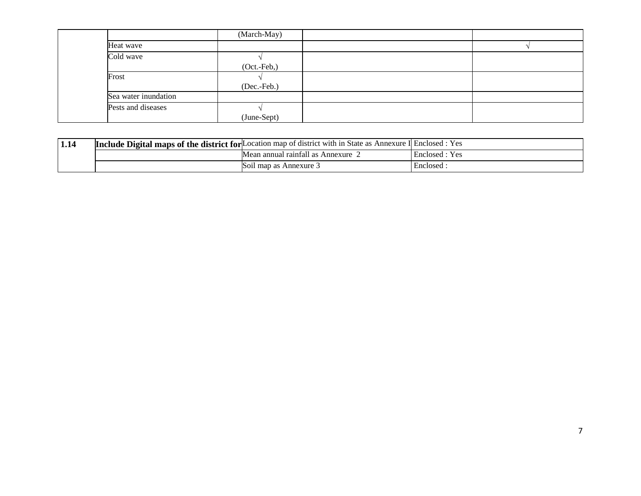|                      | (March-May) |  |
|----------------------|-------------|--|
| Heat wave            |             |  |
| Cold wave            |             |  |
|                      | (Oct.-Feb,) |  |
| Frost                |             |  |
|                      | (Dec.-Feb.) |  |
| Sea water inundation |             |  |
| Pests and diseases   |             |  |
|                      | (June-Sept) |  |

| 1.14 |                        | <b>Include Digital maps of the district for Location map of district with in State as Annexure I Enclosed : Yes</b> |                   |  |  |  |
|------|------------------------|---------------------------------------------------------------------------------------------------------------------|-------------------|--|--|--|
|      |                        | Mean annual rainfall as Annexure                                                                                    | Enclosed<br>· Yes |  |  |  |
|      | Soil map as Annexure 3 | Enclosed                                                                                                            |                   |  |  |  |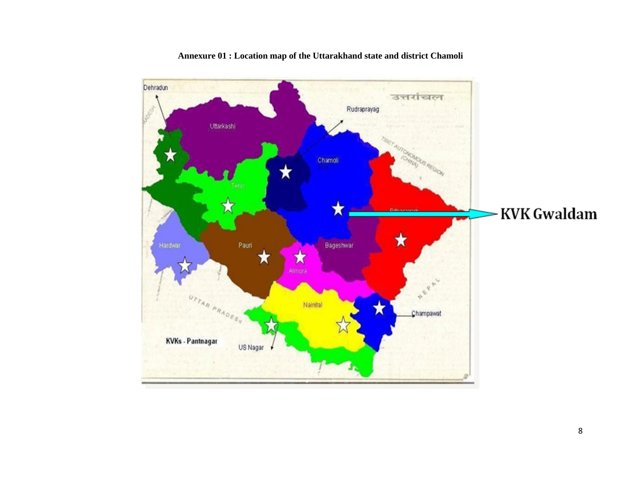

**Annexure 01 : Location map of the Uttarakhand state and district Chamoli**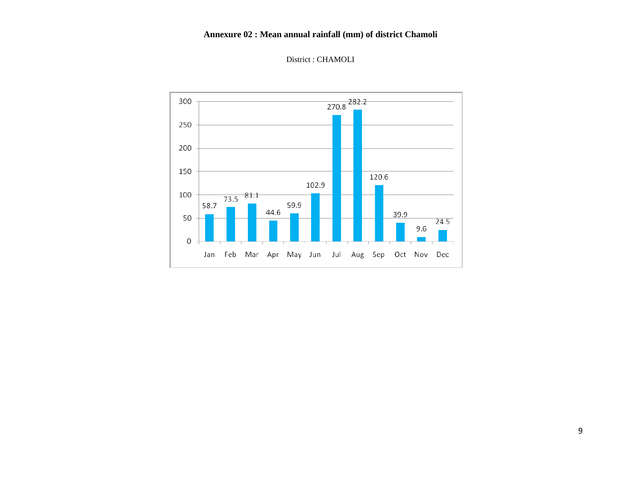### **Annexure 02 : Mean annual rainfall (mm) of district Chamoli**



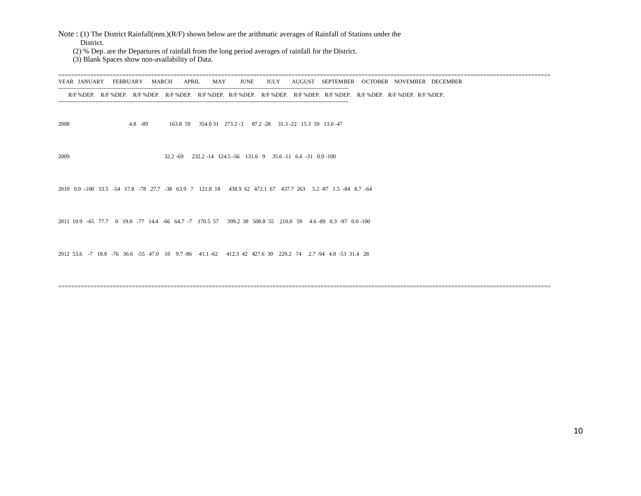Note : (1) The District Rainfall(mm.)(R/F) shown below are the arithmatic averages of Rainfall of Stations under the District.

(2) % Dep. are the Departures of rainfall from the long period averages of rainfall for the District.

(3) Blank Spaces show non-availability of Data.

========================================================================================================================================================== YEAR JANUARY FEBRUARY MARCH APRIL MAY JUNE JULY AUGUST SEPTEMBER OCTOBER NOVEMBER DECEMBER ---------------------------------------------------------------------------------------------------------------------------------------------------------- R/F %DEP. R/F %DEP. R/F %DEP. R/F %DEP. R/F %DEP. R/F %DEP. R/F %DEP. R/F %DEP. R/F %DEP. R/F %DEP. R/F %DEP. R/F %DEP. ---------------------------------------------------------------------------------------------------------------------------------------------------------- 2008 4.8 -89 163.8 59 354.0 31 273.2 -3 87.2 -28 31.3 -22 15.3 59 13.0 -47 2009 32.2 -69 232.2 -14 124.5 -56 131.6 9 35.6 -11 6.6 -31 0.0 -100 2010 0.0 -100 33.5 -54 17.8 -78 27.7 -38 63.9 7 121.8 18 438.9 62 472.1 67 437.7 263 5.2 -87 1.5 -84 8.7 -64 2011 19.9 -65 77.7 0 19.0 -77 14.4 -66 64.7 -7 170.5 57 399.2 38 508.8 55 210.0 59 4.6 -89 0.3 -97 0.0 -100 2012 53.6 -7 18.8 -76 36.6 -55 47.0 10 9.7 -86 41.1 -62 412.3 42 427.6 30 229.2 74 2.7 -94 4.8 -53 31.4 28

==========================================================================================================================================================

10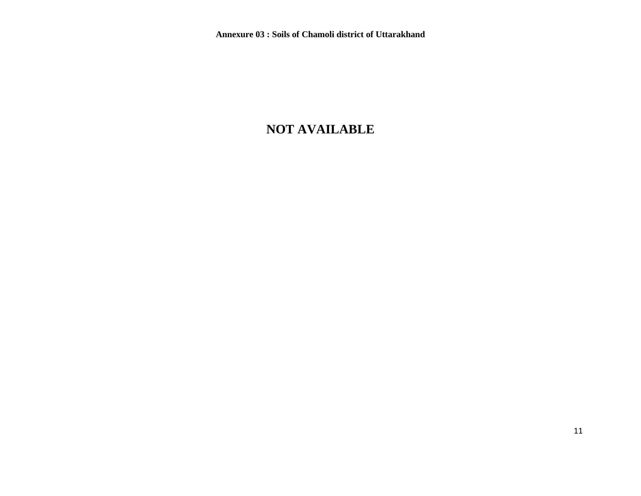# **NOT AVAILABLE**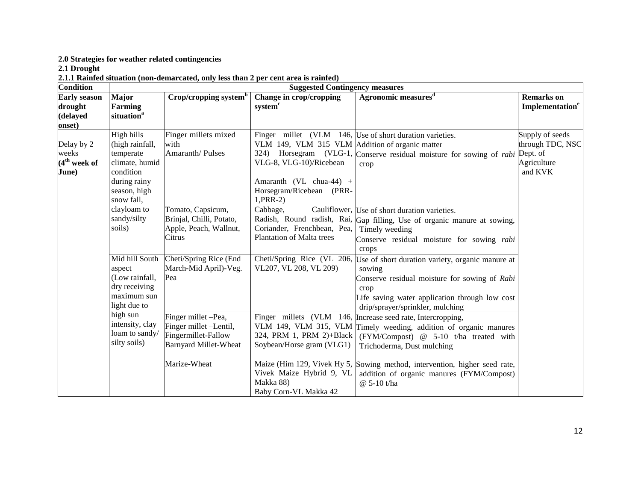**2.0 Strategies for weather related contingencies** 

**2.1 Drought** 

**2.1.1 Rainfed situation (non-demarcated, only less than 2 per cent area is rainfed)**

| <b>Condition</b>                                     | <b>Suggested Contingency measures</b>                                                                                   |                                                                                                      |                                                                                                                                                  |                                                                                                                                                                                                                                      |                                                               |  |  |
|------------------------------------------------------|-------------------------------------------------------------------------------------------------------------------------|------------------------------------------------------------------------------------------------------|--------------------------------------------------------------------------------------------------------------------------------------------------|--------------------------------------------------------------------------------------------------------------------------------------------------------------------------------------------------------------------------------------|---------------------------------------------------------------|--|--|
| <b>Early season</b><br>drought<br>(delayed<br>onset) | Major<br>Farming<br>situation <sup>a</sup>                                                                              | Crop/cropping system <sup>b</sup>                                                                    | <b>Change in crop/cropping</b><br>system <sup>c</sup>                                                                                            | Agronomic measures <sup>d</sup>                                                                                                                                                                                                      | <b>Remarks</b> on<br>Implementation <sup>e</sup>              |  |  |
| Delay by 2<br>weeks<br>$(4th$ week of<br>June)       | High hills<br>(high rainfall,<br>temperate<br>climate, humid<br>condition<br>during rainy<br>season, high<br>snow fall, | Finger millets mixed<br>with<br>Amaranth/Pulses                                                      | VLM 149, VLM 315 VLM Addition of organic matter<br>VLG-8, VLG-10)/Ricebean<br>Amaranth (VL chua-44) +<br>Horsegram/Ricebean (PRR-<br>$1, PRR-2)$ | Finger millet (VLM 146, Use of short duration varieties.<br>324) Horsegram (VLG-1, Conserve residual moisture for sowing of <i>rabi</i> Dept. of<br>crop                                                                             | Supply of seeds<br>through TDC, NSC<br>Agriculture<br>and KVK |  |  |
|                                                      | clayloam to<br>sandy/silty<br>soils)                                                                                    | Tomato, Capsicum,<br>Brinjal, Chilli, Potato,<br>Apple, Peach, Wallnut,<br>Citrus                    | Cabbage,<br>Coriander, Frenchbean, Pea,<br>Plantation of Malta trees                                                                             | Cauliflower, Use of short duration varieties.<br>Radish, Round radish, Rai, Gap filling, Use of organic manure at sowing,<br>Timely weeding<br>Conserve residual moisture for sowing rabi<br>crops                                   |                                                               |  |  |
|                                                      | Mid hill South<br>aspect<br>(Low rainfall,<br>dry receiving<br>maximum sun<br>light due to                              | Cheti/Spring Rice (End<br>March-Mid April)-Veg.<br>Pea                                               | VL207, VL 208, VL 209)                                                                                                                           | Cheti/Spring Rice (VL 206, Use of short duration variety, organic manure at<br>sowing<br>Conserve residual moisture for sowing of Rabi<br>crop<br>Life saving water application through low cost<br>drip/sprayer/sprinkler, mulching |                                                               |  |  |
|                                                      | high sun<br>intensity, clay<br>loam to sandy/<br>silty soils)                                                           | Finger millet -Pea,<br>Finger millet -Lentil,<br>Fingermillet-Fallow<br><b>Barnyard Millet-Wheat</b> | 324, PRM 1, PRM 2)+Black<br>Soybean/Horse gram (VLG1)                                                                                            | Finger millets (VLM 146, Increase seed rate, Intercropping,<br>VLM 149, VLM 315, VLM Timely weeding, addition of organic manures<br>(FYM/Compost) @ 5-10 t/ha treated with<br>Trichoderma, Dust mulching                             |                                                               |  |  |
|                                                      |                                                                                                                         | Marize-Wheat                                                                                         | Vivek Maize Hybrid 9, VL<br>Makka 88)<br>Baby Corn-VL Makka 42                                                                                   | Maize (Him 129, Vivek Hy 5, Sowing method, intervention, higher seed rate,<br>addition of organic manures (FYM/Compost)<br>@ 5-10 t/ha                                                                                               |                                                               |  |  |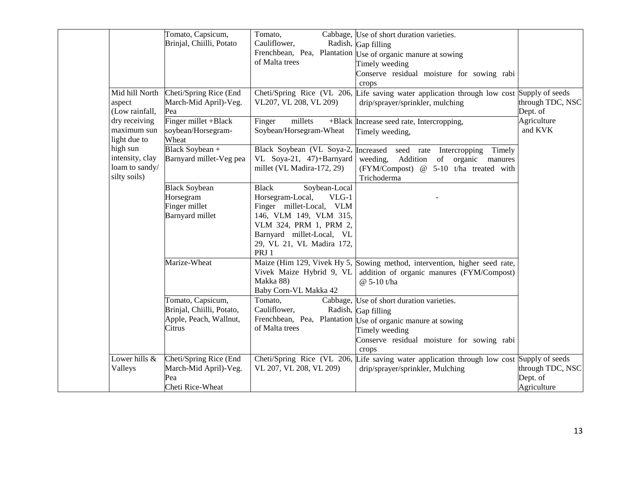|                 | Tomato, Capsicum,         | Tomato,                             | Cabbage, Use of short duration varieties.                                                 |                  |
|-----------------|---------------------------|-------------------------------------|-------------------------------------------------------------------------------------------|------------------|
|                 | Brinjal, Chiilli, Potato  | Cauliflower,                        | Radish, Gap filling                                                                       |                  |
|                 |                           |                                     | Frenchbean, Pea, Plantation Use of organic manure at sowing                               |                  |
|                 |                           | of Malta trees                      | Timely weeding                                                                            |                  |
|                 |                           |                                     | Conserve residual moisture for sowing rabi                                                |                  |
|                 |                           |                                     | crops                                                                                     |                  |
| Mid hill North  | Cheti/Spring Rice (End    |                                     | Cheti/Spring Rice (VL 206, Life saving water application through low cost Supply of seeds |                  |
| aspect          | March-Mid April)-Veg.     | VL207, VL 208, VL 209)              | drip/sprayer/sprinkler, mulching                                                          | through TDC, NSC |
| (Low rainfall,  | Pea                       |                                     |                                                                                           | Dept. of         |
| dry receiving   | Finger millet +Black      | Finger<br>millets                   |                                                                                           | Agriculture      |
| maximum sun     | soybean/Horsegram-        | Soybean/Horsegram-Wheat             | +Black Increase seed rate, Intercropping,                                                 | and KVK          |
| light due to    | Wheat                     |                                     | Timely weeding,                                                                           |                  |
| high sun        | Black Soybean +           | Black Soybean (VL Soya-2, Increased |                                                                                           |                  |
| intensity, clay |                           |                                     | Timely<br>seed rate Intercropping                                                         |                  |
| loam to sandy/  | Barnyard millet-Veg pea   | VL Soya-21, 47)+Barnyard            | weeding,<br>Addition<br>of organic manures                                                |                  |
| silty soils)    |                           | millet (VL Madira-172, 29)          | (FYM/Compost) @ 5-10 t/ha treated with                                                    |                  |
|                 |                           |                                     | Trichoderma                                                                               |                  |
|                 | <b>Black Soybean</b>      | <b>Black</b><br>Soybean-Local       |                                                                                           |                  |
|                 | Horsegram                 | Horsegram-Local,<br>$VLG-1$         |                                                                                           |                  |
|                 | Finger millet             | Finger millet-Local, VLM            |                                                                                           |                  |
|                 | Barnyard millet           | 146, VLM 149, VLM 315,              |                                                                                           |                  |
|                 |                           | VLM 324, PRM 1, PRM 2,              |                                                                                           |                  |
|                 |                           | Barnyard millet-Local, VL           |                                                                                           |                  |
|                 |                           | 29, VL 21, VL Madira 172,           |                                                                                           |                  |
|                 |                           | PRJ 1                               |                                                                                           |                  |
|                 | Marize-Wheat              |                                     | Maize (Him 129, Vivek Hy 5, Sowing method, intervention, higher seed rate,                |                  |
|                 |                           | Vivek Maize Hybrid 9, VL            | addition of organic manures (FYM/Compost)                                                 |                  |
|                 |                           | Makka 88)                           | @ 5-10 t/ha                                                                               |                  |
|                 |                           | Baby Corn-VL Makka 42               |                                                                                           |                  |
|                 | Tomato, Capsicum,         | Tomato,                             | Cabbage, Use of short duration varieties.                                                 |                  |
|                 | Brinjal, Chiilli, Potato, | Cauliflower,                        | Radish, Gap filling                                                                       |                  |
|                 | Apple, Peach, Wallnut,    |                                     | Frenchbean, Pea, Plantation Use of organic manure at sowing                               |                  |
|                 | Citrus                    | of Malta trees                      | Timely weeding                                                                            |                  |
|                 |                           |                                     | Conserve residual moisture for sowing rabi                                                |                  |
|                 |                           |                                     | crops                                                                                     |                  |
| Lower hills &   | Cheti/Spring Rice (End    |                                     | Cheti/Spring Rice (VL 206, Life saving water application through low cost Supply of seeds |                  |
| Valleys         | March-Mid April)-Veg.     | VL 207, VL 208, VL 209)             | drip/sprayer/sprinkler, Mulching                                                          | through TDC, NSC |
|                 | Pea                       |                                     |                                                                                           | Dept. of         |
|                 | Cheti Rice-Wheat          |                                     |                                                                                           | Agriculture      |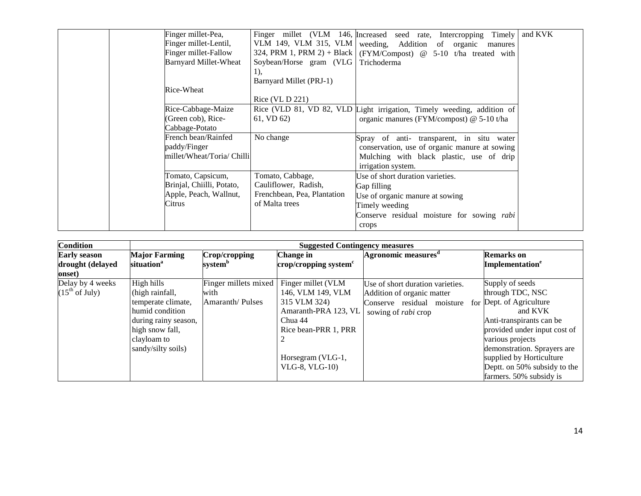| Finger millet-Pea,<br>Finger millet-Lentil,                                        |                                                                                           | Finger millet (VLM 146, Increased seed rate, Intercropping Timely<br>VLM 149, VLM 315, VLM   weeding, Addition of organic manures                            | and KVK |
|------------------------------------------------------------------------------------|-------------------------------------------------------------------------------------------|--------------------------------------------------------------------------------------------------------------------------------------------------------------|---------|
| Finger millet-Fallow<br><b>Barnyard Millet-Wheat</b>                               | Soybean/Horse gram (VLG Trichoderma<br>1),                                                | 324, PRM 1, PRM 2) + Black   (FYM/Compost) @ 5-10 t/ha treated with                                                                                          |         |
| Rice-Wheat                                                                         | Barnyard Millet (PRJ-1)<br>Rice (VL D 221)                                                |                                                                                                                                                              |         |
| Rice-Cabbage-Maize<br>(Green cob), Rice-<br>Cabbage-Potato                         | 61, VD 62)                                                                                | Rice (VLD 81, VD 82, VLD Light irrigation, Timely weeding, addition of<br>organic manures (FYM/compost) @ 5-10 t/ha                                          |         |
| French bean/Rainfed<br>paddy/Finger<br>millet/Wheat/Toria/ Chilli                  | No change                                                                                 | Spray of anti- transparent, in situ water<br>conservation, use of organic manure at sowing<br>Mulching with black plastic, use of drip<br>irrigation system. |         |
| Tomato, Capsicum,<br>Brinjal, Chiilli, Potato,<br>Apple, Peach, Wallnut,<br>Citrus | Tomato, Cabbage,<br>Cauliflower, Radish,<br>Frenchbean, Pea, Plantation<br>of Malta trees | Use of short duration varieties.<br>Gap filling<br>Use of organic manure at sowing<br>Timely weeding                                                         |         |
|                                                                                    |                                                                                           | Conserve residual moisture for sowing <i>rabi</i><br>crops                                                                                                   |         |

| <b>Condition</b>                                       | <b>Suggested Contingency measures</b>                                                                                                                  |                                                 |                                                                                                                                                           |                                                                                                                            |                                                                                                                                                                                                                                                                                  |
|--------------------------------------------------------|--------------------------------------------------------------------------------------------------------------------------------------------------------|-------------------------------------------------|-----------------------------------------------------------------------------------------------------------------------------------------------------------|----------------------------------------------------------------------------------------------------------------------------|----------------------------------------------------------------------------------------------------------------------------------------------------------------------------------------------------------------------------------------------------------------------------------|
| <b>Early season</b><br>drought (delayed<br>onset)      | <b>Major Farming</b><br>situation <sup>a</sup>                                                                                                         | Crop/cropping<br>system <sup>b</sup>            | <b>Change in</b><br>$\mathbf{crop/c}$ ropping system $\mathbf{c}$                                                                                         | Agronomic measures <sup>a</sup>                                                                                            | <b>Remarks</b> on<br>Implementation <sup>e</sup>                                                                                                                                                                                                                                 |
| Delay by 4 weeks<br>$(15^{\text{th}} \text{ of July})$ | High hills<br>(high rainfall,<br>temperate climate,<br>humid condition<br>during rainy season,<br>high snow fall,<br>clayloam to<br>sandy/silty soils) | Finger millets mixed<br>with<br>Amaranth/Pulses | Finger millet (VLM<br>146, VLM 149, VLM<br>315 VLM 324)<br>Amaranth-PRA 123, VL<br>Chua 44<br>Rice bean-PRR 1, PRR<br>Horsegram (VLG-1,<br>VLG-8, VLG-10) | Use of short duration varieties.<br>Addition of organic matter<br>Conserve residual moisture<br>sowing of <i>rabi</i> crop | Supply of seeds<br>through TDC, NSC<br>for Dept. of Agriculture<br>and KVK<br>Anti-transpirants can be<br>provided under input cost of<br>various projects<br>demonstration. Sprayers are<br>supplied by Horticulture<br>Deptt. on 50% subsidy to the<br>farmers. 50% subsidy is |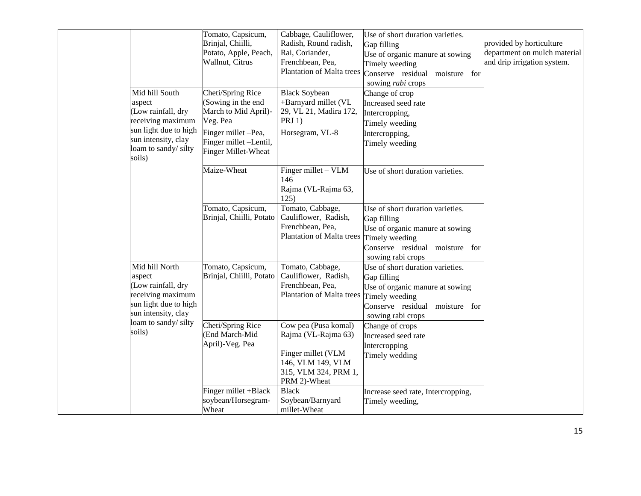|                                                                                                                                                       | Tomato, Capsicum,<br>Brinjal, Chiilli,<br>Potato, Apple, Peach,<br>Wallnut, Citrus                                                                                      | Cabbage, Cauliflower,<br>Radish, Round radish,<br>Rai, Coriander,<br>Frenchbean, Pea,<br>Plantation of Malta trees             | Use of short duration varieties.<br>Gap filling<br>Use of organic manure at sowing<br>Timely weeding<br>Conserve residual moisture for<br>sowing rabi crops | provided by horticulture<br>department on mulch material<br>and drip irrigation system. |
|-------------------------------------------------------------------------------------------------------------------------------------------------------|-------------------------------------------------------------------------------------------------------------------------------------------------------------------------|--------------------------------------------------------------------------------------------------------------------------------|-------------------------------------------------------------------------------------------------------------------------------------------------------------|-----------------------------------------------------------------------------------------|
| Mid hill South<br>aspect<br>(Low rainfall, dry<br>receiving maximum<br>sun light due to high<br>sun intensity, clay<br>loam to sandy/ silty<br>soils) | Cheti/Spring Rice<br>(Sowing in the end<br>March to Mid April)-<br>Veg. Pea<br>$\overline{\text{Finger}}$ millet -Pea,<br>Finger millet -Lentil,<br>Finger Millet-Wheat | <b>Black Soybean</b><br>+Barnyard millet (VL<br>29, VL 21, Madira 172,<br>PRJ $1$ )<br>Horsegram, VL-8                         | Change of crop<br>Increased seed rate<br>Intercropping,<br>Timely weeding<br>Intercropping,<br>Timely weeding                                               |                                                                                         |
|                                                                                                                                                       | Maize-Wheat                                                                                                                                                             | Finger millet - VLM<br>146<br>Rajma (VL-Rajma 63,<br>125)                                                                      | Use of short duration varieties.                                                                                                                            |                                                                                         |
|                                                                                                                                                       | Tomato, Capsicum,<br>Brinjal, Chiilli, Potato                                                                                                                           | Tomato, Cabbage,<br>Cauliflower, Radish,<br>Frenchbean, Pea,<br>Plantation of Malta trees                                      | Use of short duration varieties.<br>Gap filling<br>Use of organic manure at sowing<br>Timely weeding<br>Conserve residual moisture for<br>sowing rabi crops |                                                                                         |
| Mid hill North<br>aspect<br>(Low rainfall, dry<br>receiving maximum<br>sun light due to high<br>sun intensity, clay                                   | Tomato, Capsicum,<br>Brinjal, Chiilli, Potato                                                                                                                           | Tomato, Cabbage,<br>Cauliflower, Radish,<br>Frenchbean, Pea,<br>Plantation of Malta trees                                      | Use of short duration varieties.<br>Gap filling<br>Use of organic manure at sowing<br>Timely weeding<br>Conserve residual moisture for<br>sowing rabi crops |                                                                                         |
| loam to sandy/ silty<br>soils)                                                                                                                        | Cheti/Spring Rice<br>(End March-Mid<br>April)-Veg. Pea                                                                                                                  | Cow pea (Pusa komal)<br>Rajma (VL-Rajma 63)<br>Finger millet (VLM<br>146, VLM 149, VLM<br>315, VLM 324, PRM 1,<br>PRM 2)-Wheat | Change of crops<br>Increased seed rate<br>Intercropping<br>Timely wedding                                                                                   |                                                                                         |
|                                                                                                                                                       | Finger millet +Black<br>soybean/Horsegram-<br>Wheat                                                                                                                     | <b>Black</b><br>Soybean/Barnyard<br>millet-Wheat                                                                               | Increase seed rate, Intercropping,<br>Timely weeding,                                                                                                       |                                                                                         |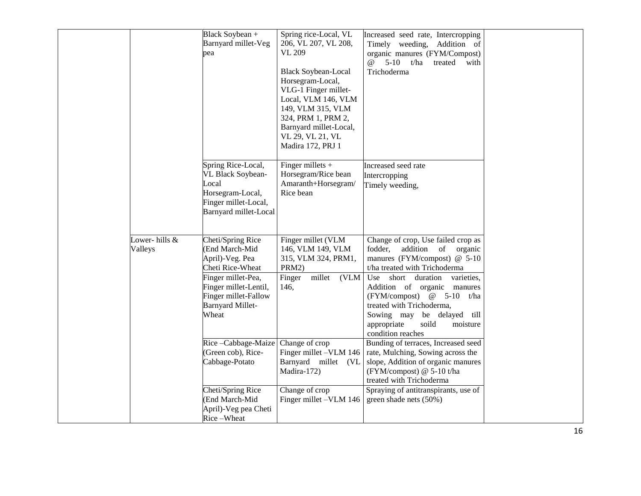|                          | Black Soybean +<br>Barnyard millet-Veg<br>pea                                                                                                                                         | Spring rice-Local, VL<br>206, VL 207, VL 208,<br><b>VL 209</b><br><b>Black Soybean-Local</b><br>Horsegram-Local,<br>VLG-1 Finger millet-<br>Local, VLM 146, VLM<br>149, VLM 315, VLM<br>324, PRM 1, PRM 2,<br>Barnyard millet-Local,<br>VL 29, VL 21, VL<br>Madira 172, PRJ 1 | Increased seed rate, Intercropping<br>Timely weeding, Addition of<br>organic manures (FYM/Compost)<br>5-10 $t/ha$<br>$\omega$<br>treated with<br>Trichoderma                                                                                                                                                                                                            |  |
|--------------------------|---------------------------------------------------------------------------------------------------------------------------------------------------------------------------------------|-------------------------------------------------------------------------------------------------------------------------------------------------------------------------------------------------------------------------------------------------------------------------------|-------------------------------------------------------------------------------------------------------------------------------------------------------------------------------------------------------------------------------------------------------------------------------------------------------------------------------------------------------------------------|--|
|                          | Spring Rice-Local,<br>VL Black Soybean-<br>Local<br>Horsegram-Local,<br>Finger millet-Local,<br>Barnyard millet-Local                                                                 | Finger millets $+$<br>Horsegram/Rice bean<br>Amaranth+Horsegram/<br>Rice bean                                                                                                                                                                                                 | Increased seed rate<br>Intercropping<br>Timely weeding,                                                                                                                                                                                                                                                                                                                 |  |
| Lower-hills &<br>Valleys | Cheti/Spring Rice<br>(End March-Mid<br>April)-Veg. Pea<br>Cheti Rice-Wheat<br>Finger millet-Pea,<br>Finger millet-Lentil,<br>Finger millet-Fallow<br><b>Barnyard Millet-</b><br>Wheat | Finger millet (VLM<br>146, VLM 149, VLM<br>315, VLM 324, PRM1,<br>PRM2)<br>millet (VLM<br>Finger<br>146,                                                                                                                                                                      | Change of crop, Use failed crop as<br>addition<br>of<br>organic<br>fodder,<br>manures (FYM/compost) $@$ 5-10<br>t/ha treated with Trichoderma<br>Use<br>short<br>duration<br>varieties,<br>Addition of organic manures<br>(FYM/compost) @ 5-10 t/ha<br>treated with Trichoderma,<br>Sowing may be delayed till<br>appropriate<br>soild<br>moisture<br>condition reaches |  |
|                          | Rice-Cabbage-Maize<br>(Green cob), Rice-<br>Cabbage-Potato<br>Cheti/Spring Rice<br>(End March-Mid<br>April)-Veg pea Cheti<br>Rice-Wheat                                               | Change of crop<br>Finger millet -VLM 146<br>Barnyard millet (VL<br>Madira-172)<br>Change of crop<br>Finger millet -VLM 146                                                                                                                                                    | Bunding of terraces, Increased seed<br>rate, Mulching, Sowing across the<br>slope, Addition of organic manures<br>(FYM/compost) @ 5-10 t/ha<br>treated with Trichoderma<br>Spraying of antitranspirants, use of<br>green shade nets (50%)                                                                                                                               |  |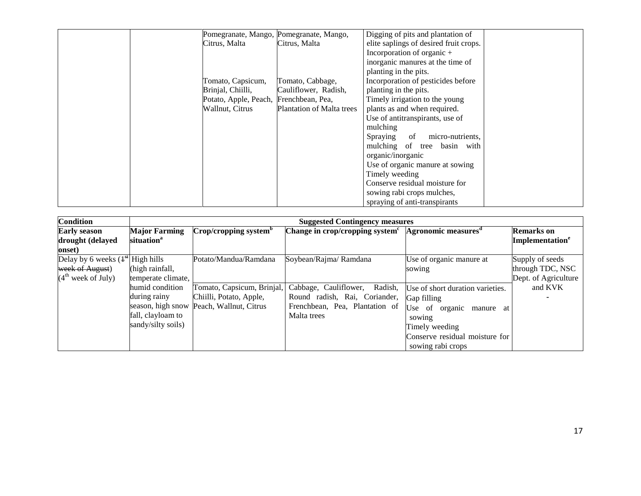|                                        | Pomegranate, Mango, Pomegranate, Mango, | Digging of pits and plantation of      |  |
|----------------------------------------|-----------------------------------------|----------------------------------------|--|
| Citrus, Malta                          | Citrus, Malta                           | elite saplings of desired fruit crops. |  |
|                                        |                                         | Incorporation of organic $+$           |  |
|                                        |                                         | inorganic manures at the time of       |  |
|                                        |                                         | planting in the pits.                  |  |
| Tomato, Capsicum,                      | Tomato, Cabbage,                        | Incorporation of pesticides before     |  |
| Brinjal, Chiilli,                      | Cauliflower, Radish,                    | planting in the pits.                  |  |
| Potato, Apple, Peach, Frenchbean, Pea, |                                         | Timely irrigation to the young         |  |
| Wallnut, Citrus                        | <b>Plantation of Malta trees</b>        | plants as and when required.           |  |
|                                        |                                         | Use of antitranspirants, use of        |  |
|                                        |                                         | mulching                               |  |
|                                        |                                         | micro-nutrients.<br>Spraying<br>of     |  |
|                                        |                                         | mulching of tree basin with            |  |
|                                        |                                         | organic/inorganic                      |  |
|                                        |                                         | Use of organic manure at sowing        |  |
|                                        |                                         | Timely weeding                         |  |
|                                        |                                         | Conserve residual moisture for         |  |
|                                        |                                         | sowing rabi crops mulches,             |  |
|                                        |                                         | spraying of anti-transpirants          |  |

| <b>Condition</b>                   | <b>Suggested Contingency measures</b> |                                          |                                                                    |                                  |                             |  |
|------------------------------------|---------------------------------------|------------------------------------------|--------------------------------------------------------------------|----------------------------------|-----------------------------|--|
| <b>Early season</b>                | <b>Major Farming</b>                  | Crop/cropping system <sup>b</sup>        | Change in crop/cropping system $c$ Agronomic measures <sup>d</sup> |                                  | <b>Remarks</b> on           |  |
| drought (delayed                   | situation <sup>a</sup>                |                                          |                                                                    |                                  | Implementation <sup>e</sup> |  |
| onset)                             |                                       |                                          |                                                                    |                                  |                             |  |
| Delay by 6 weeks $(1st$ High hills |                                       | Potato/Mandua/Ramdana                    | Soybean/Rajma/ Ramdana                                             | Use of organic manure at         | Supply of seeds             |  |
| week of August)                    | (high rainfall,                       |                                          |                                                                    | sowing                           | through TDC, NSC            |  |
| (4 <sup>th</sup> week of July)     | temperate climate,                    |                                          |                                                                    |                                  | Dept. of Agriculture        |  |
|                                    | humid condition                       | Tomato, Capsicum, Brinjal,               | Cabbage, Cauliflower, Radish,                                      | Use of short duration varieties. | and KVK                     |  |
|                                    | during rainy                          | Chiilli, Potato, Apple,                  | Round radish, Rai, Coriander,                                      | Gap filling                      |                             |  |
|                                    |                                       | season, high snow Peach, Wallnut, Citrus | Frenchbean, Pea, Plantation of                                     | Use of organic<br>manure at      |                             |  |
|                                    | fall, clayloam to                     |                                          | Malta trees                                                        | sowing                           |                             |  |
|                                    | sandy/silty soils)                    |                                          |                                                                    | Timely weeding                   |                             |  |
|                                    |                                       |                                          |                                                                    | Conserve residual moisture for   |                             |  |
|                                    |                                       |                                          |                                                                    | sowing rabi crops                |                             |  |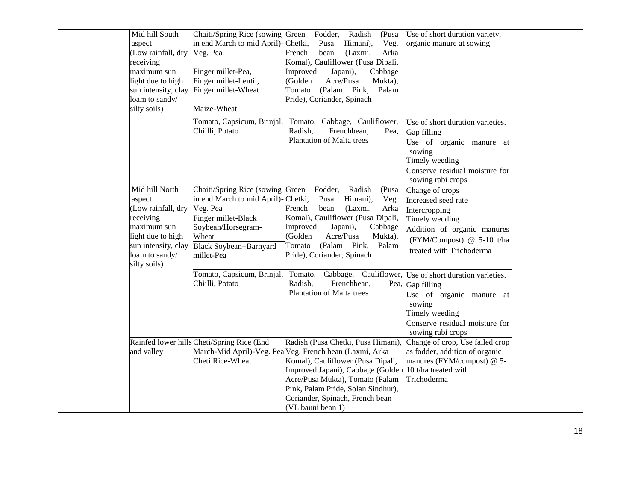| Mid hill South      | Chaiti/Spring Rice (sowing Green Fodder,   | Radish<br>(Pusa                                         | Use of short duration variety,                         |
|---------------------|--------------------------------------------|---------------------------------------------------------|--------------------------------------------------------|
| aspect              | in end March to mid April)-Chetki,         | Veg.<br>Pusa<br>Himani),                                | organic manure at sowing                               |
| (Low rainfall, dry  | Veg. Pea                                   | bean<br>(Laxmi,<br>Arka<br>French                       |                                                        |
| receiving           |                                            | Komal), Cauliflower (Pusa Dipali,                       |                                                        |
| maximum sun         | Finger millet-Pea,                         | Improved<br>Japani),<br>Cabbage                         |                                                        |
| light due to high   | Finger millet-Lentil,                      | (Golden<br>Acre/Pusa<br>Mukta),                         |                                                        |
| sun intensity, clay | Finger millet-Wheat                        | Tomato<br>(Palam Pink,<br>Palam                         |                                                        |
| loam to sandy/      |                                            | Pride), Coriander, Spinach                              |                                                        |
| silty soils)        | Maize-Wheat                                |                                                         |                                                        |
|                     | Tomato, Capsicum, Brinjal,                 | Tomato, Cabbage, Cauliflower,                           | Use of short duration varieties.                       |
|                     | Chiilli, Potato                            | Frenchbean,<br>Radish,<br>Pea.                          | Gap filling                                            |
|                     |                                            | Plantation of Malta trees                               | Use of organic manure at                               |
|                     |                                            |                                                         | sowing                                                 |
|                     |                                            |                                                         | Timely weeding                                         |
|                     |                                            |                                                         | Conserve residual moisture for                         |
|                     |                                            |                                                         | sowing rabi crops                                      |
| Mid hill North      | Chaiti/Spring Rice (sowing Green           | Fodder,<br>Radish<br>(Pusa                              | Change of crops                                        |
| aspect              | in end March to mid April)-Chetki,         | Himani),<br>Pusa<br>Veg.                                | Increased seed rate                                    |
| (Low rainfall, dry  | Veg. Pea                                   | French<br>bean<br>(Laxmi,<br>Arka                       | Intercropping                                          |
| receiving           | Finger millet-Black                        | Komal), Cauliflower (Pusa Dipali,                       | Timely wedding                                         |
| maximum sun         | Soybean/Horsegram-                         | Improved<br>Japani),<br>Cabbage                         | Addition of organic manures                            |
| light due to high   | Wheat                                      | (Golden<br>Acre/Pusa<br>Mukta),                         |                                                        |
| sun intensity, clay | Black Soybean+Barnyard                     | Tomato<br>(Palam Pink,<br>Palam                         | (FYM/Compost) @ 5-10 t/ha                              |
| loam to sandy/      | millet-Pea                                 | Pride), Coriander, Spinach                              | treated with Trichoderma                               |
| silty soils)        |                                            |                                                         |                                                        |
|                     | Tomato, Capsicum, Brinjal,                 | Tomato,                                                 | Cabbage, Cauliflower, Use of short duration varieties. |
|                     | Chiilli, Potato                            | Radish,<br>Frenchbean,                                  | Pea, Gap filling                                       |
|                     |                                            | Plantation of Malta trees                               | Use of organic manure at                               |
|                     |                                            |                                                         | sowing                                                 |
|                     |                                            |                                                         | Timely weeding                                         |
|                     |                                            |                                                         | Conserve residual moisture for                         |
|                     |                                            |                                                         | sowing rabi crops                                      |
|                     | Rainfed lower hills Cheti/Spring Rice (End | Radish (Pusa Chetki, Pusa Himani),                      | Change of crop, Use failed crop                        |
| and valley          |                                            | March-Mid April)-Veg. Pea Veg. French bean (Laxmi, Arka | as fodder, addition of organic                         |
|                     | Cheti Rice-Wheat                           | Komal), Cauliflower (Pusa Dipali,                       | manures (FYM/compost) @ 5-                             |
|                     |                                            | Improved Japani), Cabbage (Golden                       | 10 t/ha treated with                                   |
|                     |                                            | Acre/Pusa Mukta), Tomato (Palam                         | Trichoderma                                            |
|                     |                                            | Pink, Palam Pride, Solan Sindhur),                      |                                                        |
|                     |                                            |                                                         |                                                        |
|                     |                                            | Coriander, Spinach, French bean                         |                                                        |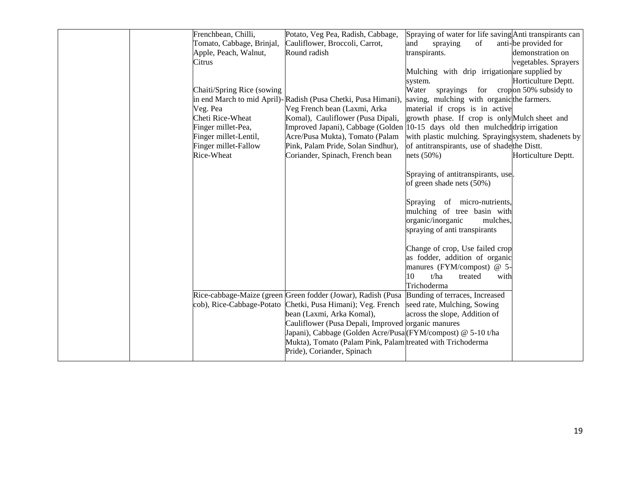|  | Frenchbean, Chilli,        | Potato, Veg Pea, Radish, Cabbage,                             | Spraying of water for life saving Anti transpirants can |                           |
|--|----------------------------|---------------------------------------------------------------|---------------------------------------------------------|---------------------------|
|  | Tomato, Cabbage, Brinjal,  | Cauliflower, Broccoli, Carrot,                                | of<br>and<br>spraying                                   | anti-be provided for      |
|  | Apple, Peach, Walnut,      | Round radish                                                  | transpirants.                                           | demonstration on          |
|  | Citrus                     |                                                               |                                                         | vegetables. Sprayers      |
|  |                            |                                                               | Mulching with drip irrigation are supplied by           |                           |
|  |                            |                                                               | system.                                                 | Horticulture Deptt.       |
|  | Chaiti/Spring Rice (sowing |                                                               | Water<br>sprayings                                      | for cropon 50% subsidy to |
|  |                            | in end March to mid April)-Radish (Pusa Chetki, Pusa Himani), | saving, mulching with organicthe farmers.               |                           |
|  | Veg. Pea                   | Veg French bean (Laxmi, Arka                                  | material if crops is in active                          |                           |
|  | Cheti Rice-Wheat           | Komal), Cauliflower (Pusa Dipali,                             | growth phase. If crop is only Mulch sheet and           |                           |
|  | Finger millet-Pea,         | Improved Japani), Cabbage (Golden                             | 10-15 days old then mulched drip irrigation             |                           |
|  | Finger millet-Lentil,      | Acre/Pusa Mukta), Tomato (Palam                               | with plastic mulching. Sprayingsystem, shadenets by     |                           |
|  | Finger millet-Fallow       | Pink, Palam Pride, Solan Sindhur),                            | of antitranspirants, use of shade the Distt.            |                           |
|  | Rice-Wheat                 | Coriander, Spinach, French bean                               | nets (50%)                                              | Horticulture Deptt.       |
|  |                            |                                                               |                                                         |                           |
|  |                            |                                                               | Spraying of antitranspirants, use.                      |                           |
|  |                            |                                                               | of green shade nets (50%)                               |                           |
|  |                            |                                                               |                                                         |                           |
|  |                            |                                                               | Spraying<br>of micro-nutrients,                         |                           |
|  |                            |                                                               | mulching of tree basin with                             |                           |
|  |                            |                                                               | organic/inorganic<br>mulches.                           |                           |
|  |                            |                                                               | spraying of anti transpirants                           |                           |
|  |                            |                                                               |                                                         |                           |
|  |                            |                                                               | Change of crop, Use failed crop                         |                           |
|  |                            |                                                               | as fodder, addition of organic                          |                           |
|  |                            |                                                               | manures (FYM/compost) @ 5-                              |                           |
|  |                            |                                                               | 10<br>t/ha<br>treated<br>with                           |                           |
|  |                            |                                                               | Trichoderma                                             |                           |
|  |                            | Rice-cabbage-Maize (green Green fodder (Jowar), Radish (Pusa  | Bunding of terraces, Increased                          |                           |
|  | cob), Rice-Cabbage-Potato  | Chetki, Pusa Himani); Veg. French                             | seed rate, Mulching, Sowing                             |                           |
|  |                            | bean (Laxmi, Arka Komal),                                     | across the slope, Addition of                           |                           |
|  |                            | Cauliflower (Pusa Depali, Improved organic manures            |                                                         |                           |
|  |                            | Japani), Cabbage (Golden Acre/Pusa (FYM/compost) @ 5-10 t/ha  |                                                         |                           |
|  |                            | Mukta), Tomato (Palam Pink, Palam treated with Trichoderma    |                                                         |                           |
|  |                            | Pride), Coriander, Spinach                                    |                                                         |                           |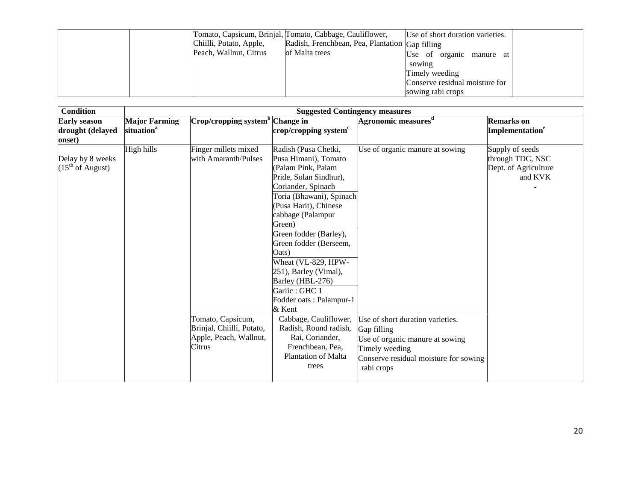|  |                         | Tomato, Capsicum, Brinjal, Tomato, Cabbage, Cauliflower, | Use of short duration varieties. |
|--|-------------------------|----------------------------------------------------------|----------------------------------|
|  | Chiilli, Potato, Apple, | Radish, Frenchbean, Pea, Plantation Gap filling          |                                  |
|  | Peach, Wallnut, Citrus  | of Malta trees                                           | Use of organic manure at         |
|  |                         |                                                          | sowing                           |
|  |                         |                                                          | Timely weeding                   |
|  |                         |                                                          | Conserve residual moisture for   |
|  |                         |                                                          | sowing rabi crops                |

| <b>Condition</b>      |                        | <b>Suggested Contingency measures</b>       |                                   |                                       |                             |  |
|-----------------------|------------------------|---------------------------------------------|-----------------------------------|---------------------------------------|-----------------------------|--|
| <b>Early season</b>   | <b>Major Farming</b>   | Crop/cropping system <sup>b</sup> Change in |                                   | Agronomic measures <sup>d</sup>       | <b>Remarks</b> on           |  |
| drought (delayed      | situation <sup>a</sup> |                                             | crop/cropping system <sup>c</sup> |                                       | Implementation <sup>e</sup> |  |
| onset)                |                        |                                             |                                   |                                       |                             |  |
|                       | High hills             | Finger millets mixed                        | Radish (Pusa Chetki,              | Use of organic manure at sowing       | Supply of seeds             |  |
| Delay by 8 weeks      |                        | with Amaranth/Pulses                        | Pusa Himani), Tomato              |                                       | through TDC, NSC            |  |
| $(15^{th}$ of August) |                        |                                             | (Palam Pink, Palam                |                                       | Dept. of Agriculture        |  |
|                       |                        |                                             | Pride, Solan Sindhur),            |                                       | and KVK                     |  |
|                       |                        |                                             | Coriander, Spinach                |                                       |                             |  |
|                       |                        |                                             | Toria (Bhawani), Spinach          |                                       |                             |  |
|                       |                        |                                             | (Pusa Harit), Chinese             |                                       |                             |  |
|                       |                        |                                             | cabbage (Palampur                 |                                       |                             |  |
|                       |                        |                                             | Green)                            |                                       |                             |  |
|                       |                        |                                             | Green fodder (Barley),            |                                       |                             |  |
|                       |                        |                                             | Green fodder (Berseem,            |                                       |                             |  |
|                       |                        |                                             | Oats)                             |                                       |                             |  |
|                       |                        |                                             | Wheat (VL-829, HPW-               |                                       |                             |  |
|                       |                        |                                             | 251), Barley (Vimal),             |                                       |                             |  |
|                       |                        |                                             | Barley (HBL-276)                  |                                       |                             |  |
|                       |                        |                                             | Garlic: GHC 1                     |                                       |                             |  |
|                       |                        |                                             | Fodder oats: Palampur-1           |                                       |                             |  |
|                       |                        |                                             | & Kent                            |                                       |                             |  |
|                       |                        | Tomato, Capsicum,                           | Cabbage, Cauliflower,             | Use of short duration varieties.      |                             |  |
|                       |                        | Brinjal, Chiilli, Potato,                   | Radish, Round radish,             | Gap filling                           |                             |  |
|                       |                        | Apple, Peach, Wallnut,                      | Rai, Coriander,                   | Use of organic manure at sowing       |                             |  |
|                       |                        | Citrus                                      | Frenchbean, Pea,                  | Timely weeding                        |                             |  |
|                       |                        |                                             | <b>Plantation of Malta</b>        | Conserve residual moisture for sowing |                             |  |
|                       |                        |                                             | trees                             | rabi crops                            |                             |  |
|                       |                        |                                             |                                   |                                       |                             |  |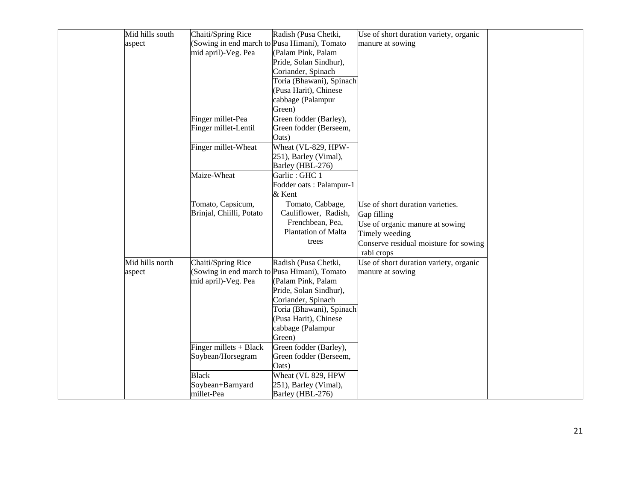| Mid hills south | Chaiti/Spring Rice                           | Radish (Pusa Chetki,     | Use of short duration variety, organic |
|-----------------|----------------------------------------------|--------------------------|----------------------------------------|
| aspect          | (Sowing in end march to Pusa Himani), Tomato |                          | manure at sowing                       |
|                 | mid april)-Veg. Pea                          | (Palam Pink, Palam       |                                        |
|                 |                                              | Pride, Solan Sindhur),   |                                        |
|                 |                                              | Coriander, Spinach       |                                        |
|                 |                                              | Toria (Bhawani), Spinach |                                        |
|                 |                                              | (Pusa Harit), Chinese    |                                        |
|                 |                                              | cabbage (Palampur        |                                        |
|                 |                                              | Green)                   |                                        |
|                 | Finger millet-Pea                            | Green fodder (Barley),   |                                        |
|                 | Finger millet-Lentil                         | Green fodder (Berseem,   |                                        |
|                 |                                              | Oats)                    |                                        |
|                 | Finger millet-Wheat                          | Wheat (VL-829, HPW-      |                                        |
|                 |                                              | 251), Barley (Vimal),    |                                        |
|                 |                                              | Barley (HBL-276)         |                                        |
|                 | Maize-Wheat                                  | Garlic: GHC 1            |                                        |
|                 |                                              | Fodder oats: Palampur-1  |                                        |
|                 |                                              | & Kent                   |                                        |
|                 | Tomato, Capsicum,                            | Tomato, Cabbage,         | Use of short duration varieties.       |
|                 | Brinjal, Chiilli, Potato                     | Cauliflower, Radish,     | Gap filling                            |
|                 |                                              | Frenchbean, Pea,         | Use of organic manure at sowing        |
|                 |                                              | Plantation of Malta      | Timely weeding                         |
|                 |                                              | trees                    | Conserve residual moisture for sowing  |
|                 |                                              |                          | rabi crops                             |
| Mid hills north | Chaiti/Spring Rice                           | Radish (Pusa Chetki,     | Use of short duration variety, organic |
| aspect          | (Sowing in end march to Pusa Himani), Tomato |                          | manure at sowing                       |
|                 | mid april)-Veg. Pea                          | (Palam Pink, Palam       |                                        |
|                 |                                              | Pride, Solan Sindhur),   |                                        |
|                 |                                              | Coriander, Spinach       |                                        |
|                 |                                              | Toria (Bhawani), Spinach |                                        |
|                 |                                              | (Pusa Harit), Chinese    |                                        |
|                 |                                              | cabbage (Palampur        |                                        |
|                 |                                              | Green)                   |                                        |
|                 | Finger millets $+$ Black                     | Green fodder (Barley),   |                                        |
|                 | Soybean/Horsegram                            | Green fodder (Berseem,   |                                        |
|                 |                                              | Oats)                    |                                        |
|                 | <b>Black</b>                                 | Wheat (VL 829, HPW       |                                        |
|                 | Soybean+Barnyard                             | 251), Barley (Vimal),    |                                        |
|                 | millet-Pea                                   | Barley (HBL-276)         |                                        |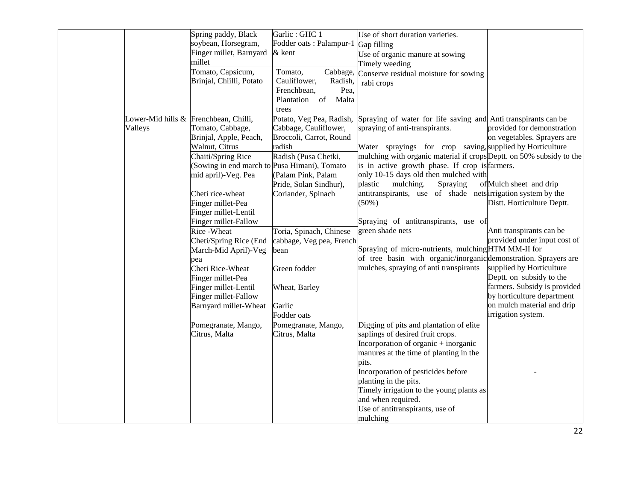|         | Spring paddy, Black                          | Garlic: GHC 1            | Use of short duration varieties.                                     |                              |
|---------|----------------------------------------------|--------------------------|----------------------------------------------------------------------|------------------------------|
|         | soybean, Horsegram,                          | Fodder oats : Palampur-1 | Gap filling                                                          |                              |
|         | Finger millet, Barnyard                      | & kent                   | Use of organic manure at sowing                                      |                              |
|         | millet                                       |                          | Timely weeding                                                       |                              |
|         | Tomato, Capsicum,                            | Cabbage,<br>Tomato,      | Conserve residual moisture for sowing                                |                              |
|         | Brinjal, Chiilli, Potato                     | Cauliflower,<br>Radish,  | rabi crops                                                           |                              |
|         |                                              | Frenchbean,<br>Pea,      |                                                                      |                              |
|         |                                              | Plantation of<br>Malta   |                                                                      |                              |
|         |                                              | trees                    |                                                                      |                              |
|         | Lower-Mid hills & Frenchbean, Chilli,        | Potato, Veg Pea, Radish, | Spraying of water for life saving and Anti transpirants can be       |                              |
| Valleys | Tomato, Cabbage,                             | Cabbage, Cauliflower,    | spraying of anti-transpirants.                                       | provided for demonstration   |
|         | Brinjal, Apple, Peach,                       | Broccoli, Carrot, Round  |                                                                      | on vegetables. Sprayers are  |
|         | Walnut, Citrus                               | radish                   | Water sprayings for crop saving, supplied by Horticulture            |                              |
|         | Chaiti/Spring Rice                           | Radish (Pusa Chetki,     | mulching with organic material if crops Deptt. on 50% subsidy to the |                              |
|         | (Sowing in end march to Pusa Himani), Tomato |                          | is in active growth phase. If crop is farmers.                       |                              |
|         | mid april)-Veg. Pea                          | (Palam Pink, Palam       | only 10-15 days old then mulched with                                |                              |
|         |                                              | Pride, Solan Sindhur),   | plastic<br>mulching.<br>Spraying                                     | of Mulch sheet and drip      |
|         | Cheti rice-wheat                             | Coriander, Spinach       | antitranspirants, use of shade nets irrigation system by the         |                              |
|         | Finger millet-Pea                            |                          | $(50\%)$                                                             | Distt. Horticulture Deptt.   |
|         | Finger millet-Lentil                         |                          |                                                                      |                              |
|         | Finger millet-Fallow                         |                          | Spraying of antitranspirants, use of                                 |                              |
|         | Rice - Wheat                                 | Toria, Spinach, Chinese  | green shade nets                                                     | Anti transpirants can be     |
|         | Cheti/Spring Rice (End                       | cabbage, Veg pea, French |                                                                      | provided under input cost of |
|         | March-Mid April)-Veg                         | bean                     | Spraying of micro-nutrients, mulching HTM MM-II for                  |                              |
|         |                                              |                          | of tree basin with organic/inorganic demonstration. Sprayers are     |                              |
|         | pea<br>Cheti Rice-Wheat                      | Green fodder             | mulches, spraying of anti transpirants                               | supplied by Horticulture     |
|         | Finger millet-Pea                            |                          |                                                                      | Deptt. on subsidy to the     |
|         | Finger millet-Lentil                         | Wheat, Barley            |                                                                      | farmers. Subsidy is provided |
|         | Finger millet-Fallow                         |                          |                                                                      | by horticulture department   |
|         |                                              | Garlic                   |                                                                      | on mulch material and drip   |
|         | Barnyard millet-Wheat                        |                          |                                                                      | irrigation system.           |
|         |                                              | Fodder oats              |                                                                      |                              |
|         | Pomegranate, Mango,                          | Pomegranate, Mango,      | Digging of pits and plantation of elite                              |                              |
|         | Citrus, Malta                                | Citrus, Malta            | saplings of desired fruit crops.                                     |                              |
|         |                                              |                          | Incorporation of organic $+$ inorganic                               |                              |
|         |                                              |                          | manures at the time of planting in the                               |                              |
|         |                                              |                          | pits.                                                                |                              |
|         |                                              |                          | Incorporation of pesticides before                                   |                              |
|         |                                              |                          | planting in the pits.                                                |                              |
|         |                                              |                          | Timely irrigation to the young plants as                             |                              |
|         |                                              |                          | and when required.                                                   |                              |
|         |                                              |                          | Use of antitranspirants, use of                                      |                              |
|         |                                              |                          | mulching                                                             |                              |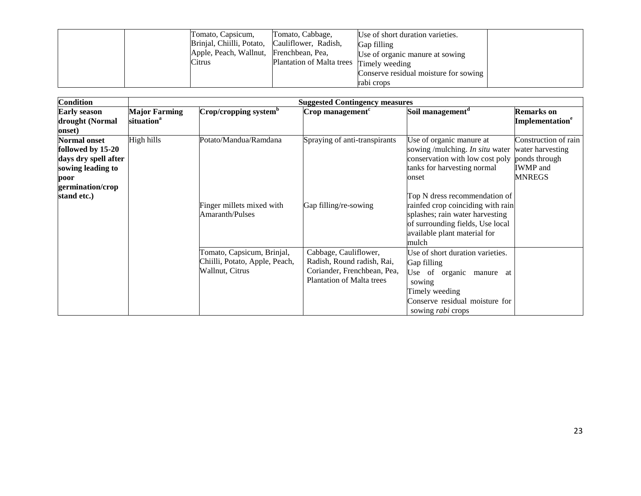|  | Tomato, Capsicum,         | Tomato, Cabbage,                 | Use of short duration varieties.      |  |
|--|---------------------------|----------------------------------|---------------------------------------|--|
|  | Brinjal, Chiilli, Potato, | Cauliflower, Radish,             | Gap filling                           |  |
|  | Apple, Peach, Wallnut,    | Frenchbean, Pea,                 | Use of organic manure at sowing       |  |
|  | Citrus                    | <b>Plantation of Malta trees</b> | Timely weeding                        |  |
|  |                           |                                  | Conserve residual moisture for sowing |  |
|  |                           |                                  | rabi crops                            |  |

| <b>Condition</b>                                                                                                                 |                                                |                                                                                 | <b>Suggested Contingency measures</b>                                                                                  |                                                                                                                                                                                                                                                                                                                     |                                                                                               |
|----------------------------------------------------------------------------------------------------------------------------------|------------------------------------------------|---------------------------------------------------------------------------------|------------------------------------------------------------------------------------------------------------------------|---------------------------------------------------------------------------------------------------------------------------------------------------------------------------------------------------------------------------------------------------------------------------------------------------------------------|-----------------------------------------------------------------------------------------------|
| <b>Early season</b><br>drought (Normal<br>onset)                                                                                 | <b>Major Farming</b><br>situation <sup>a</sup> | Crop/cropping system <sup>b</sup>                                               | Crop management <sup>c</sup>                                                                                           | Soil management <sup>d</sup>                                                                                                                                                                                                                                                                                        | <b>Remarks</b> on<br>Implementation <sup>e</sup>                                              |
| <b>Normal onset</b><br>followed by 15-20<br>days dry spell after<br>sowing leading to<br>poor<br>germination/crop<br>stand etc.) | High hills                                     | Potato/Mandua/Ramdana<br>Finger millets mixed with<br>Amaranth/Pulses           | Spraying of anti-transpirants<br>Gap filling/re-sowing                                                                 | Use of organic manure at<br>sowing /mulching. In situ water<br>conservation with low cost poly<br>tanks for harvesting normal<br>onset<br>Top N dress recommendation of<br>rainfed crop coinciding with rain<br>splashes; rain water harvesting<br>of surrounding fields, Use local<br>available plant material for | Construction of rain<br>water harvesting<br>ponds through<br><b>IWMP</b> and<br><b>MNREGS</b> |
|                                                                                                                                  |                                                | Tomato, Capsicum, Brinjal,<br>Chiilli, Potato, Apple, Peach,<br>Wallnut, Citrus | Cabbage, Cauliflower,<br>Radish, Round radish, Rai,<br>Coriander, Frenchbean, Pea,<br><b>Plantation of Malta trees</b> | mulch<br>Use of short duration varieties.<br>Gap filling<br>Use of organic manure at<br>sowing<br>Timely weeding<br>Conserve residual moisture for<br>sowing <i>rabi</i> crops                                                                                                                                      |                                                                                               |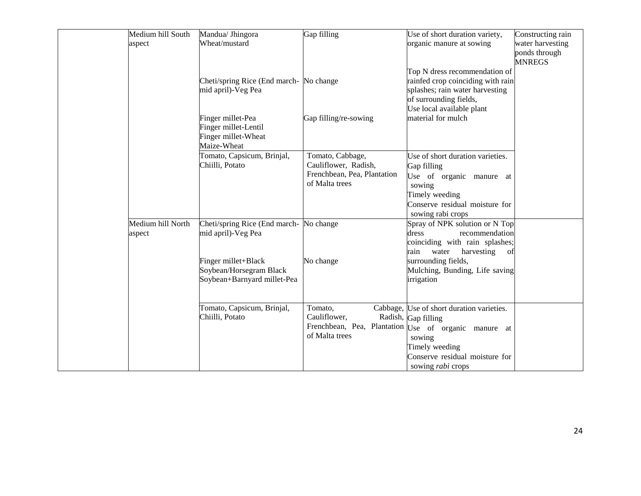| Medium hill South | Mandua/ Jhingora                       | Gap filling                 | Use of short duration variety,                       | Constructing rain |
|-------------------|----------------------------------------|-----------------------------|------------------------------------------------------|-------------------|
| aspect            | Wheat/mustard                          |                             | organic manure at sowing                             | water harvesting  |
|                   |                                        |                             |                                                      | ponds through     |
|                   |                                        |                             |                                                      | <b>MNREGS</b>     |
|                   |                                        |                             | Top N dress recommendation of                        |                   |
|                   | Cheti/spring Rice (End march-No change |                             | rainfed crop coinciding with rain                    |                   |
|                   | mid april)-Veg Pea                     |                             | splashes; rain water harvesting                      |                   |
|                   |                                        |                             | of surrounding fields,                               |                   |
|                   |                                        |                             | Use local available plant                            |                   |
|                   | Finger millet-Pea                      | Gap filling/re-sowing       | material for mulch                                   |                   |
|                   | Finger millet-Lentil                   |                             |                                                      |                   |
|                   | Finger millet-Wheat                    |                             |                                                      |                   |
|                   | Maize-Wheat                            |                             |                                                      |                   |
|                   | Tomato, Capsicum, Brinjal,             | Tomato, Cabbage,            | Use of short duration varieties.                     |                   |
|                   | Chiilli, Potato                        | Cauliflower, Radish,        |                                                      |                   |
|                   |                                        | Frenchbean, Pea, Plantation | Gap filling                                          |                   |
|                   |                                        | of Malta trees              | Use of organic manure at                             |                   |
|                   |                                        |                             | sowing                                               |                   |
|                   |                                        |                             | Timely weeding                                       |                   |
|                   |                                        |                             | Conserve residual moisture for                       |                   |
|                   |                                        |                             | sowing rabi crops                                    |                   |
| Medium hill North | Cheti/spring Rice (End march-No change |                             | Spray of NPK solution or N Top                       |                   |
| aspect            | mid april)-Veg Pea                     |                             | dress<br>recommendation                              |                   |
|                   |                                        |                             | coinciding with rain splashes;                       |                   |
|                   |                                        |                             | rain<br>water<br>harvesting<br>of                    |                   |
|                   | Finger millet+Black                    | No change                   | surrounding fields,                                  |                   |
|                   | Soybean/Horsegram Black                |                             | Mulching, Bunding, Life saving                       |                   |
|                   | Soybean+Barnyard millet-Pea            |                             | irrigation                                           |                   |
|                   |                                        |                             |                                                      |                   |
|                   |                                        |                             |                                                      |                   |
|                   | Tomato, Capsicum, Brinjal,             | Tomato,                     | Cabbage, Use of short duration varieties.            |                   |
|                   | Chiilli, Potato                        | Cauliflower,                | Radish, Gap filling                                  |                   |
|                   |                                        |                             | Frenchbean, Pea, Plantation Use of organic manure at |                   |
|                   |                                        | of Malta trees              | sowing                                               |                   |
|                   |                                        |                             | Timely weeding                                       |                   |
|                   |                                        |                             | Conserve residual moisture for                       |                   |
|                   |                                        |                             | sowing <i>rabi</i> crops                             |                   |
|                   |                                        |                             |                                                      |                   |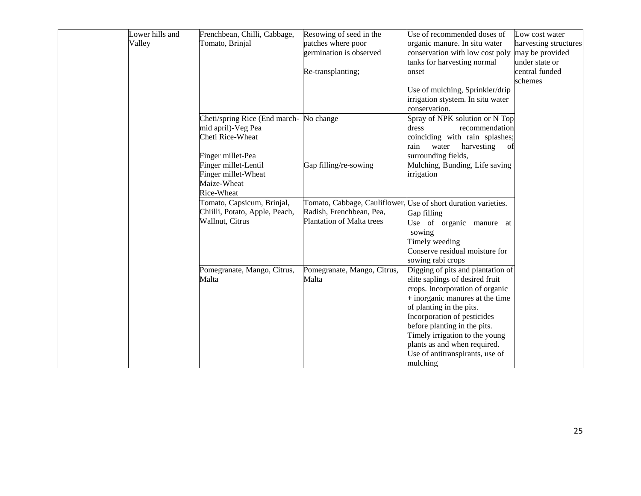| Lower hills and | Frenchbean, Chilli, Cabbage,   | Resowing of seed in the     | Use of recommended doses of                                    | Low cost water        |
|-----------------|--------------------------------|-----------------------------|----------------------------------------------------------------|-----------------------|
| Valley          | Tomato, Brinjal                | patches where poor          | organic manure. In situ water                                  | harvesting structures |
|                 |                                | germination is observed     | conservation with low cost poly may be provided                |                       |
|                 |                                |                             | tanks for harvesting normal                                    | under state or        |
|                 |                                | Re-transplanting;           | onset                                                          | central funded        |
|                 |                                |                             |                                                                | schemes               |
|                 |                                |                             | Use of mulching, Sprinkler/drip                                |                       |
|                 |                                |                             | irrigation stystem. In situ water                              |                       |
|                 |                                |                             | conservation.                                                  |                       |
|                 | Cheti/spring Rice (End march-  | No change                   | Spray of NPK solution or N Top                                 |                       |
|                 | mid april)-Veg Pea             |                             | dress<br>recommendation                                        |                       |
|                 | Cheti Rice-Wheat               |                             | coinciding with rain splashes;                                 |                       |
|                 |                                |                             | water<br>harvesting<br>rain<br>of                              |                       |
|                 | Finger millet-Pea              |                             | surrounding fields,                                            |                       |
|                 | Finger millet-Lentil           | Gap filling/re-sowing       | Mulching, Bunding, Life saving                                 |                       |
|                 | Finger millet-Wheat            |                             | irrigation                                                     |                       |
|                 | Maize-Wheat                    |                             |                                                                |                       |
|                 | Rice-Wheat                     |                             |                                                                |                       |
|                 | Tomato, Capsicum, Brinjal,     |                             | Tomato, Cabbage, Cauliflower, Use of short duration varieties. |                       |
|                 | Chiilli, Potato, Apple, Peach, | Radish, Frenchbean, Pea,    | Gap filling                                                    |                       |
|                 | Wallnut, Citrus                | Plantation of Malta trees   | Use of organic manure at                                       |                       |
|                 |                                |                             | sowing                                                         |                       |
|                 |                                |                             | Timely weeding                                                 |                       |
|                 |                                |                             | Conserve residual moisture for                                 |                       |
|                 |                                |                             | sowing rabi crops                                              |                       |
|                 | Pomegranate, Mango, Citrus,    | Pomegranate, Mango, Citrus, | Digging of pits and plantation of                              |                       |
|                 | Malta                          | Malta                       | elite saplings of desired fruit                                |                       |
|                 |                                |                             | crops. Incorporation of organic                                |                       |
|                 |                                |                             | + inorganic manures at the time                                |                       |
|                 |                                |                             | of planting in the pits.                                       |                       |
|                 |                                |                             | Incorporation of pesticides                                    |                       |
|                 |                                |                             | before planting in the pits.                                   |                       |
|                 |                                |                             | Timely irrigation to the young                                 |                       |
|                 |                                |                             | plants as and when required.                                   |                       |
|                 |                                |                             | Use of antitranspirants, use of                                |                       |
|                 |                                |                             | mulching                                                       |                       |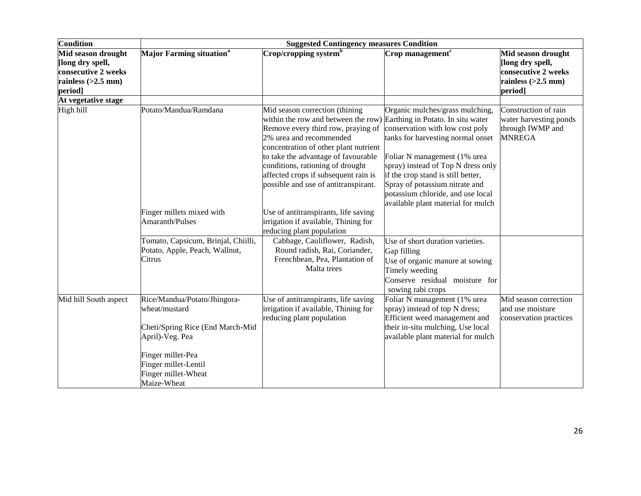| Condition                                                                                        | <b>Suggested Contingency measures Condition</b>                                                                                                                                         |                                                                                                                                                                                                                                                                                                                                            |                                                                                                                                                                                                                                                                                                                                                                       |                                                                                                  |  |  |  |
|--------------------------------------------------------------------------------------------------|-----------------------------------------------------------------------------------------------------------------------------------------------------------------------------------------|--------------------------------------------------------------------------------------------------------------------------------------------------------------------------------------------------------------------------------------------------------------------------------------------------------------------------------------------|-----------------------------------------------------------------------------------------------------------------------------------------------------------------------------------------------------------------------------------------------------------------------------------------------------------------------------------------------------------------------|--------------------------------------------------------------------------------------------------|--|--|--|
| Mid season drought<br>[long dry spell,<br>consecutive 2 weeks<br>rainless $(>2.5$ mm)<br>period] | <b>Major Farming situation</b> <sup>a</sup>                                                                                                                                             | $\mathbf{Crop}/\mathbf{cropping}$ system $\mathbf{b}$                                                                                                                                                                                                                                                                                      | Crop management <sup>c</sup>                                                                                                                                                                                                                                                                                                                                          | Mid season drought<br>[long dry spell,<br>consecutive 2 weeks<br>rainless $(>2.5$ mm)<br>period] |  |  |  |
| At vegetative stage                                                                              |                                                                                                                                                                                         |                                                                                                                                                                                                                                                                                                                                            |                                                                                                                                                                                                                                                                                                                                                                       |                                                                                                  |  |  |  |
| High hill                                                                                        | Potato/Mandua/Ramdana                                                                                                                                                                   | Mid season correction (thining<br>within the row and between the row)<br>Remove every third row, praying of<br>2% urea and recommended<br>concentration of other plant nutrient<br>to take the advantage of favourable<br>conditions, rationing of drought<br>affected crops if subsequent rain is<br>possible and use of antitranspirant. | Organic mulches/grass mulching,<br>Earthing in Potato. In situ water<br>conservation with low cost poly<br>tanks for harvesting normal onset<br>Foliar N management (1% urea<br>spray) instead of Top N dress only<br>if the crop stand is still better,<br>Spray of potassium nitrate and<br>potassium chloride, and use local<br>available plant material for mulch | Construction of rain<br>water harvesting ponds<br>through IWMP and<br><b>MNREGA</b>              |  |  |  |
|                                                                                                  | Finger millets mixed with<br>Amaranth/Pulses                                                                                                                                            | Use of antitranspirants, life saving<br>irrigation if available, Thining for<br>reducing plant population                                                                                                                                                                                                                                  |                                                                                                                                                                                                                                                                                                                                                                       |                                                                                                  |  |  |  |
|                                                                                                  | Tomato, Capsicum, Brinjal, Chiilli,<br>Potato, Apple, Peach, Wallnut,<br>Citrus                                                                                                         | Cabbage, Cauliflower, Radish,<br>Round radish, Rai, Coriander,<br>Frenchbean, Pea, Plantation of<br>Malta trees                                                                                                                                                                                                                            | Use of short duration varieties.<br>Gap filling<br>Use of organic manure at sowing<br>Timely weeding<br>Conserve residual moisture for<br>sowing rabi crops                                                                                                                                                                                                           |                                                                                                  |  |  |  |
| Mid hill South aspect                                                                            | Rice/Mandua/Potato/Jhingora-<br>wheat/mustard<br>Cheti/Spring Rice (End March-Mid<br>April)-Veg. Pea<br>Finger millet-Pea<br>Finger millet-Lentil<br>Finger millet-Wheat<br>Maize-Wheat | Use of antitranspirants, life saving<br>irrigation if available, Thining for<br>reducing plant population                                                                                                                                                                                                                                  | Foliar N management (1% urea<br>spray) instead of top N dress;<br>Efficient weed management and<br>their in-situ mulching, Use local<br>available plant material for mulch                                                                                                                                                                                            | Mid season correction<br>and use moisture<br>conservation practices                              |  |  |  |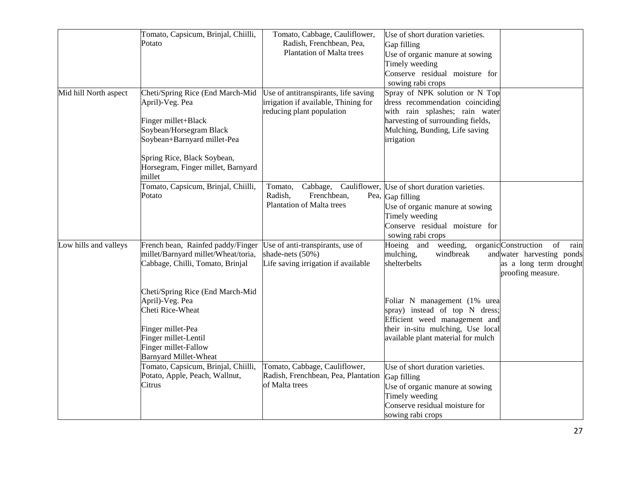|                       | Tomato, Capsicum, Brinjal, Chiilli,                                         | Tomato, Cabbage, Cauliflower,        | Use of short duration varieties.              |                                             |
|-----------------------|-----------------------------------------------------------------------------|--------------------------------------|-----------------------------------------------|---------------------------------------------|
|                       | Potato                                                                      | Radish, Frenchbean, Pea,             | Gap filling                                   |                                             |
|                       |                                                                             | <b>Plantation of Malta trees</b>     | Use of organic manure at sowing               |                                             |
|                       |                                                                             |                                      | Timely weeding                                |                                             |
|                       |                                                                             |                                      | Conserve residual moisture for                |                                             |
|                       |                                                                             |                                      | sowing rabi crops                             |                                             |
| Mid hill North aspect | Cheti/Spring Rice (End March-Mid                                            | Use of antitranspirants, life saving | Spray of NPK solution or N Top                |                                             |
|                       | April)-Veg. Pea                                                             | irrigation if available, Thining for | dress recommendation coinciding               |                                             |
|                       |                                                                             | reducing plant population            | with rain splashes; rain water                |                                             |
|                       | Finger millet+Black                                                         |                                      | harvesting of surrounding fields,             |                                             |
|                       | Soybean/Horsegram Black                                                     |                                      | Mulching, Bunding, Life saving                |                                             |
|                       | Soybean+Barnyard millet-Pea                                                 |                                      | irrigation                                    |                                             |
|                       | Spring Rice, Black Soybean,<br>Horsegram, Finger millet, Barnyard<br>millet |                                      |                                               |                                             |
|                       | Tomato, Capsicum, Brinjal, Chiilli,                                         | Tomato,<br>Cabbage,                  | Cauliflower, Use of short duration varieties. |                                             |
|                       | Potato                                                                      | Radish,<br>Frenchbean,               | Pea, Gap filling                              |                                             |
|                       |                                                                             | <b>Plantation of Malta trees</b>     | Use of organic manure at sowing               |                                             |
|                       |                                                                             |                                      | Timely weeding                                |                                             |
|                       |                                                                             |                                      | Conserve residual moisture for                |                                             |
|                       |                                                                             |                                      | sowing rabi crops                             |                                             |
| Low hills and valleys | French bean, Rainfed paddy/Finger                                           | Use of anti-transpirants, use of     | Hoeing and<br>weeding,                        | organic Construction<br>of<br>rain          |
|                       | millet/Barnyard millet/Wheat/toria,                                         | shade-nets (50%)                     | mulching,<br>windbreak                        | and water harvesting ponds                  |
|                       | Cabbage, Chilli, Tomato, Brinjal                                            | Life saving irrigation if available  | shelterbelts                                  | as a long term drought<br>proofing measure. |
|                       | Cheti/Spring Rice (End March-Mid                                            |                                      |                                               |                                             |
|                       | April)-Veg. Pea                                                             |                                      | Foliar N management (1% urea                  |                                             |
|                       | Cheti Rice-Wheat                                                            |                                      | spray) instead of top N dress;                |                                             |
|                       |                                                                             |                                      | Efficient weed management and                 |                                             |
|                       | Finger millet-Pea                                                           |                                      | their in-situ mulching, Use local             |                                             |
|                       | Finger millet-Lentil                                                        |                                      | available plant material for mulch            |                                             |
|                       | Finger millet-Fallow                                                        |                                      |                                               |                                             |
|                       | <b>Barnyard Millet-Wheat</b>                                                |                                      |                                               |                                             |
|                       | Tomato, Capsicum, Brinjal, Chiilli,                                         | Tomato, Cabbage, Cauliflower,        | Use of short duration varieties.              |                                             |
|                       | Potato, Apple, Peach, Wallnut,                                              | Radish, Frenchbean, Pea, Plantation  | Gap filling                                   |                                             |
|                       | Citrus                                                                      | of Malta trees                       | Use of organic manure at sowing               |                                             |
|                       |                                                                             |                                      | Timely weeding                                |                                             |
|                       |                                                                             |                                      | Conserve residual moisture for                |                                             |
|                       |                                                                             |                                      | sowing rabi crops                             |                                             |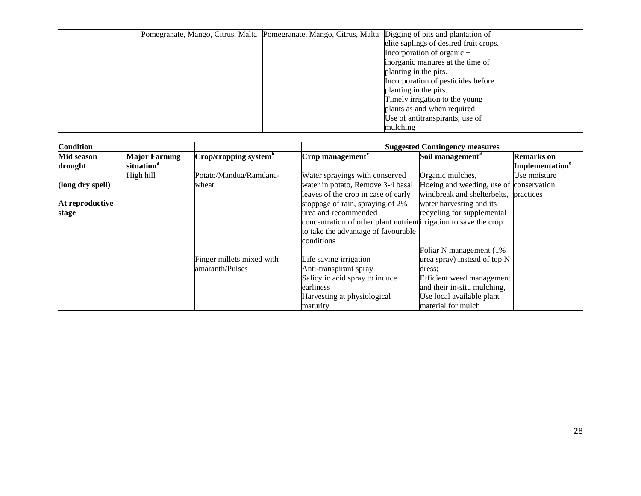| Pomegranate, Mango, Citrus, Malta Pomegranate, Mango, Citrus, Malta Digging of pits and plantation of |                                        |
|-------------------------------------------------------------------------------------------------------|----------------------------------------|
|                                                                                                       | elite saplings of desired fruit crops. |
|                                                                                                       | Incorporation of organic $+$           |
|                                                                                                       | inorganic manures at the time of       |
|                                                                                                       | planting in the pits.                  |
|                                                                                                       | Incorporation of pesticides before     |
|                                                                                                       | planting in the pits.                  |
|                                                                                                       | Timely irrigation to the young         |
|                                                                                                       | plants as and when required.           |
|                                                                                                       | Use of antitranspirants, use of        |
|                                                                                                       | mulching                               |

| <b>Condition</b>             |                                                |                                   |                                                                   | <b>Suggested Contingency measures</b>   |                                                  |
|------------------------------|------------------------------------------------|-----------------------------------|-------------------------------------------------------------------|-----------------------------------------|--------------------------------------------------|
| <b>Mid season</b><br>drought | <b>Major Farming</b><br>situation <sup>a</sup> | Crop/cropping system <sup>b</sup> | $\mathbf{Crop}$ management <sup>c</sup>                           | Soil management <sup>d</sup>            | <b>Remarks</b> on<br>Implementation <sup>e</sup> |
|                              |                                                |                                   |                                                                   |                                         |                                                  |
|                              | High hill                                      | Potato/Mandua/Ramdana-            | Water sprayings with conserved                                    | Organic mulches,                        | Use moisture                                     |
| (long dry spell)             |                                                | wheat                             | water in potato, Remove 3-4 basal                                 | Hoeing and weeding, use of conservation |                                                  |
|                              |                                                |                                   | leaves of the crop in case of early                               | windbreak and shelterbelts,             | practices                                        |
| At reproductive              |                                                |                                   | stoppage of rain, spraying of 2%                                  | water harvesting and its                |                                                  |
| stage                        |                                                |                                   | urea and recommended                                              | recycling for supplemental              |                                                  |
|                              |                                                |                                   | concentration of other plant nutrient irrigation to save the crop |                                         |                                                  |
|                              |                                                |                                   | to take the advantage of favourable                               |                                         |                                                  |
|                              |                                                |                                   | conditions                                                        |                                         |                                                  |
|                              |                                                |                                   |                                                                   | Foliar N management (1%                 |                                                  |
|                              |                                                | Finger millets mixed with         | Life saving irrigation                                            | urea spray) instead of top N            |                                                  |
|                              |                                                | amaranth/Pulses                   | Anti-transpirant spray                                            | dress:                                  |                                                  |
|                              |                                                |                                   | Salicylic acid spray to induce                                    | Efficient weed management               |                                                  |
|                              |                                                |                                   | earliness                                                         | and their in-situ mulching,             |                                                  |
|                              |                                                |                                   | Harvesting at physiological                                       | Use local available plant               |                                                  |
|                              |                                                |                                   | maturity                                                          | material for mulch                      |                                                  |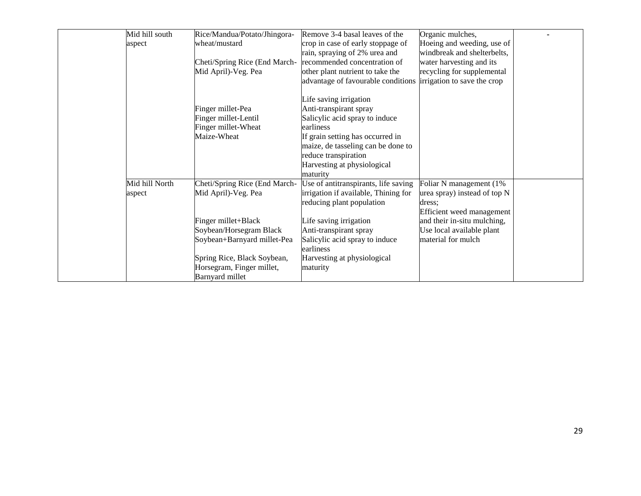| Mid hill south | Rice/Mandua/Potato/Jhingora-  | Remove 3-4 basal leaves of the       | Organic mulches,             |  |
|----------------|-------------------------------|--------------------------------------|------------------------------|--|
| aspect         | wheat/mustard                 | crop in case of early stoppage of    | Hoeing and weeding, use of   |  |
|                |                               | rain, spraying of 2% urea and        | windbreak and shelterbelts,  |  |
|                | Cheti/Spring Rice (End March- | recommended concentration of         | water harvesting and its     |  |
|                | Mid April)-Veg. Pea           | other plant nutrient to take the     | recycling for supplemental   |  |
|                |                               | advantage of favourable conditions   | irrigation to save the crop  |  |
|                |                               |                                      |                              |  |
|                |                               | Life saving irrigation               |                              |  |
|                | Finger millet-Pea             | Anti-transpirant spray               |                              |  |
|                | Finger millet-Lentil          | Salicylic acid spray to induce       |                              |  |
|                | Finger millet-Wheat           | earliness                            |                              |  |
|                | Maize-Wheat                   | If grain setting has occurred in     |                              |  |
|                |                               | maize, de tasseling can be done to   |                              |  |
|                |                               | reduce transpiration                 |                              |  |
|                |                               | Harvesting at physiological          |                              |  |
|                |                               | maturity                             |                              |  |
| Mid hill North | Cheti/Spring Rice (End March- | Use of antitranspirants, life saving | Foliar N management (1%      |  |
| aspect         | Mid April)-Veg. Pea           | irrigation if available, Thining for | urea spray) instead of top N |  |
|                |                               | reducing plant population            | dress:                       |  |
|                |                               |                                      | Efficient weed management    |  |
|                | Finger millet+Black           | Life saving irrigation               | and their in-situ mulching,  |  |
|                | Soybean/Horsegram Black       | Anti-transpirant spray               | Use local available plant    |  |
|                | Soybean+Barnyard millet-Pea   | Salicylic acid spray to induce       | material for mulch           |  |
|                |                               | earliness                            |                              |  |
|                | Spring Rice, Black Soybean,   | Harvesting at physiological          |                              |  |
|                | Horsegram, Finger millet,     | maturity                             |                              |  |
|                | Barnyard millet               |                                      |                              |  |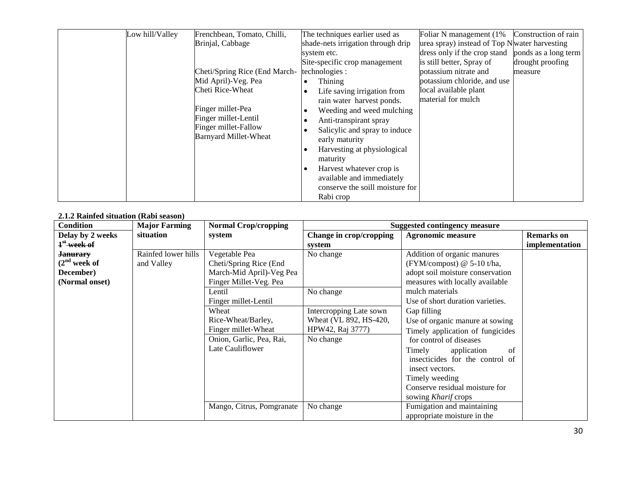| Low hill/Valley | Frenchbean, Tomato, Chilli,   | The techniques earlier used as           | Foliar N management (1%)                      | Construction of rain |
|-----------------|-------------------------------|------------------------------------------|-----------------------------------------------|----------------------|
|                 | Brinjal, Cabbage              | shade-nets irrigation through drip       | urea spray) instead of Top N water harvesting |                      |
|                 |                               | system etc.                              | dress only if the crop stand                  | ponds as a long term |
|                 |                               | Site-specific crop management            | is still better, Spray of                     | drought proofing     |
|                 | Cheti/Spring Rice (End March- | technologies :                           | potassium nitrate and                         | measure              |
|                 | Mid April)-Veg. Pea           | Thining                                  | potassium chloride, and use                   |                      |
|                 | Cheti Rice-Wheat              | Life saving irrigation from<br>$\bullet$ | local available plant                         |                      |
|                 |                               | rain water harvest ponds.                | material for mulch                            |                      |
|                 | Finger millet-Pea             | Weeding and weed mulching                |                                               |                      |
|                 | Finger millet-Lentil          | Anti-transpirant spray                   |                                               |                      |
|                 | Finger millet-Fallow          | Salicylic and spray to induce            |                                               |                      |
|                 | Barnyard Millet-Wheat         | early maturity                           |                                               |                      |
|                 |                               | Harvesting at physiological              |                                               |                      |
|                 |                               | maturity                                 |                                               |                      |
|                 |                               | Harvest whatever crop is                 |                                               |                      |
|                 |                               | available and immediately                |                                               |                      |
|                 |                               | conserve the soill moisture for          |                                               |                      |
|                 |                               | Rabi crop                                |                                               |                      |

#### **2.1.2 Rainfed situation (Rabi season)**

| <b>Condition</b>        | <b>Major Farming</b> | <b>Normal Crop/cropping</b> |                         | <b>Suggested contingency measure</b> |                   |
|-------------------------|----------------------|-----------------------------|-------------------------|--------------------------------------|-------------------|
| Delay by 2 weeks        | situation            | system                      | Change in crop/cropping | <b>Agronomic measure</b>             | <b>Remarks</b> on |
| 1 <sup>st</sup> week of |                      |                             | system                  |                                      | implementation    |
| <del>Janurarv</del>     | Rainfed lower hills  | Vegetable Pea               | No change               | Addition of organic manures          |                   |
| $(2nd$ week of          | and Valley           | Cheti/Spring Rice (End      |                         | (FYM/compost) @ 5-10 t/ha,           |                   |
| December)               |                      | March-Mid April)-Veg Pea    |                         | adopt soil moisture conservation     |                   |
| (Normal onset)          |                      | Finger Millet-Veg. Pea      |                         | measures with locally available      |                   |
|                         |                      | Lentil                      | No change               | mulch materials                      |                   |
|                         |                      | Finger millet-Lentil        |                         | Use of short duration varieties.     |                   |
|                         |                      | Wheat                       | Intercropping Late sown | Gap filling                          |                   |
|                         |                      | Rice-Wheat/Barley,          | Wheat (VL 892, HS-420,  | Use of organic manure at sowing      |                   |
|                         |                      | Finger millet-Wheat         | HPW42, Raj 3777)        | Timely application of fungicides     |                   |
|                         |                      | Onion, Garlic, Pea, Rai,    | No change               | for control of diseases              |                   |
|                         |                      | Late Cauliflower            |                         | Timely<br>application<br>of          |                   |
|                         |                      |                             |                         | insecticides for the control of      |                   |
|                         |                      |                             |                         | insect vectors.                      |                   |
|                         |                      |                             |                         | Timely weeding                       |                   |
|                         |                      |                             |                         | Conserve residual moisture for       |                   |
|                         |                      |                             |                         | sowing Kharif crops                  |                   |
|                         |                      | Mango, Citrus, Pomgranate   | No change               | Fumigation and maintaining           |                   |
|                         |                      |                             |                         | appropriate moisture in the          |                   |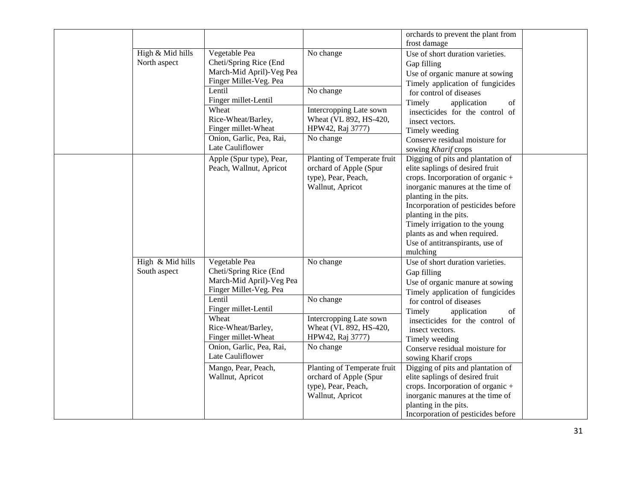|                  |                          |                             | orchards to prevent the plant from                      |  |
|------------------|--------------------------|-----------------------------|---------------------------------------------------------|--|
|                  |                          |                             | frost damage                                            |  |
| High & Mid hills | Vegetable Pea            | No change                   | Use of short duration varieties.                        |  |
| North aspect     | Cheti/Spring Rice (End   |                             | Gap filling                                             |  |
|                  | March-Mid April)-Veg Pea |                             | Use of organic manure at sowing                         |  |
|                  | Finger Millet-Veg. Pea   |                             | Timely application of fungicides                        |  |
|                  | Lentil                   | No change                   | for control of diseases                                 |  |
|                  | Finger millet-Lentil     |                             | Timely<br>application<br>of                             |  |
|                  | Wheat                    | Intercropping Late sown     | insecticides for the control of                         |  |
|                  | Rice-Wheat/Barley,       | Wheat (VL 892, HS-420,      | insect vectors.                                         |  |
|                  | Finger millet-Wheat      | HPW42, Raj 3777)            | Timely weeding                                          |  |
|                  | Onion, Garlic, Pea, Rai, | No change                   | Conserve residual moisture for                          |  |
|                  | Late Cauliflower         |                             | sowing Kharif crops                                     |  |
|                  | Apple (Spur type), Pear, | Planting of Temperate fruit | Digging of pits and plantation of                       |  |
|                  | Peach, Wallnut, Apricot  | orchard of Apple (Spur      | elite saplings of desired fruit                         |  |
|                  |                          | type), Pear, Peach,         | crops. Incorporation of organic +                       |  |
|                  |                          | Wallnut, Apricot            | inorganic manures at the time of                        |  |
|                  |                          |                             | planting in the pits.                                   |  |
|                  |                          |                             | Incorporation of pesticides before                      |  |
|                  |                          |                             | planting in the pits.<br>Timely irrigation to the young |  |
|                  |                          |                             | plants as and when required.                            |  |
|                  |                          |                             | Use of antitranspirants, use of                         |  |
|                  |                          |                             | mulching                                                |  |
| High & Mid hills | Vegetable Pea            | No change                   | Use of short duration varieties.                        |  |
| South aspect     | Cheti/Spring Rice (End   |                             | Gap filling                                             |  |
|                  | March-Mid April)-Veg Pea |                             | Use of organic manure at sowing                         |  |
|                  | Finger Millet-Veg. Pea   |                             | Timely application of fungicides                        |  |
|                  | Lentil                   | No change                   | for control of diseases                                 |  |
|                  | Finger millet-Lentil     |                             | Timely<br>application<br>of                             |  |
|                  | Wheat                    | Intercropping Late sown     | insecticides for the control of                         |  |
|                  | Rice-Wheat/Barley,       | Wheat (VL 892, HS-420,      | insect vectors.                                         |  |
|                  | Finger millet-Wheat      | HPW42, Raj 3777)            | Timely weeding                                          |  |
|                  | Onion, Garlic, Pea, Rai, | No change                   | Conserve residual moisture for                          |  |
|                  | Late Cauliflower         |                             | sowing Kharif crops                                     |  |
|                  | Mango, Pear, Peach,      | Planting of Temperate fruit | Digging of pits and plantation of                       |  |
|                  | Wallnut, Apricot         | orchard of Apple (Spur      | elite saplings of desired fruit                         |  |
|                  |                          | type), Pear, Peach,         | crops. Incorporation of organic +                       |  |
|                  |                          | Wallnut, Apricot            | inorganic manures at the time of                        |  |
|                  |                          |                             | planting in the pits.                                   |  |
|                  |                          |                             | Incorporation of pesticides before                      |  |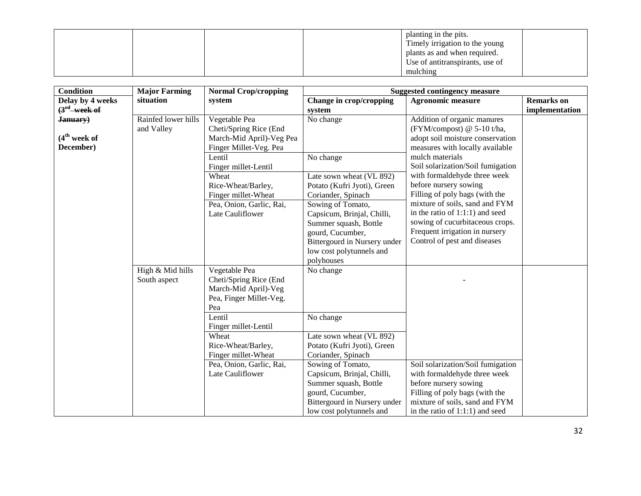|  |  | planting in the pits.           |  |
|--|--|---------------------------------|--|
|  |  | Timely irrigation to the young  |  |
|  |  | plants as and when required.    |  |
|  |  | Use of antitranspirants, use of |  |
|  |  | mulching                        |  |

| <b>Condition</b>         | <b>Major Farming</b> | <b>Normal Crop/cropping</b> |                              | <b>Suggested contingency measure</b> |                   |
|--------------------------|----------------------|-----------------------------|------------------------------|--------------------------------------|-------------------|
| Delay by 4 weeks         | situation            | system                      | Change in crop/cropping      | <b>Agronomic measure</b>             | <b>Remarks</b> on |
| $(3rd$ week of           |                      |                             | system                       |                                      | implementation    |
| January)                 | Rainfed lower hills  | Vegetable Pea               | No change                    | Addition of organic manures          |                   |
|                          | and Valley           | Cheti/Spring Rice (End      |                              | (FYM/compost) @ 5-10 t/ha,           |                   |
| (4 <sup>th</sup> week of |                      | March-Mid April)-Veg Pea    |                              | adopt soil moisture conservation     |                   |
| December)                |                      | Finger Millet-Veg. Pea      |                              | measures with locally available      |                   |
|                          |                      | Lentil                      | No change                    | mulch materials                      |                   |
|                          |                      | Finger millet-Lentil        |                              | Soil solarization/Soil fumigation    |                   |
|                          |                      | Wheat                       | Late sown wheat (VL 892)     | with formaldehyde three week         |                   |
|                          |                      | Rice-Wheat/Barley,          | Potato (Kufri Jyoti), Green  | before nursery sowing                |                   |
|                          |                      | Finger millet-Wheat         | Coriander, Spinach           | Filling of poly bags (with the       |                   |
|                          |                      | Pea, Onion, Garlic, Rai,    | Sowing of Tomato,            | mixture of soils, sand and FYM       |                   |
|                          |                      | Late Cauliflower            | Capsicum, Brinjal, Chilli,   | in the ratio of $1:1:1$ ) and seed   |                   |
|                          |                      |                             | Summer squash, Bottle        | sowing of cucurbitaceous crops.      |                   |
|                          |                      |                             | gourd, Cucumber,             | Frequent irrigation in nursery       |                   |
|                          |                      |                             | Bittergourd in Nursery under | Control of pest and diseases         |                   |
|                          |                      |                             | low cost polytunnels and     |                                      |                   |
|                          |                      |                             | polyhouses                   |                                      |                   |
|                          | High & Mid hills     | Vegetable Pea               | No change                    |                                      |                   |
|                          | South aspect         | Cheti/Spring Rice (End      |                              |                                      |                   |
|                          |                      | March-Mid April)-Veg        |                              |                                      |                   |
|                          |                      | Pea, Finger Millet-Veg.     |                              |                                      |                   |
|                          |                      | Pea                         |                              |                                      |                   |
|                          |                      | Lentil                      | No change                    |                                      |                   |
|                          |                      | Finger millet-Lentil        |                              |                                      |                   |
|                          |                      | Wheat                       | Late sown wheat (VL 892)     |                                      |                   |
|                          |                      | Rice-Wheat/Barley,          | Potato (Kufri Jyoti), Green  |                                      |                   |
|                          |                      | Finger millet-Wheat         | Coriander, Spinach           |                                      |                   |
|                          |                      | Pea, Onion, Garlic, Rai,    | Sowing of Tomato,            | Soil solarization/Soil fumigation    |                   |
|                          |                      | Late Cauliflower            | Capsicum, Brinjal, Chilli,   | with formaldehyde three week         |                   |
|                          |                      |                             | Summer squash, Bottle        | before nursery sowing                |                   |
|                          |                      |                             | gourd, Cucumber,             | Filling of poly bags (with the       |                   |
|                          |                      |                             | Bittergourd in Nursery under | mixture of soils, sand and FYM       |                   |
|                          |                      |                             | low cost polytunnels and     | in the ratio of $1:1:1$ ) and seed   |                   |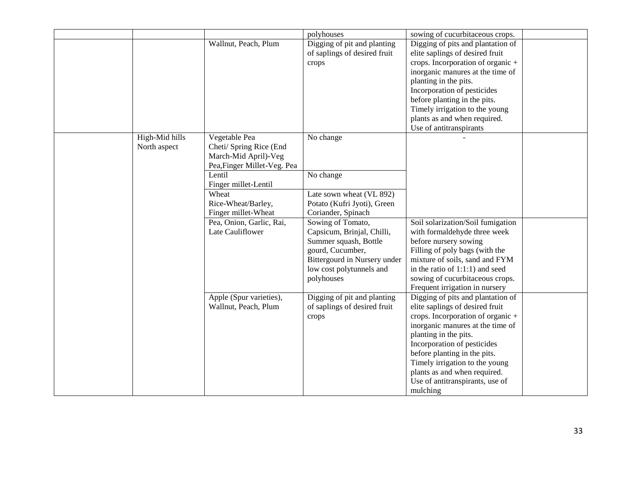|                |                             | polyhouses                                                           | sowing of cucurbitaceous crops.                                                                           |  |
|----------------|-----------------------------|----------------------------------------------------------------------|-----------------------------------------------------------------------------------------------------------|--|
|                | Wallnut, Peach, Plum        | Digging of pit and planting<br>of saplings of desired fruit<br>crops | Digging of pits and plantation of<br>elite saplings of desired fruit<br>crops. Incorporation of organic + |  |
|                |                             |                                                                      | inorganic manures at the time of                                                                          |  |
|                |                             |                                                                      | planting in the pits.                                                                                     |  |
|                |                             |                                                                      | Incorporation of pesticides                                                                               |  |
|                |                             |                                                                      | before planting in the pits.                                                                              |  |
|                |                             |                                                                      | Timely irrigation to the young                                                                            |  |
|                |                             |                                                                      | plants as and when required.<br>Use of antitranspirants                                                   |  |
| High-Mid hills | Vegetable Pea               | No change                                                            |                                                                                                           |  |
| North aspect   | Cheti/ Spring Rice (End     |                                                                      |                                                                                                           |  |
|                | March-Mid April)-Veg        |                                                                      |                                                                                                           |  |
|                | Pea, Finger Millet-Veg. Pea |                                                                      |                                                                                                           |  |
|                | Lentil                      | No change                                                            |                                                                                                           |  |
|                | Finger millet-Lentil        |                                                                      |                                                                                                           |  |
|                | Wheat                       | Late sown wheat (VL 892)                                             |                                                                                                           |  |
|                | Rice-Wheat/Barley,          | Potato (Kufri Jyoti), Green                                          |                                                                                                           |  |
|                | Finger millet-Wheat         | Coriander, Spinach                                                   |                                                                                                           |  |
|                | Pea, Onion, Garlic, Rai,    | Sowing of Tomato,                                                    | Soil solarization/Soil fumigation                                                                         |  |
|                | Late Cauliflower            | Capsicum, Brinjal, Chilli,                                           | with formaldehyde three week                                                                              |  |
|                |                             | Summer squash, Bottle                                                | before nursery sowing                                                                                     |  |
|                |                             | gourd, Cucumber,                                                     | Filling of poly bags (with the                                                                            |  |
|                |                             | Bittergourd in Nursery under                                         | mixture of soils, sand and FYM                                                                            |  |
|                |                             | low cost polytunnels and                                             | in the ratio of $1:1:1$ ) and seed                                                                        |  |
|                |                             | polyhouses                                                           | sowing of cucurbitaceous crops.                                                                           |  |
|                |                             |                                                                      | Frequent irrigation in nursery                                                                            |  |
|                | Apple (Spur varieties),     | Digging of pit and planting                                          | Digging of pits and plantation of                                                                         |  |
|                | Wallnut, Peach, Plum        | of saplings of desired fruit                                         | elite saplings of desired fruit                                                                           |  |
|                |                             | crops                                                                | crops. Incorporation of organic +                                                                         |  |
|                |                             |                                                                      | inorganic manures at the time of                                                                          |  |
|                |                             |                                                                      | planting in the pits.                                                                                     |  |
|                |                             |                                                                      | Incorporation of pesticides                                                                               |  |
|                |                             |                                                                      | before planting in the pits.                                                                              |  |
|                |                             |                                                                      | Timely irrigation to the young                                                                            |  |
|                |                             |                                                                      | plants as and when required.                                                                              |  |
|                |                             |                                                                      | Use of antitranspirants, use of<br>mulching                                                               |  |
|                |                             |                                                                      |                                                                                                           |  |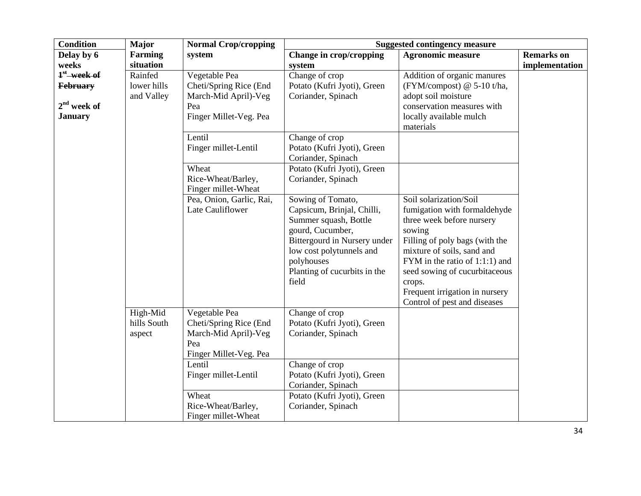| <b>Condition</b>                                                    | <b>Major</b>                         | <b>Normal Crop/cropping</b>                                                                      |                                                                                                                                                                                                                 | <b>Suggested contingency measure</b>                                                                                                                                                                                                                                                                         |                   |
|---------------------------------------------------------------------|--------------------------------------|--------------------------------------------------------------------------------------------------|-----------------------------------------------------------------------------------------------------------------------------------------------------------------------------------------------------------------|--------------------------------------------------------------------------------------------------------------------------------------------------------------------------------------------------------------------------------------------------------------------------------------------------------------|-------------------|
| Delay by 6                                                          | <b>Farming</b>                       | system                                                                                           | Change in crop/cropping                                                                                                                                                                                         | <b>Agronomic measure</b>                                                                                                                                                                                                                                                                                     | <b>Remarks</b> on |
| weeks                                                               | situation                            |                                                                                                  | system                                                                                                                                                                                                          |                                                                                                                                                                                                                                                                                                              | implementation    |
| $1st$ week of<br><b>February</b><br>$2nd$ week of<br><b>January</b> | Rainfed<br>lower hills<br>and Valley | Vegetable Pea<br>Cheti/Spring Rice (End<br>March-Mid April)-Veg<br>Pea<br>Finger Millet-Veg. Pea | Change of crop<br>Potato (Kufri Jyoti), Green<br>Coriander, Spinach                                                                                                                                             | Addition of organic manures<br>(FYM/compost) @ 5-10 t/ha,<br>adopt soil moisture<br>conservation measures with<br>locally available mulch<br>materials                                                                                                                                                       |                   |
|                                                                     |                                      | Lentil<br>Finger millet-Lentil                                                                   | Change of crop<br>Potato (Kufri Jyoti), Green<br>Coriander, Spinach                                                                                                                                             |                                                                                                                                                                                                                                                                                                              |                   |
|                                                                     |                                      | Wheat<br>Rice-Wheat/Barley,<br>Finger millet-Wheat                                               | Potato (Kufri Jyoti), Green<br>Coriander, Spinach                                                                                                                                                               |                                                                                                                                                                                                                                                                                                              |                   |
|                                                                     |                                      | Pea, Onion, Garlic, Rai,<br>Late Cauliflower                                                     | Sowing of Tomato,<br>Capsicum, Brinjal, Chilli,<br>Summer squash, Bottle<br>gourd, Cucumber,<br>Bittergourd in Nursery under<br>low cost polytunnels and<br>polyhouses<br>Planting of cucurbits in the<br>field | Soil solarization/Soil<br>fumigation with formaldehyde<br>three week before nursery<br>sowing<br>Filling of poly bags (with the<br>mixture of soils, sand and<br>FYM in the ratio of 1:1:1) and<br>seed sowing of cucurbitaceous<br>crops.<br>Frequent irrigation in nursery<br>Control of pest and diseases |                   |
|                                                                     | High-Mid<br>hills South<br>aspect    | Vegetable Pea<br>Cheti/Spring Rice (End<br>March-Mid April)-Veg<br>Pea<br>Finger Millet-Veg. Pea | Change of crop<br>Potato (Kufri Jyoti), Green<br>Coriander, Spinach                                                                                                                                             |                                                                                                                                                                                                                                                                                                              |                   |
|                                                                     |                                      | Lentil<br>Finger millet-Lentil<br>Wheat<br>Rice-Wheat/Barley,                                    | Change of crop<br>Potato (Kufri Jyoti), Green<br>Coriander, Spinach<br>Potato (Kufri Jyoti), Green<br>Coriander, Spinach                                                                                        |                                                                                                                                                                                                                                                                                                              |                   |
|                                                                     |                                      | Finger millet-Wheat                                                                              |                                                                                                                                                                                                                 |                                                                                                                                                                                                                                                                                                              |                   |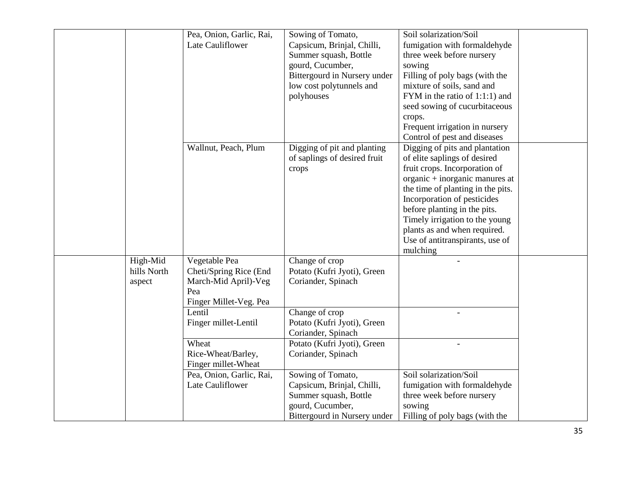|             | Pea, Onion, Garlic, Rai, | Sowing of Tomato,            | Soil solarization/Soil            |  |
|-------------|--------------------------|------------------------------|-----------------------------------|--|
|             | Late Cauliflower         | Capsicum, Brinjal, Chilli,   | fumigation with formaldehyde      |  |
|             |                          | Summer squash, Bottle        | three week before nursery         |  |
|             |                          | gourd, Cucumber,             | sowing                            |  |
|             |                          | Bittergourd in Nursery under | Filling of poly bags (with the    |  |
|             |                          |                              | mixture of soils, sand and        |  |
|             |                          | low cost polytunnels and     |                                   |  |
|             |                          | polyhouses                   | FYM in the ratio of 1:1:1) and    |  |
|             |                          |                              | seed sowing of cucurbitaceous     |  |
|             |                          |                              | crops.                            |  |
|             |                          |                              | Frequent irrigation in nursery    |  |
|             |                          |                              | Control of pest and diseases      |  |
|             | Wallnut, Peach, Plum     | Digging of pit and planting  | Digging of pits and plantation    |  |
|             |                          | of saplings of desired fruit | of elite saplings of desired      |  |
|             |                          | crops                        | fruit crops. Incorporation of     |  |
|             |                          |                              | organic $+$ inorganic manures at  |  |
|             |                          |                              | the time of planting in the pits. |  |
|             |                          |                              | Incorporation of pesticides       |  |
|             |                          |                              | before planting in the pits.      |  |
|             |                          |                              | Timely irrigation to the young    |  |
|             |                          |                              | plants as and when required.      |  |
|             |                          |                              | Use of antitranspirants, use of   |  |
|             |                          |                              | mulching                          |  |
| High-Mid    | Vegetable Pea            | Change of crop               |                                   |  |
| hills North | Cheti/Spring Rice (End   | Potato (Kufri Jyoti), Green  |                                   |  |
| aspect      | March-Mid April)-Veg     | Coriander, Spinach           |                                   |  |
|             | Pea                      |                              |                                   |  |
|             | Finger Millet-Veg. Pea   |                              |                                   |  |
|             | Lentil                   | Change of crop               |                                   |  |
|             | Finger millet-Lentil     | Potato (Kufri Jyoti), Green  |                                   |  |
|             |                          | Coriander, Spinach           |                                   |  |
|             | Wheat                    | Potato (Kufri Jyoti), Green  |                                   |  |
|             | Rice-Wheat/Barley,       | Coriander, Spinach           |                                   |  |
|             | Finger millet-Wheat      |                              |                                   |  |
|             | Pea, Onion, Garlic, Rai, | Sowing of Tomato,            | Soil solarization/Soil            |  |
|             | Late Cauliflower         | Capsicum, Brinjal, Chilli,   | fumigation with formaldehyde      |  |
|             |                          | Summer squash, Bottle        | three week before nursery         |  |
|             |                          | gourd, Cucumber,             | sowing                            |  |
|             |                          | Bittergourd in Nursery under | Filling of poly bags (with the    |  |
|             |                          |                              |                                   |  |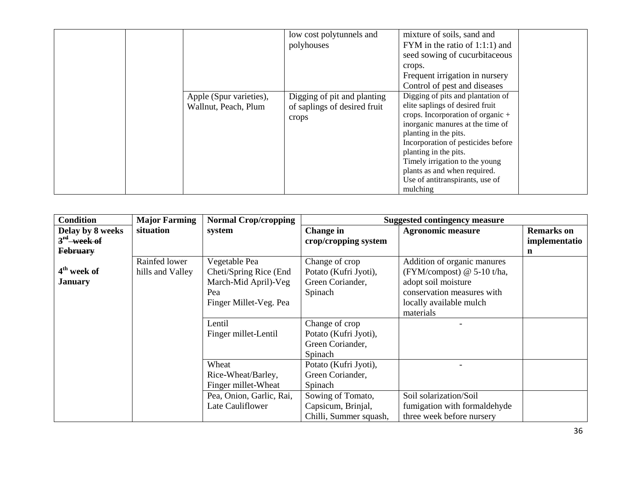|                                                 | low cost polytunnels and<br>polyhouses                               | mixture of soils, sand and<br>FYM in the ratio of $1:1:1$ ) and<br>seed sowing of cucurbitaceous<br>crops.<br>Frequent irrigation in nursery<br>Control of pest and diseases                                                                                                                                                                             |  |
|-------------------------------------------------|----------------------------------------------------------------------|----------------------------------------------------------------------------------------------------------------------------------------------------------------------------------------------------------------------------------------------------------------------------------------------------------------------------------------------------------|--|
| Apple (Spur varieties),<br>Wallnut, Peach, Plum | Digging of pit and planting<br>of saplings of desired fruit<br>crops | Digging of pits and plantation of<br>elite saplings of desired fruit<br>crops. Incorporation of organic $+$<br>inorganic manures at the time of<br>planting in the pits.<br>Incorporation of pesticides before<br>planting in the pits.<br>Timely irrigation to the young<br>plants as and when required.<br>Use of antitranspirants, use of<br>mulching |  |

| <b>Condition</b>        | <b>Major Farming</b> | <b>Normal Crop/cropping</b> |                        | <b>Suggested contingency measure</b> |                   |
|-------------------------|----------------------|-----------------------------|------------------------|--------------------------------------|-------------------|
| Delay by 8 weeks        | situation            | system                      | <b>Change</b> in       | <b>Agronomic measure</b>             | <b>Remarks</b> on |
| $3rd$ week of           |                      |                             | crop/cropping system   |                                      | implementatio     |
| <b>February</b>         |                      |                             |                        |                                      | n                 |
|                         | Rainfed lower        | Vegetable Pea               | Change of crop         | Addition of organic manures          |                   |
| 4 <sup>th</sup> week of | hills and Valley     | Cheti/Spring Rice (End      | Potato (Kufri Jyoti),  | (FYM/compost) $@$ 5-10 t/ha,         |                   |
| <b>January</b>          |                      | March-Mid April)-Veg        | Green Coriander,       | adopt soil moisture                  |                   |
|                         |                      | Pea                         | Spinach                | conservation measures with           |                   |
|                         |                      | Finger Millet-Veg. Pea      |                        | locally available mulch              |                   |
|                         |                      |                             |                        | materials                            |                   |
|                         |                      | Lentil                      | Change of crop         |                                      |                   |
|                         |                      | Finger millet-Lentil        | Potato (Kufri Jyoti),  |                                      |                   |
|                         |                      |                             | Green Coriander,       |                                      |                   |
|                         |                      |                             | Spinach                |                                      |                   |
|                         |                      | Wheat                       | Potato (Kufri Jyoti),  |                                      |                   |
|                         |                      | Rice-Wheat/Barley,          | Green Coriander,       |                                      |                   |
|                         |                      | Finger millet-Wheat         | Spinach                |                                      |                   |
|                         |                      | Pea, Onion, Garlic, Rai,    | Sowing of Tomato,      | Soil solarization/Soil               |                   |
|                         |                      | Late Cauliflower            | Capsicum, Brinjal,     | fumigation with formaldehyde         |                   |
|                         |                      |                             | Chilli, Summer squash, | three week before nursery            |                   |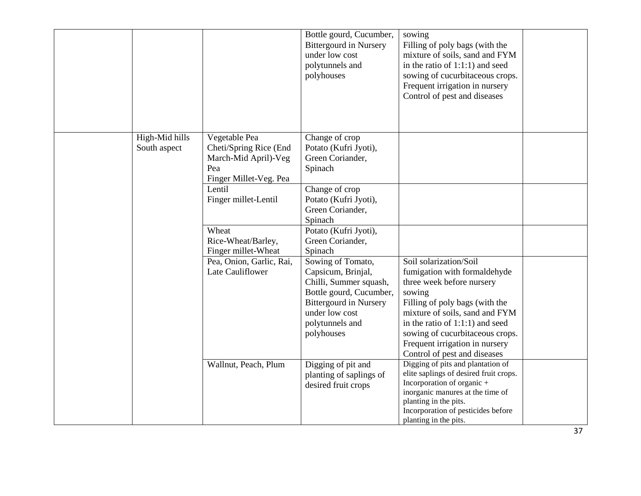|                                |                                                                                                  | Bottle gourd, Cucumber,<br><b>Bittergourd in Nursery</b><br>under low cost<br>polytunnels and<br>polyhouses                                                                      | sowing<br>Filling of poly bags (with the<br>mixture of soils, sand and FYM<br>in the ratio of $1:1:1$ ) and seed<br>sowing of cucurbitaceous crops.<br>Frequent irrigation in nursery                                                                                                                        |  |
|--------------------------------|--------------------------------------------------------------------------------------------------|----------------------------------------------------------------------------------------------------------------------------------------------------------------------------------|--------------------------------------------------------------------------------------------------------------------------------------------------------------------------------------------------------------------------------------------------------------------------------------------------------------|--|
|                                |                                                                                                  |                                                                                                                                                                                  | Control of pest and diseases                                                                                                                                                                                                                                                                                 |  |
| High-Mid hills<br>South aspect | Vegetable Pea<br>Cheti/Spring Rice (End<br>March-Mid April)-Veg<br>Pea<br>Finger Millet-Veg. Pea | Change of crop<br>Potato (Kufri Jyoti),<br>Green Coriander,<br>Spinach                                                                                                           |                                                                                                                                                                                                                                                                                                              |  |
|                                | Lentil<br>Finger millet-Lentil                                                                   | Change of crop<br>Potato (Kufri Jyoti),<br>Green Coriander,<br>Spinach                                                                                                           |                                                                                                                                                                                                                                                                                                              |  |
|                                | Wheat<br>Rice-Wheat/Barley,<br>Finger millet-Wheat                                               | Potato (Kufri Jyoti),<br>Green Coriander,<br>Spinach                                                                                                                             |                                                                                                                                                                                                                                                                                                              |  |
|                                | Pea, Onion, Garlic, Rai,<br>Late Cauliflower                                                     | Sowing of Tomato,<br>Capsicum, Brinjal,<br>Chilli, Summer squash,<br>Bottle gourd, Cucumber,<br><b>Bittergourd in Nursery</b><br>under low cost<br>polytunnels and<br>polyhouses | Soil solarization/Soil<br>fumigation with formaldehyde<br>three week before nursery<br>sowing<br>Filling of poly bags (with the<br>mixture of soils, sand and FYM<br>in the ratio of $1:1:1$ ) and seed<br>sowing of cucurbitaceous crops.<br>Frequent irrigation in nursery<br>Control of pest and diseases |  |
|                                | Wallnut, Peach, Plum                                                                             | Digging of pit and<br>planting of saplings of<br>desired fruit crops                                                                                                             | Digging of pits and plantation of<br>elite saplings of desired fruit crops.<br>Incorporation of organic +<br>inorganic manures at the time of<br>planting in the pits.<br>Incorporation of pesticides before<br>planting in the pits.                                                                        |  |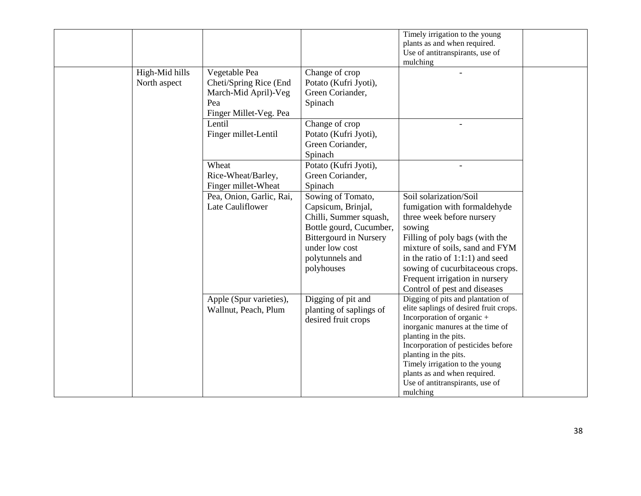|                                |                                                                                                                                    |                                                                                                                                                                                                                                          | Timely irrigation to the young<br>plants as and when required.<br>Use of antitranspirants, use of<br>mulching                                                                                                                                                                                                                                          |  |
|--------------------------------|------------------------------------------------------------------------------------------------------------------------------------|------------------------------------------------------------------------------------------------------------------------------------------------------------------------------------------------------------------------------------------|--------------------------------------------------------------------------------------------------------------------------------------------------------------------------------------------------------------------------------------------------------------------------------------------------------------------------------------------------------|--|
| High-Mid hills<br>North aspect | Vegetable Pea<br>Cheti/Spring Rice (End<br>March-Mid April)-Veg<br>Pea<br>Finger Millet-Veg. Pea<br>Lentil<br>Finger millet-Lentil | Change of crop<br>Potato (Kufri Jyoti),<br>Green Coriander,<br>Spinach<br>Change of crop<br>Potato (Kufri Jyoti),<br>Green Coriander,<br>Spinach                                                                                         |                                                                                                                                                                                                                                                                                                                                                        |  |
|                                | Wheat<br>Rice-Wheat/Barley,<br>Finger millet-Wheat<br>Pea, Onion, Garlic, Rai,<br>Late Cauliflower                                 | Potato (Kufri Jyoti),<br>Green Coriander,<br>Spinach<br>Sowing of Tomato,<br>Capsicum, Brinjal,<br>Chilli, Summer squash,<br>Bottle gourd, Cucumber,<br><b>Bittergourd in Nursery</b><br>under low cost<br>polytunnels and<br>polyhouses | Soil solarization/Soil<br>fumigation with formaldehyde<br>three week before nursery<br>sowing<br>Filling of poly bags (with the<br>mixture of soils, sand and FYM<br>in the ratio of $1:1:1$ ) and seed<br>sowing of cucurbitaceous crops.<br>Frequent irrigation in nursery<br>Control of pest and diseases                                           |  |
|                                | Apple (Spur varieties),<br>Wallnut, Peach, Plum                                                                                    | Digging of pit and<br>planting of saplings of<br>desired fruit crops                                                                                                                                                                     | Digging of pits and plantation of<br>elite saplings of desired fruit crops.<br>Incorporation of organic +<br>inorganic manures at the time of<br>planting in the pits.<br>Incorporation of pesticides before<br>planting in the pits.<br>Timely irrigation to the young<br>plants as and when required.<br>Use of antitranspirants, use of<br>mulching |  |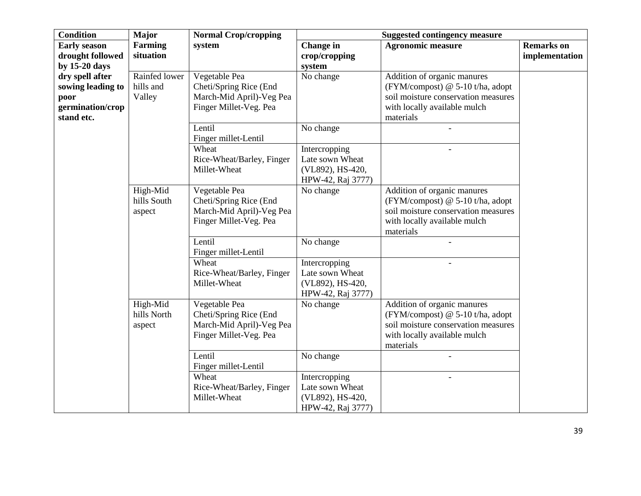| <b>Condition</b>                                                               | <b>Major</b>                         | <b>Normal Crop/cropping</b>                                                                   |                                                                                        | <b>Suggested contingency measure</b>                                                                                                                  |                                     |
|--------------------------------------------------------------------------------|--------------------------------------|-----------------------------------------------------------------------------------------------|----------------------------------------------------------------------------------------|-------------------------------------------------------------------------------------------------------------------------------------------------------|-------------------------------------|
| <b>Early season</b><br>drought followed<br>by $15-20$ days                     | Farming<br>situation                 | system                                                                                        | <b>Change</b> in<br>crop/cropping<br>system                                            | <b>Agronomic measure</b>                                                                                                                              | <b>Remarks</b> on<br>implementation |
| dry spell after<br>sowing leading to<br>poor<br>germination/crop<br>stand etc. | Rainfed lower<br>hills and<br>Valley | Vegetable Pea<br>Cheti/Spring Rice (End<br>March-Mid April)-Veg Pea<br>Finger Millet-Veg. Pea | No change                                                                              | Addition of organic manures<br>(FYM/compost) $@$ 5-10 t/ha, adopt<br>soil moisture conservation measures<br>with locally available mulch<br>materials |                                     |
|                                                                                |                                      | Lentil<br>Finger millet-Lentil                                                                | No change                                                                              |                                                                                                                                                       |                                     |
|                                                                                |                                      | Wheat<br>Rice-Wheat/Barley, Finger<br>Millet-Wheat                                            | Intercropping<br>Late sown Wheat<br>(VL892), HS-420,<br>HPW-42, Raj 3777)              |                                                                                                                                                       |                                     |
|                                                                                | High-Mid<br>hills South<br>aspect    | Vegetable Pea<br>Cheti/Spring Rice (End<br>March-Mid April)-Veg Pea<br>Finger Millet-Veg. Pea | No change                                                                              | Addition of organic manures<br>(FYM/compost) @ 5-10 t/ha, adopt<br>soil moisture conservation measures<br>with locally available mulch<br>materials   |                                     |
|                                                                                |                                      | Lentil<br>Finger millet-Lentil                                                                | No change                                                                              |                                                                                                                                                       |                                     |
|                                                                                |                                      | Wheat<br>Rice-Wheat/Barley, Finger<br>Millet-Wheat                                            | Intercropping<br>Late sown Wheat<br>(VL892), HS-420,<br>HPW-42, Raj 3777)              |                                                                                                                                                       |                                     |
|                                                                                | High-Mid<br>hills North<br>aspect    | Vegetable Pea<br>Cheti/Spring Rice (End<br>March-Mid April)-Veg Pea<br>Finger Millet-Veg. Pea | No change                                                                              | Addition of organic manures<br>(FYM/compost) $@$ 5-10 t/ha, adopt<br>soil moisture conservation measures<br>with locally available mulch<br>materials |                                     |
|                                                                                |                                      | Lentil<br>Finger millet-Lentil<br>Wheat<br>Rice-Wheat/Barley, Finger<br>Millet-Wheat          | No change<br>Intercropping<br>Late sown Wheat<br>(VL892), HS-420,<br>HPW-42, Raj 3777) |                                                                                                                                                       |                                     |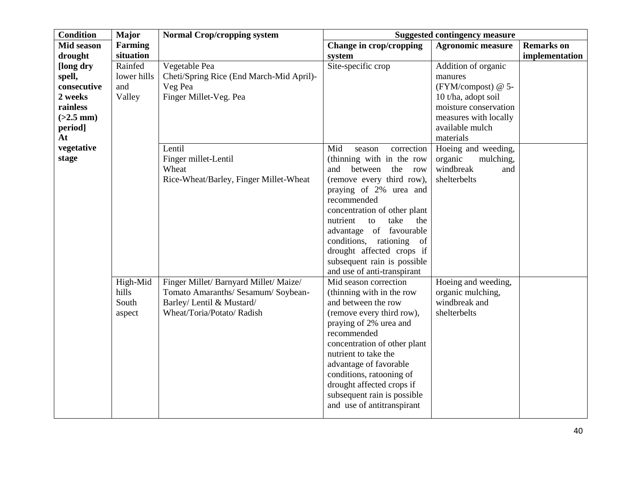| <b>Condition</b>                                                                                                 | <b>Major</b>                            | <b>Normal Crop/cropping system</b>                                                                                                                                                  |                                                                                                                                                                                                                                                                                                                                                         | <b>Suggested contingency measure</b>                                                                                                                                                                                                             |                   |
|------------------------------------------------------------------------------------------------------------------|-----------------------------------------|-------------------------------------------------------------------------------------------------------------------------------------------------------------------------------------|---------------------------------------------------------------------------------------------------------------------------------------------------------------------------------------------------------------------------------------------------------------------------------------------------------------------------------------------------------|--------------------------------------------------------------------------------------------------------------------------------------------------------------------------------------------------------------------------------------------------|-------------------|
| Mid season                                                                                                       | Farming                                 |                                                                                                                                                                                     | Change in crop/cropping                                                                                                                                                                                                                                                                                                                                 | <b>Agronomic measure</b>                                                                                                                                                                                                                         | <b>Remarks</b> on |
| drought                                                                                                          | situation                               |                                                                                                                                                                                     | system                                                                                                                                                                                                                                                                                                                                                  |                                                                                                                                                                                                                                                  | implementation    |
| [long dry<br>spell,<br>consecutive<br>2 weeks<br>rainless<br>$(>2.5$ mm)<br>period]<br>At<br>vegetative<br>stage | Rainfed<br>lower hills<br>and<br>Valley | Vegetable Pea<br>Cheti/Spring Rice (End March-Mid April)-<br>Veg Pea<br>Finger Millet-Veg. Pea<br>Lentil<br>Finger millet-Lentil<br>Wheat<br>Rice-Wheat/Barley, Finger Millet-Wheat | Site-specific crop<br>Mid<br>correction<br>season<br>(thinning with in the row<br>and<br>between<br>the<br>row<br>(remove every third row),<br>praying of 2% urea and<br>recommended<br>concentration of other plant<br>take<br>the                                                                                                                     | Addition of organic<br>manures<br>(FYM/compost) @ 5-<br>10 t/ha, adopt soil<br>moisture conservation<br>measures with locally<br>available mulch<br>materials<br>Hoeing and weeding,<br>organic<br>mulching,<br>windbreak<br>and<br>shelterbelts |                   |
|                                                                                                                  |                                         |                                                                                                                                                                                     | nutrient<br>to<br>advantage of favourable<br>conditions, rationing of<br>drought affected crops if<br>subsequent rain is possible<br>and use of anti-transpirant                                                                                                                                                                                        |                                                                                                                                                                                                                                                  |                   |
|                                                                                                                  | High-Mid<br>hills<br>South<br>aspect    | Finger Millet/ Barnyard Millet/ Maize/<br>Tomato Amaranths/ Sesamum/ Soybean-<br>Barley/ Lentil & Mustard/<br>Wheat/Toria/Potato/ Radish                                            | Mid season correction<br>(thinning with in the row<br>and between the row<br>(remove every third row),<br>praying of 2% urea and<br>recommended<br>concentration of other plant<br>nutrient to take the<br>advantage of favorable<br>conditions, ratooning of<br>drought affected crops if<br>subsequent rain is possible<br>and use of antitranspirant | Hoeing and weeding,<br>organic mulching,<br>windbreak and<br>shelterbelts                                                                                                                                                                        |                   |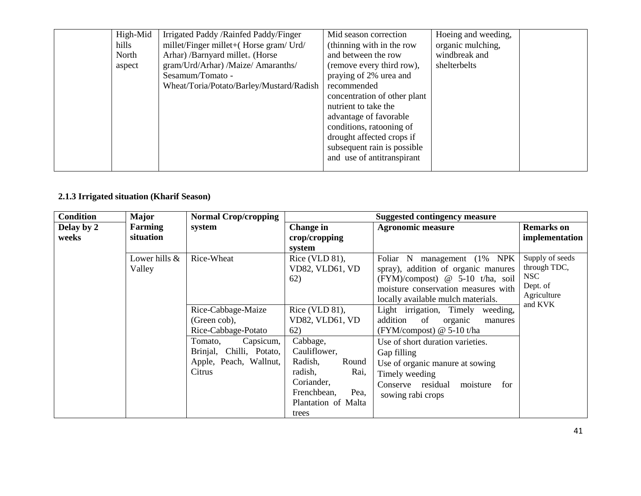| High-Mid | Irrigated Paddy / Rainfed Paddy/Finger   | Mid season correction        | Hoeing and weeding, |  |
|----------|------------------------------------------|------------------------------|---------------------|--|
| hills    | millet/Finger millet+(Horse gram/Urd/    | (thinning with in the row    | organic mulching,   |  |
| North    | Arhar) /Barnyard millet. (Horse          | and between the row          | windbreak and       |  |
| aspect   | gram/Urd/Arhar) /Maize/ Amaranths/       | (remove every third row),    | shelterbelts        |  |
|          | Sesamum/Tomato -                         | praying of 2% urea and       |                     |  |
|          | Wheat/Toria/Potato/Barley/Mustard/Radish | recommended                  |                     |  |
|          |                                          | concentration of other plant |                     |  |
|          |                                          | nutrient to take the         |                     |  |
|          |                                          | advantage of favorable       |                     |  |
|          |                                          | conditions, rationing of     |                     |  |
|          |                                          | drought affected crops if    |                     |  |
|          |                                          | subsequent rain is possible  |                     |  |
|          |                                          | and use of antitranspirant   |                     |  |
|          |                                          |                              |                     |  |

## **2.1.3 Irrigated situation (Kharif Season)**

| <b>Condition</b> | <b>Major</b>  | <b>Normal Crop/cropping</b> |                     | <b>Suggested contingency measure</b>         |                        |
|------------------|---------------|-----------------------------|---------------------|----------------------------------------------|------------------------|
| Delay by 2       | Farming       | system                      | Change in           | <b>Agronomic measure</b>                     | <b>Remarks</b> on      |
| weeks            | situation     |                             | crop/cropping       |                                              | implementation         |
|                  |               |                             | system              |                                              |                        |
|                  | Lower hills & | Rice-Wheat                  | Rice (VLD $81$ ),   | management (1% NPK)<br>Foliar N              | Supply of seeds        |
|                  | Valley        |                             | VD82, VLD61, VD     | spray), addition of organic manures          | through TDC,           |
|                  |               |                             | 62)                 | $(FYM)/\text{composition}$ @ 5-10 t/ha, soil | <b>NSC</b>             |
|                  |               |                             |                     | moisture conservation measures with          | Dept. of               |
|                  |               |                             |                     | locally available mulch materials.           | Agriculture<br>and KVK |
|                  |               | Rice-Cabbage-Maize          | Rice (VLD $81$ ),   | Light irrigation, Timely<br>weeding,         |                        |
|                  |               | (Green cob),                | VD82, VLD61, VD     | addition<br>of<br>organic<br>manures         |                        |
|                  |               | Rice-Cabbage-Potato         | 62)                 | $(FYM/compost)$ @ 5-10 t/ha                  |                        |
|                  |               | Tomato,<br>Capsicum,        | Cabbage,            | Use of short duration varieties.             |                        |
|                  |               | Brinjal, Chilli, Potato,    | Cauliflower,        | Gap filling                                  |                        |
|                  |               | Apple, Peach, Wallnut,      | Radish,<br>Round    | Use of organic manure at sowing              |                        |
|                  |               | Citrus                      | Rai,<br>radish,     | Timely weeding                               |                        |
|                  |               |                             | Coriander,          | Conserve residual<br>moisture<br>for         |                        |
|                  |               |                             | Frenchbean,<br>Pea, | sowing rabi crops                            |                        |
|                  |               |                             | Plantation of Malta |                                              |                        |
|                  |               |                             | trees               |                                              |                        |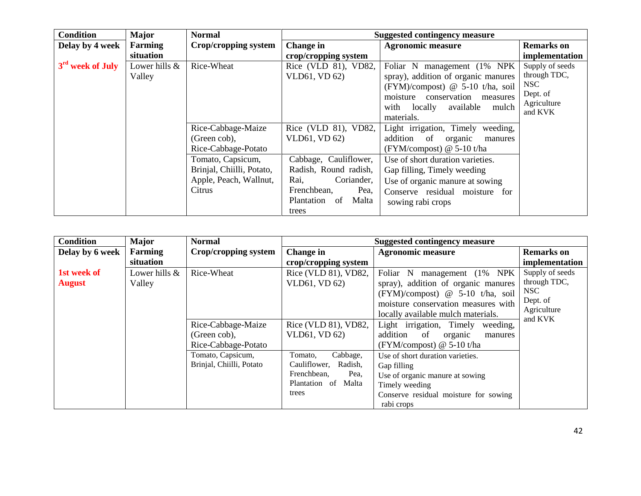| <b>Condition</b>             | <b>Major</b>  | <b>Normal</b>             |                        | <b>Suggested contingency measure</b>         |                   |
|------------------------------|---------------|---------------------------|------------------------|----------------------------------------------|-------------------|
| Delay by 4 week              | Farming       | Crop/cropping system      | <b>Change in</b>       | <b>Agronomic measure</b>                     | <b>Remarks</b> on |
|                              | situation     |                           | crop/cropping system   |                                              | implementation    |
| 3 <sup>rd</sup> week of July | Lower hills & | Rice-Wheat                | Rice (VLD 81), VD82,   | Foliar N management (1% NPK)                 | Supply of seeds   |
|                              | Valley        |                           | VLD61, VD 62)          | spray), addition of organic manures          | through TDC,      |
|                              |               |                           |                        | $(FYM)/\text{composition}$ @ 5-10 t/ha, soil | NSC               |
|                              |               |                           |                        | moisture<br>conservation<br>measures         | Dept. of          |
|                              |               |                           |                        | available<br>with locally<br>mulch           | Agriculture       |
|                              |               |                           |                        | materials.                                   | and KVK           |
|                              |               | Rice-Cabbage-Maize        | Rice (VLD 81), VD82,   | Light irrigation, Timely weeding,            |                   |
|                              |               | (Green cob),              | VLD61, VD 62)          | addition of<br>organic<br>manures            |                   |
|                              |               | Rice-Cabbage-Potato       |                        | (FYM/compost) $@$ 5-10 t/ha                  |                   |
|                              |               | Tomato, Capsicum,         | Cabbage, Cauliflower,  | Use of short duration varieties.             |                   |
|                              |               | Brinjal, Chiilli, Potato, | Radish, Round radish,  | Gap filling, Timely weeding                  |                   |
|                              |               | Apple, Peach, Wallnut,    | Rai,<br>Coriander,     | Use of organic manure at sowing              |                   |
|                              |               | Citrus                    | Frenchbean,<br>Pea,    | Conserve residual moisture for               |                   |
|                              |               |                           | Plantation of<br>Malta | sowing rabi crops                            |                   |
|                              |               |                           | trees                  |                                              |                   |

| <b>Condition</b> | <b>Major</b>  | <b>Normal</b>            |                         | <b>Suggested contingency measure</b>         |                   |
|------------------|---------------|--------------------------|-------------------------|----------------------------------------------|-------------------|
| Delay by 6 week  | Farming       | Crop/cropping system     | Change in               | <b>Agronomic measure</b>                     | <b>Remarks</b> on |
|                  | situation     |                          | crop/cropping system    |                                              | implementation    |
| 1st week of      | Lower hills & | Rice-Wheat               | Rice (VLD 81), VD82,    | Foliar N<br>$(1\%$ NPK<br>management         | Supply of seeds   |
| <b>August</b>    | Valley        |                          | VLD61, VD 62)           | spray), addition of organic manures          | through TDC,      |
|                  |               |                          |                         | $(FYM)/\text{composition}$ @ 5-10 t/ha, soil | NSC               |
|                  |               |                          |                         | moisture conservation measures with          | Dept. of          |
|                  |               |                          |                         | locally available mulch materials.           | Agriculture       |
|                  |               | Rice-Cabbage-Maize       | Rice (VLD 81), VD82,    | Light irrigation, Timely<br>weeding,         | and KVK           |
|                  |               | (Green cob),             | VLD61, VD 62)           | addition<br>of<br>organic<br>manures         |                   |
|                  |               | Rice-Cabbage-Potato      |                         | (FYM/compost) $@$ 5-10 t/ha                  |                   |
|                  |               | Tomato, Capsicum,        | Cabbage,<br>Tomato,     | Use of short duration varieties.             |                   |
|                  |               | Brinjal, Chiilli, Potato | Radish,<br>Cauliflower, | Gap filling                                  |                   |
|                  |               |                          | Frenchbean.<br>Pea,     | Use of organic manure at sowing              |                   |
|                  |               |                          | Plantation of<br>Malta  | Timely weeding                               |                   |
|                  |               |                          | trees                   | Conserve residual moisture for sowing        |                   |
|                  |               |                          |                         | rabi crops                                   |                   |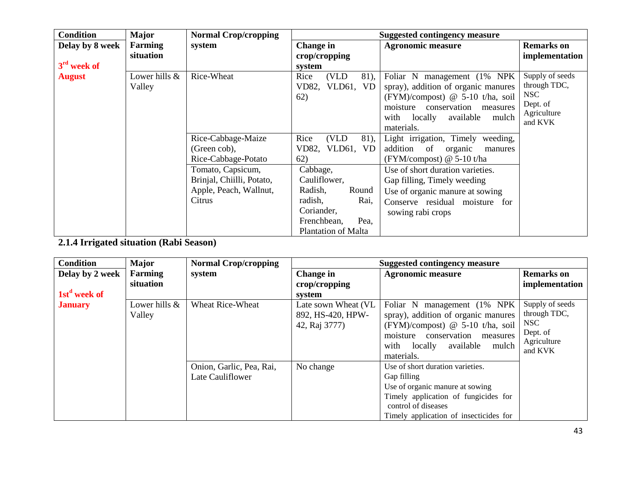| <b>Condition</b> | <b>Major</b>  | <b>Normal Crop/cropping</b> |                            | <b>Suggested contingency measure</b> |                        |
|------------------|---------------|-----------------------------|----------------------------|--------------------------------------|------------------------|
| Delay by 8 week  | Farming       | system                      | Change in                  | <b>Agronomic measure</b>             | <b>Remarks</b> on      |
|                  | situation     |                             | crop/cropping              |                                      | implementation         |
| $3rd$ week of    |               |                             | system                     |                                      |                        |
| <b>August</b>    | Lower hills & | Rice-Wheat                  | (VLD)<br>Rice<br>81),      | Foliar N management (1% NPK)         | Supply of seeds        |
|                  | Valley        |                             | VD82, VLD61, VD            | spray), addition of organic manures  | through TDC,           |
|                  |               |                             | 62)                        | (FYM)/compost) @ 5-10 t/ha, soil     | <b>NSC</b>             |
|                  |               |                             |                            | conservation<br>moisture<br>measures | Dept. of               |
|                  |               |                             |                            | with locally available<br>mulch      | Agriculture<br>and KVK |
|                  |               |                             |                            | materials.                           |                        |
|                  |               | Rice-Cabbage-Maize          | Rice<br>(VLD)<br>81),      | Light irrigation, Timely weeding,    |                        |
|                  |               | (Green cob),                | VD82, VLD61, VD            | addition<br>of organic<br>manures    |                        |
|                  |               | Rice-Cabbage-Potato         | 62)                        | $(FYM/compost)$ @ 5-10 t/ha          |                        |
|                  |               | Tomato, Capsicum,           | Cabbage,                   | Use of short duration varieties.     |                        |
|                  |               | Brinjal, Chiilli, Potato,   | Cauliflower,               | Gap filling, Timely weeding          |                        |
|                  |               | Apple, Peach, Wallnut,      | Round<br>Radish,           | Use of organic manure at sowing      |                        |
|                  |               | Citrus                      | radish,<br>Rai,            | Conserve residual moisture for       |                        |
|                  |               |                             | Coriander,                 | sowing rabi crops                    |                        |
|                  |               |                             | Frenchbean,<br>Pea,        |                                      |                        |
|                  |               |                             | <b>Plantation of Malta</b> |                                      |                        |

**2.1.4 Irrigated situation (Rabi Season)**

| <b>Condition</b>         | <b>Major</b>            | <b>Normal Crop/cropping</b>                  |                                                           | <b>Suggested contingency measure</b>                                                                                                                                                                            |                                                                              |
|--------------------------|-------------------------|----------------------------------------------|-----------------------------------------------------------|-----------------------------------------------------------------------------------------------------------------------------------------------------------------------------------------------------------------|------------------------------------------------------------------------------|
| Delay by 2 week          | <b>Farming</b>          | system                                       | Change in                                                 | <b>Agronomic measure</b>                                                                                                                                                                                        | <b>Remarks</b> on                                                            |
|                          | situation               |                                              | crop/cropping                                             |                                                                                                                                                                                                                 | implementation                                                               |
| 1st <sup>d</sup> week of |                         |                                              | system                                                    |                                                                                                                                                                                                                 |                                                                              |
| <b>January</b>           | Lower hills &<br>Valley | <b>Wheat Rice-Wheat</b>                      | Late sown Wheat (VL<br>892, HS-420, HPW-<br>42, Raj 3777) | Foliar N management (1% NPK)<br>spray), addition of organic manures<br>$(FYM)/\text{composition}$ @ 5-10 t/ha, soil<br>moisture<br>conservation<br>measures<br>with locally<br>available<br>mulch<br>materials. | Supply of seeds<br>through TDC,<br>NSC<br>Dept. of<br>Agriculture<br>and KVK |
|                          |                         | Onion, Garlic, Pea, Rai,<br>Late Cauliflower | No change                                                 | Use of short duration varieties.<br>Gap filling<br>Use of organic manure at sowing<br>Timely application of fungicides for<br>control of diseases<br>Timely application of insecticides for                     |                                                                              |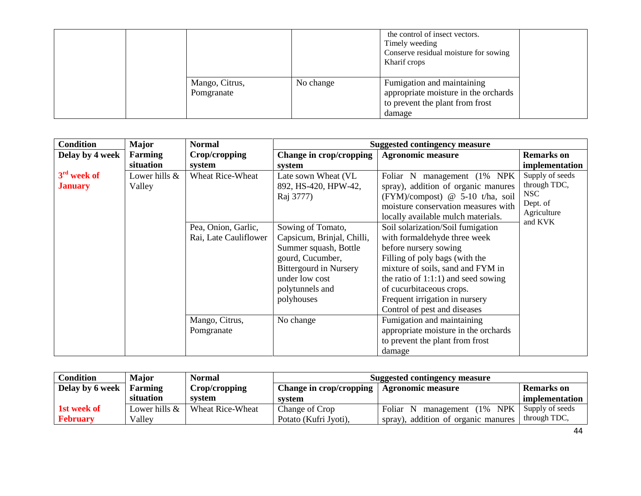|  |                              |           | the control of insect vectors.<br>Timely weeding<br>Conserve residual moisture for sowing<br>Kharif crops       |  |
|--|------------------------------|-----------|-----------------------------------------------------------------------------------------------------------------|--|
|  | Mango, Citrus,<br>Pomgranate | No change | Fumigation and maintaining<br>appropriate moisture in the orchards<br>to prevent the plant from frost<br>damage |  |

| <b>Condition</b>                | <b>Major</b>            | <b>Normal</b>                                                           | <b>Suggested contingency measure</b>                                                                                                                                                                                           |                                                                                                                                                                                                                                                                                                                                                                                                                                 |                                                                              |
|---------------------------------|-------------------------|-------------------------------------------------------------------------|--------------------------------------------------------------------------------------------------------------------------------------------------------------------------------------------------------------------------------|---------------------------------------------------------------------------------------------------------------------------------------------------------------------------------------------------------------------------------------------------------------------------------------------------------------------------------------------------------------------------------------------------------------------------------|------------------------------------------------------------------------------|
| Delay by 4 week                 | Farming                 | Crop/cropping                                                           | Change in crop/cropping                                                                                                                                                                                                        | <b>Agronomic measure</b>                                                                                                                                                                                                                                                                                                                                                                                                        | <b>Remarks</b> on                                                            |
|                                 | situation               | system                                                                  | system                                                                                                                                                                                                                         |                                                                                                                                                                                                                                                                                                                                                                                                                                 | implementation                                                               |
| $3rd$ week of<br><b>January</b> | Lower hills &<br>Valley | <b>Wheat Rice-Wheat</b><br>Pea, Onion, Garlic,<br>Rai, Late Cauliflower | Late sown Wheat (VL<br>892, HS-420, HPW-42,<br>Raj 3777)<br>Sowing of Tomato,<br>Capsicum, Brinjal, Chilli,<br>Summer squash, Bottle<br>gourd, Cucumber,<br><b>Bittergourd in Nursery</b><br>under low cost<br>polytunnels and | Foliar N management (1% NPK)<br>spray), addition of organic manures<br>(FYM)/compost) @ 5-10 t/ha, soil<br>moisture conservation measures with<br>locally available mulch materials.<br>Soil solarization/Soil fumigation<br>with formaldehyde three week<br>before nursery sowing<br>Filling of poly bags (with the<br>mixture of soils, sand and FYM in<br>the ratio of $1:1:1$ ) and seed sowing<br>of cucurbitaceous crops. | Supply of seeds<br>through TDC,<br>NSC<br>Dept. of<br>Agriculture<br>and KVK |
|                                 |                         |                                                                         | polyhouses                                                                                                                                                                                                                     | Frequent irrigation in nursery<br>Control of pest and diseases                                                                                                                                                                                                                                                                                                                                                                  |                                                                              |
|                                 |                         | Mango, Citrus,<br>Pomgranate                                            | No change                                                                                                                                                                                                                      | Fumigation and maintaining<br>appropriate moisture in the orchards<br>to prevent the plant from frost                                                                                                                                                                                                                                                                                                                           |                                                                              |
|                                 |                         |                                                                         |                                                                                                                                                                                                                                | damage                                                                                                                                                                                                                                                                                                                                                                                                                          |                                                                              |

| Condition       | Major         | <b>Normal</b>    | <b>Suggested contingency measure</b> |                                                    |                   |
|-----------------|---------------|------------------|--------------------------------------|----------------------------------------------------|-------------------|
| Delay by 6 week | Farming       | Crop/cropping    | Change in crop/cropping              | Agronomic measure                                  | <b>Remarks</b> on |
|                 | situation     | system           | system                               |                                                    | implementation    |
| 1st week of     | Lower hills & | Wheat Rice-Wheat | Change of Crop                       | $(1\% \quad \text{NPK})$<br>Foliar N<br>management | Supply of seeds   |
| <b>February</b> | Vallev        |                  | Potato (Kufri Jyoti),                | spray), addition of organic manures                | through TDC,      |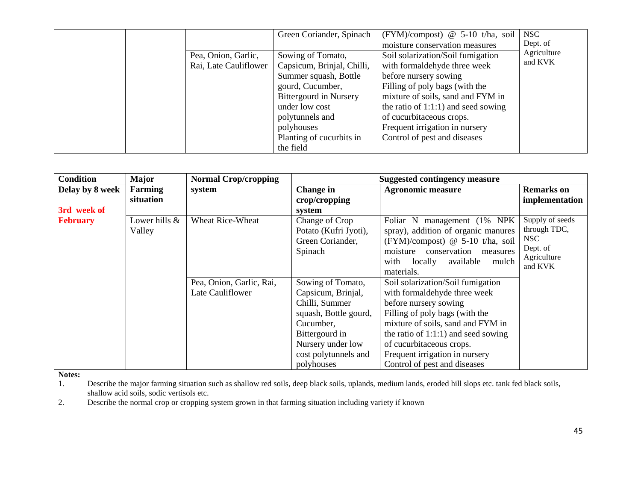|  |                       | Green Coriander, Spinach      | $(FYM)/\text{composition}$ @ 5-10 t/ha, soil | <b>NSC</b>  |
|--|-----------------------|-------------------------------|----------------------------------------------|-------------|
|  |                       |                               | moisture conservation measures               | Dept. of    |
|  | Pea, Onion, Garlic,   | Sowing of Tomato,             | Soil solarization/Soil fumigation            | Agriculture |
|  | Rai, Late Cauliflower | Capsicum, Brinjal, Chilli,    | with formaldehyde three week                 | and KVK     |
|  |                       | Summer squash, Bottle         | before nursery sowing                        |             |
|  |                       | gourd, Cucumber,              | Filling of poly bags (with the               |             |
|  |                       | <b>Bittergourd in Nursery</b> | mixture of soils, sand and FYM in            |             |
|  |                       | under low cost                | the ratio of $1:1:1$ ) and seed sowing       |             |
|  |                       | polytunnels and               | of cucurbitaceous crops.                     |             |
|  |                       | polyhouses                    | Frequent irrigation in nursery               |             |
|  |                       | Planting of cucurbits in      | Control of pest and diseases                 |             |
|  |                       | the field                     |                                              |             |

| <b>Condition</b>               | Major                       | <b>Normal Crop/cropping</b>                  | <b>Suggested contingency measure</b>                                                                                                                                         |                                                                                                                                                                                                                                                                                                           |                                                                              |
|--------------------------------|-----------------------------|----------------------------------------------|------------------------------------------------------------------------------------------------------------------------------------------------------------------------------|-----------------------------------------------------------------------------------------------------------------------------------------------------------------------------------------------------------------------------------------------------------------------------------------------------------|------------------------------------------------------------------------------|
| Delay by 8 week<br>3rd week of | <b>Farming</b><br>situation | system                                       | Change in<br>crop/cropping<br>system                                                                                                                                         | <b>Agronomic measure</b>                                                                                                                                                                                                                                                                                  | <b>Remarks</b> on<br>implementation                                          |
| <b>February</b>                | Lower hills &<br>Valley     | <b>Wheat Rice-Wheat</b>                      | Change of Crop<br>Potato (Kufri Jyoti),<br>Green Coriander,<br>Spinach                                                                                                       | Foliar N management (1% NPK)<br>spray), addition of organic manures<br>(FYM)/compost) @ 5-10 t/ha, soil<br>conservation<br>moisture<br>measures<br>with<br>available<br>locally<br>mulch<br>materials.                                                                                                    | Supply of seeds<br>through TDC,<br>NSC<br>Dept. of<br>Agriculture<br>and KVK |
|                                |                             | Pea, Onion, Garlic, Rai,<br>Late Cauliflower | Sowing of Tomato,<br>Capsicum, Brinjal,<br>Chilli, Summer<br>squash, Bottle gourd,<br>Cucumber,<br>Bittergourd in<br>Nursery under low<br>cost polytunnels and<br>polyhouses | Soil solarization/Soil fumigation<br>with formaldehyde three week<br>before nursery sowing<br>Filling of poly bags (with the<br>mixture of soils, sand and FYM in<br>the ratio of $1:1:1$ ) and seed sowing<br>of cucurbitaceous crops.<br>Frequent irrigation in nursery<br>Control of pest and diseases |                                                                              |

**Notes:**<br>1.

Describe the major farming situation such as shallow red soils, deep black soils, uplands, medium lands, eroded hill slops etc. tank fed black soils, shallow acid soils, sodic vertisols etc.

2. Describe the normal crop or cropping system grown in that farming situation including variety if known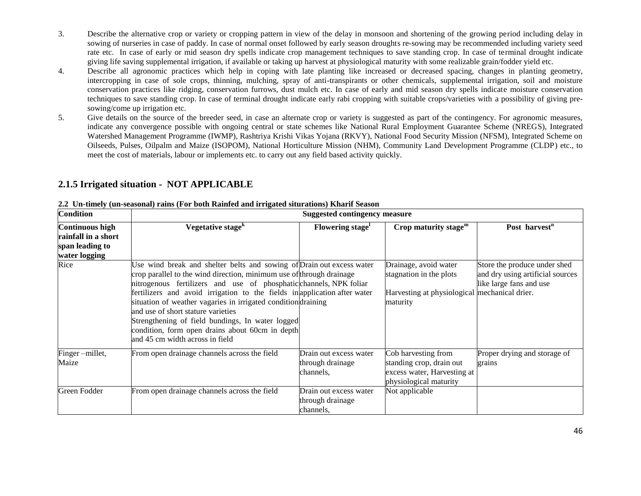- 3. Describe the alternative crop or variety or cropping pattern in view of the delay in monsoon and shortening of the growing period including delay in sowing of nurseries in case of paddy. In case of normal onset followed by early season droughts re-sowing may be recommended including variety seed rate etc. In case of early or mid season dry spells indicate crop management techniques to save standing crop. In case of terminal drought indicate giving life saving supplemental irrigation, if available or taking up harvest at physiological maturity with some realizable grain/fodder yield etc.
- 4. Describe all agronomic practices which help in coping with late planting like increased or decreased spacing, changes in planting geometry, intercropping in case of sole crops, thinning, mulching, spray of anti-transpirants or other chemicals, supplemental irrigation, soil and moisture conservation practices like ridging, conservation furrows, dust mulch etc. In case of early and mid season dry spells indicate moisture conservation techniques to save standing crop. In case of terminal drought indicate early rabi cropping with suitable crops/varieties with a possibility of giving presowing/come up irrigation etc.
- 5. Give details on the source of the breeder seed, in case an alternate crop or variety is suggested as part of the contingency. For agronomic measures, indicate any convergence possible with ongoing central or state schemes like National Rural Employment Guarantee Scheme (NREGS), Integrated Watershed Management Programme (IWMP), Rashtriya Krishi Vikas Yojana (RKVY), National Food Security Mission (NFSM), Integrated Scheme on Oilseeds, Pulses, Oilpalm and Maize (ISOPOM), National Horticulture Mission (NHM), Community Land Development Programme (CLDP) etc., to meet the cost of materials, labour or implements etc. to carry out any field based activity quickly.

### **2.1.5 Irrigated situation - NOT APPLICABLE**

| <b>Condition</b>                                                                  | <b>Suggested contingency measure</b>                                                                                                                                                                                                                                                                                                                                                                                                                                                                                                             |                                                         |                                                                                                               |                                                                                             |  |  |
|-----------------------------------------------------------------------------------|--------------------------------------------------------------------------------------------------------------------------------------------------------------------------------------------------------------------------------------------------------------------------------------------------------------------------------------------------------------------------------------------------------------------------------------------------------------------------------------------------------------------------------------------------|---------------------------------------------------------|---------------------------------------------------------------------------------------------------------------|---------------------------------------------------------------------------------------------|--|--|
| <b>Continuous high</b><br>rainfall in a short<br>span leading to<br>water logging | Vegetative stage <sup>k</sup>                                                                                                                                                                                                                                                                                                                                                                                                                                                                                                                    | Flowering stage                                         | Crop maturity stage $m$                                                                                       | Post harvest <sup>n</sup>                                                                   |  |  |
| Rice                                                                              | Use wind break and shelter belts and sowing of Drain out excess water<br>crop parallel to the wind direction, minimum use of through drainage<br>nitrogenous fertilizers and use of phosphatic channels, NPK foliar<br>fertilizers and avoid irrigation to the fields in application after water<br>situation of weather vagaries in irrigated conditiondraining<br>and use of short stature varieties<br>Strengthening of field bundings, In water logged<br>condition, form open drains about 60cm in depth<br>and 45 cm width across in field |                                                         | Drainage, avoid water<br>stagnation in the plots<br>Harvesting at physiological mechanical drier.<br>maturity | Store the produce under shed<br>and dry using artificial sources<br>like large fans and use |  |  |
| Finger-millet,<br>Maize                                                           | From open drainage channels across the field                                                                                                                                                                                                                                                                                                                                                                                                                                                                                                     | Drain out excess water<br>through drainage<br>channels, | Cob harvesting from<br>standing crop, drain out<br>excess water, Harvesting at<br>physiological maturity      | Proper drying and storage of<br>grains                                                      |  |  |
| Green Fodder                                                                      | From open drainage channels across the field                                                                                                                                                                                                                                                                                                                                                                                                                                                                                                     | Drain out excess water<br>through drainage<br>channels, | Not applicable                                                                                                |                                                                                             |  |  |

#### **2.2 Un-timely (un-seasonal) rains (For both Rainfed and irrigated siturations) Kharif Season**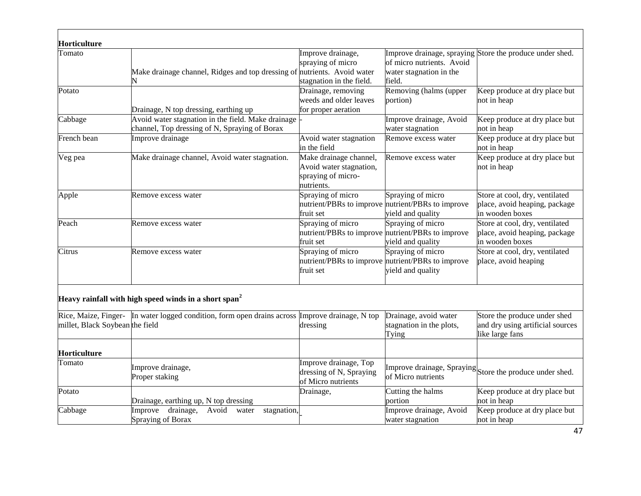| Horticulture                    |                                                                                                     |                                                                                       |                                                                                             |                                                                                     |
|---------------------------------|-----------------------------------------------------------------------------------------------------|---------------------------------------------------------------------------------------|---------------------------------------------------------------------------------------------|-------------------------------------------------------------------------------------|
| Tomato                          | Make drainage channel, Ridges and top dressing of nutrients. Avoid water                            | Improve drainage,<br>spraying of micro<br>stagnation in the field.                    | of micro nutrients. Avoid<br>water stagnation in the<br>field.                              | Improve drainage, spraying Store the produce under shed.                            |
| Potato                          | Drainage, N top dressing, earthing up                                                               | Drainage, removing<br>weeds and older leaves<br>for proper aeration                   | Removing (halms (upper<br>portion)                                                          | Keep produce at dry place but<br>not in heap                                        |
| Cabbage                         | Avoid water stagnation in the field. Make drainage<br>channel, Top dressing of N, Spraying of Borax |                                                                                       | Improve drainage, Avoid<br>water stagnation                                                 | Keep produce at dry place but<br>not in heap                                        |
| French bean                     | Improve drainage                                                                                    | Avoid water stagnation<br>in the field                                                | Remove excess water                                                                         | Keep produce at dry place but<br>not in heap                                        |
| Veg pea                         | Make drainage channel, Avoid water stagnation.                                                      | Make drainage channel,<br>Avoid water stagnation,<br>spraying of micro-<br>nutrients. | Remove excess water                                                                         | Keep produce at dry place but<br>not in heap                                        |
| Apple                           | Remove excess water                                                                                 | Spraying of micro<br>fruit set                                                        | Spraying of micro<br>nutrient/PBRs to improve nutrient/PBRs to improve<br>yield and quality | Store at cool, dry, ventilated<br>place, avoid heaping, package<br>in wooden boxes  |
| Peach                           | Remove excess water                                                                                 | Spraying of micro<br>fruit set                                                        | Spraying of micro<br>nutrient/PBRs to improve nutrient/PBRs to improve<br>yield and quality | Store at cool, dry, ventilated<br>place, avoid heaping, package<br>in wooden boxes  |
| Citrus                          | Remove excess water                                                                                 | Spraying of micro<br>fruit set                                                        | Spraying of micro<br>nutrient/PBRs to improve nutrient/PBRs to improve<br>yield and quality | Store at cool, dry, ventilated<br>place, avoid heaping                              |
|                                 | Heavy rainfall with high speed winds in a short span <sup>2</sup>                                   |                                                                                       |                                                                                             |                                                                                     |
| millet, Black Soybean the field | Rice, Maize, Finger- In water logged condition, form open drains across Improve drainage, N top     | dressing                                                                              | Drainage, avoid water<br>stagnation in the plots,<br>Tying                                  | Store the produce under shed<br>and dry using artificial sources<br>like large fans |
| Horticulture                    |                                                                                                     |                                                                                       |                                                                                             |                                                                                     |
| Tomato                          | Improve drainage,<br>Proper staking                                                                 | Improve drainage, Top<br>dressing of N, Spraying<br>of Micro nutrients                | of Micro nutrients                                                                          | Improve drainage, Spraying Store the produce under shed.                            |
| Potato                          | Drainage, earthing up, N top dressing                                                               | Drainage,                                                                             | Cutting the halms<br>portion                                                                | Keep produce at dry place but<br>not in heap                                        |
| Cabbage                         | Improve<br>drainage,<br>Avoid<br>stagnation,<br>water<br>Spraying of Borax                          |                                                                                       | Improve drainage, Avoid<br>water stagnation                                                 | Keep produce at dry place but<br>not in heap                                        |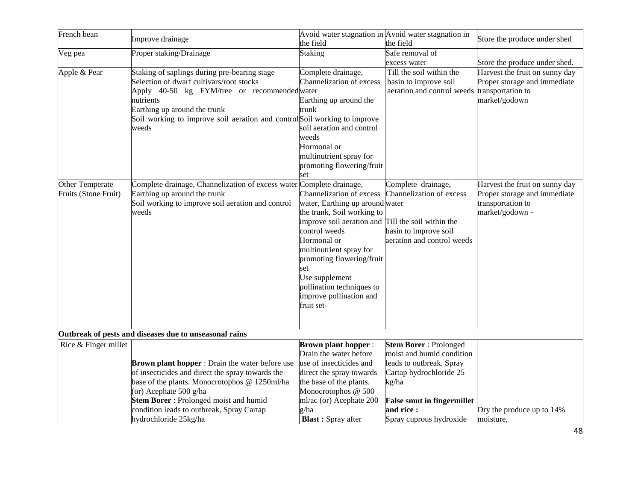| French bean                             | Improve drainage                                                                                                                                                                                                                                                            | the field                                                                                                                                                                                                                                                                                                                                                    | Avoid water stagnation in Avoid water stagnation in<br>the field                                                                                               | Store the produce under shed                                                                           |
|-----------------------------------------|-----------------------------------------------------------------------------------------------------------------------------------------------------------------------------------------------------------------------------------------------------------------------------|--------------------------------------------------------------------------------------------------------------------------------------------------------------------------------------------------------------------------------------------------------------------------------------------------------------------------------------------------------------|----------------------------------------------------------------------------------------------------------------------------------------------------------------|--------------------------------------------------------------------------------------------------------|
| Veg pea                                 | Proper staking/Drainage                                                                                                                                                                                                                                                     | <b>Staking</b>                                                                                                                                                                                                                                                                                                                                               | Safe removal of                                                                                                                                                |                                                                                                        |
|                                         |                                                                                                                                                                                                                                                                             |                                                                                                                                                                                                                                                                                                                                                              | excess water                                                                                                                                                   | Store the produce under shed.                                                                          |
| Apple & Pear                            | Staking of saplings during pre-bearing stage<br>Selection of dwarf cultivars/root stocks<br>Apply 40-50 kg FYM/tree or recommended water<br>nutrients<br>Earthing up around the trunk<br>Soil working to improve soil aeration and control Soil working to improve<br>weeds | Complete drainage,<br>Channelization of excess<br>Earthing up around the<br>trunk<br>soil aeration and control<br>weeds<br>Hormonal or                                                                                                                                                                                                                       | Till the soil within the<br>basin to improve soil<br>aeration and control weeds transportation to                                                              | Harvest the fruit on sunny day<br>Proper storage and immediate<br>market/godown                        |
|                                         |                                                                                                                                                                                                                                                                             | multinutrient spray for                                                                                                                                                                                                                                                                                                                                      |                                                                                                                                                                |                                                                                                        |
|                                         |                                                                                                                                                                                                                                                                             | promoting flowering/fruit<br>set                                                                                                                                                                                                                                                                                                                             |                                                                                                                                                                |                                                                                                        |
| Other Temperate<br>Fruits (Stone Fruit) | Complete drainage, Channelization of excess water<br>Earthing up around the trunk<br>Soil working to improve soil aeration and control<br>weeds                                                                                                                             | Complete drainage,<br>Channelization of excess<br>water, Earthing up around water<br>the trunk, Soil working to<br>improve soil aeration and Till the soil within the<br>control weeds<br>Hormonal or<br>multinutrient spray for<br>promoting flowering/fruit<br>set<br>Use supplement<br>pollination techniques to<br>improve pollination and<br>fruit set- | Complete drainage,<br>Channelization of excess<br>basin to improve soil<br>aeration and control weeds                                                          | Harvest the fruit on sunny day<br>Proper storage and immediate<br>transportation to<br>market/godown - |
|                                         | Outbreak of pests and diseases due to unseasonal rains                                                                                                                                                                                                                      |                                                                                                                                                                                                                                                                                                                                                              |                                                                                                                                                                |                                                                                                        |
| Rice & Finger millet                    | Brown plant hopper : Drain the water before use<br>of insecticides and direct the spray towards the<br>base of the plants. Monocrotophos @ 1250ml/ha<br>(or) Acephate 500 g/ha<br>Stem Borer: Prolonged moist and humid                                                     | <b>Brown plant hopper:</b><br>Drain the water before<br>use of insecticides and<br>direct the spray towards<br>the base of the plants.<br>Monocrotophos @ 500<br>ml/ac (or) Acephate 200                                                                                                                                                                     | <b>Stem Borer: Prolonged</b><br>moist and humid condition<br>leads to outbreak. Spray<br>Cartap hydrochloride 25<br>kg/ha<br><b>False smut in fingermillet</b> |                                                                                                        |
|                                         | condition leads to outbreak, Spray Cartap                                                                                                                                                                                                                                   | g/ha                                                                                                                                                                                                                                                                                                                                                         | and rice :                                                                                                                                                     | Dry the produce up to 14%                                                                              |
|                                         | hydrochloride 25kg/ha                                                                                                                                                                                                                                                       | <b>Blast:</b> Spray after                                                                                                                                                                                                                                                                                                                                    | Spray cuprous hydroxide                                                                                                                                        | moisture,                                                                                              |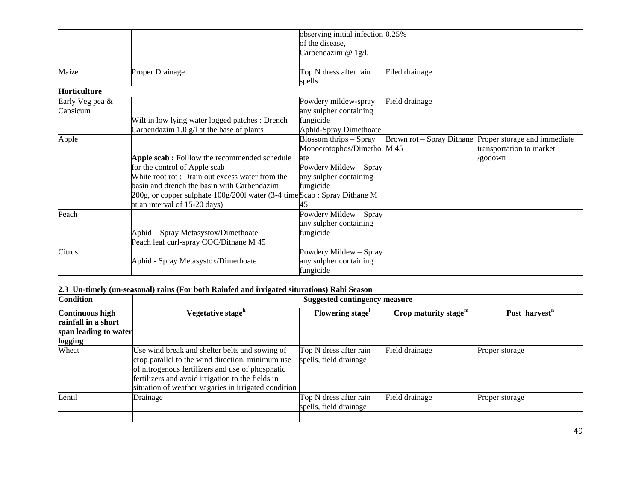|                     |                                                                          | observing initial infection 0.25% |                |                                                        |
|---------------------|--------------------------------------------------------------------------|-----------------------------------|----------------|--------------------------------------------------------|
|                     |                                                                          | of the disease,                   |                |                                                        |
|                     |                                                                          | Carbendazim @ 1g/l.               |                |                                                        |
|                     |                                                                          |                                   |                |                                                        |
| Maize               | <b>Proper Drainage</b>                                                   | Top N dress after rain            | Filed drainage |                                                        |
|                     |                                                                          | spells                            |                |                                                        |
| <b>Horticulture</b> |                                                                          |                                   |                |                                                        |
| Early Veg pea &     |                                                                          | Powdery mildew-spray              | Field drainage |                                                        |
| Capsicum            |                                                                          | any sulpher containing            |                |                                                        |
|                     | Wilt in low lying water logged patches : Drench                          | fungicide                         |                |                                                        |
|                     | Carbendazim $1.0$ g/l at the base of plants                              | Aphid-Spray Dimethoate            |                |                                                        |
| Apple               |                                                                          | Blossom thrips $-$ Spray          |                | Brown rot – Spray Dithane Proper storage and immediate |
|                     |                                                                          | Monocrotophos/Dimetho M 45        |                | transportation to market                               |
|                     | Apple scab: Folllow the recommended schedule                             | ate                               |                | /godown                                                |
|                     | for the control of Apple scab                                            | Powdery Mildew - Spray            |                |                                                        |
|                     | White root rot: Drain out excess water from the                          | any sulpher containing            |                |                                                        |
|                     | basin and drench the basin with Carbendazim                              | fungicide                         |                |                                                        |
|                     | 200g, or copper sulphate 100g/2001 water (3-4 time Scab: Spray Dithane M |                                   |                |                                                        |
|                     | at an interval of 15-20 days)                                            |                                   |                |                                                        |
| Peach               |                                                                          | Powdery Mildew - Spray            |                |                                                        |
|                     |                                                                          | any sulpher containing            |                |                                                        |
|                     | Aphid - Spray Metasystox/Dimethoate                                      | fungicide                         |                |                                                        |
|                     | Peach leaf curl-spray COC/Dithane M 45                                   |                                   |                |                                                        |
| Citrus              |                                                                          | Powdery Mildew - Spray            |                |                                                        |
|                     | Aphid - Spray Metasystox/Dimethoate                                      | any sulpher containing            |                |                                                        |
|                     |                                                                          | fungicide                         |                |                                                        |

#### **2.3 Un-timely (un-seasonal) rains (For both Rainfed and irrigated siturations) Rabi Season**

| <b>Condition</b>       | <b>Suggested contingency measure</b>                                                                                                                                                                                                                                |                                                  |                         |                           |  |
|------------------------|---------------------------------------------------------------------------------------------------------------------------------------------------------------------------------------------------------------------------------------------------------------------|--------------------------------------------------|-------------------------|---------------------------|--|
| <b>Continuous high</b> | Vegetative stage <sup>k</sup>                                                                                                                                                                                                                                       | Flowering stage                                  | Crop maturity stage $m$ | Post harvest <sup>n</sup> |  |
| rainfall in a short    |                                                                                                                                                                                                                                                                     |                                                  |                         |                           |  |
| span leading to water  |                                                                                                                                                                                                                                                                     |                                                  |                         |                           |  |
| logging                |                                                                                                                                                                                                                                                                     |                                                  |                         |                           |  |
| Wheat                  | Use wind break and shelter belts and sowing of<br>crop parallel to the wind direction, minimum use<br>of nitrogenous fertilizers and use of phosphatic<br>fertilizers and avoid irrigation to the fields in<br>situation of weather vagaries in irrigated condition | Top N dress after rain<br>spells, field drainage | Field drainage          | Proper storage            |  |
| Lentil                 | Drainage                                                                                                                                                                                                                                                            | Top N dress after rain<br>spells, field drainage | Field drainage          | Proper storage            |  |
|                        |                                                                                                                                                                                                                                                                     |                                                  |                         |                           |  |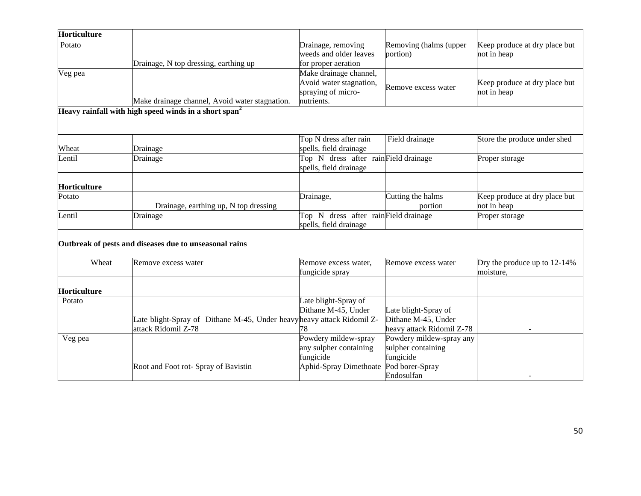| Horticulture |                                                                                               |                                                                                       |                                                                                              |                                              |
|--------------|-----------------------------------------------------------------------------------------------|---------------------------------------------------------------------------------------|----------------------------------------------------------------------------------------------|----------------------------------------------|
| Potato       | Drainage, N top dressing, earthing up                                                         | Drainage, removing<br>weeds and older leaves<br>for proper aeration                   | Removing (halms (upper<br>portion)                                                           | Keep produce at dry place but<br>not in heap |
| Veg pea      | Make drainage channel, Avoid water stagnation.                                                | Make drainage channel,<br>Avoid water stagnation,<br>spraying of micro-<br>nutrients. | Remove excess water                                                                          | Keep produce at dry place but<br>not in heap |
|              | Heavy rainfall with high speed winds in a short span <sup>2</sup>                             |                                                                                       |                                                                                              |                                              |
| Wheat        | Drainage                                                                                      | Top N dress after rain<br>spells, field drainage                                      | Field drainage                                                                               | Store the produce under shed                 |
| Lentil       | Drainage                                                                                      | Top N dress after rainField drainage<br>spells, field drainage                        |                                                                                              | Proper storage                               |
| Horticulture |                                                                                               |                                                                                       |                                                                                              |                                              |
| Potato       | Drainage, earthing up, N top dressing                                                         | Drainage,                                                                             | Cutting the halms<br>portion                                                                 | Keep produce at dry place but<br>not in heap |
| Lentil       | Drainage                                                                                      | Top N dress after rainField drainage<br>spells, field drainage                        |                                                                                              | Proper storage                               |
|              | Outbreak of pests and diseases due to unseasonal rains                                        |                                                                                       |                                                                                              |                                              |
| Wheat        | Remove excess water                                                                           | Remove excess water,<br>fungicide spray                                               | Remove excess water                                                                          | Dry the produce up to 12-14%<br>moisture,    |
| Horticulture |                                                                                               |                                                                                       |                                                                                              |                                              |
| Potato       | Late blight-Spray of Dithane M-45, Under heavy heavy attack Ridomil Z-<br>attack Ridomil Z-78 | Late blight-Spray of<br>Dithane M-45, Under<br>78                                     | Late blight-Spray of<br>Dithane M-45, Under<br>heavy attack Ridomil Z-78                     |                                              |
| Veg pea      | Root and Foot rot- Spray of Bavistin                                                          | Powdery mildew-spray<br>any sulpher containing<br>fungicide<br>Aphid-Spray Dimethoate | Powdery mildew-spray any<br>sulpher containing<br>fungicide<br>Pod borer-Spray<br>Endosulfan |                                              |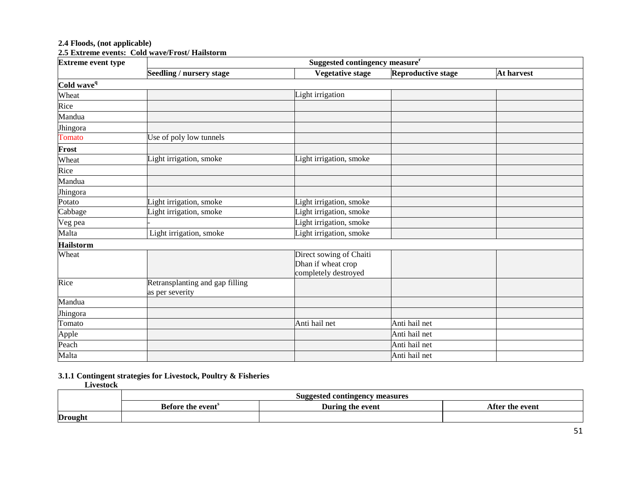#### **2.4 Floods, (not applicable)**

**2.5 Extreme events: Cold wave/Frost/ Hailstorm** 

| <b>Extreme event type</b> | Suggested contingency measure <sup>r</sup>         |                                                                       |                           |            |  |
|---------------------------|----------------------------------------------------|-----------------------------------------------------------------------|---------------------------|------------|--|
|                           | Seedling / nursery stage                           | <b>Vegetative stage</b>                                               | <b>Reproductive stage</b> | At harvest |  |
| Cold wave <sup>q</sup>    |                                                    |                                                                       |                           |            |  |
| Wheat                     |                                                    | Light irrigation                                                      |                           |            |  |
| Rice                      |                                                    |                                                                       |                           |            |  |
| Mandua                    |                                                    |                                                                       |                           |            |  |
| Jhingora                  |                                                    |                                                                       |                           |            |  |
| Tomato                    | Use of poly low tunnels                            |                                                                       |                           |            |  |
| Frost                     |                                                    |                                                                       |                           |            |  |
| Wheat                     | Light irrigation, smoke                            | Light irrigation, smoke                                               |                           |            |  |
| Rice                      |                                                    |                                                                       |                           |            |  |
| Mandua                    |                                                    |                                                                       |                           |            |  |
| Jhingora                  |                                                    |                                                                       |                           |            |  |
| Potato                    | Light irrigation, smoke                            | Light irrigation, smoke                                               |                           |            |  |
| Cabbage                   | Light irrigation, smoke                            | Light irrigation, smoke                                               |                           |            |  |
| Veg pea                   |                                                    | Light irrigation, smoke                                               |                           |            |  |
| Malta                     | Light irrigation, smoke                            | Light irrigation, smoke                                               |                           |            |  |
| <b>Hailstorm</b>          |                                                    |                                                                       |                           |            |  |
| Wheat                     |                                                    | Direct sowing of Chaiti<br>Dhan if wheat crop<br>completely destroyed |                           |            |  |
| Rice                      | Retransplanting and gap filling<br>as per severity |                                                                       |                           |            |  |
| Mandua                    |                                                    |                                                                       |                           |            |  |
| Jhingora                  |                                                    |                                                                       |                           |            |  |
| Tomato                    |                                                    | Anti hail net                                                         | Anti hail net             |            |  |
| Apple                     |                                                    |                                                                       | Anti hail net             |            |  |
| Peach                     |                                                    |                                                                       | Anti hail net             |            |  |
| Malta                     |                                                    |                                                                       | Anti hail net             |            |  |

**3.1.1 Contingent strategies for Livestock, Poultry & Fisheries**

 **Livestock**

|                | measures<br>d contingency<br>Suagester |                  |                              |
|----------------|----------------------------------------|------------------|------------------------------|
|                | <b>Before the event</b>                | During the event | $^{\circ}$ fin.<br>the event |
| <b>Drought</b> |                                        |                  |                              |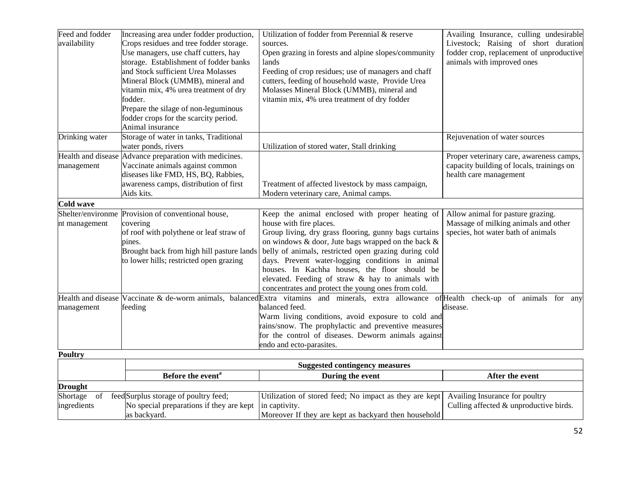| Feed and fodder | Increasing area under fodder production,               | Utilization of fodder from Perennial & reserve                                                                                          | Availing Insurance, culling undesirable   |
|-----------------|--------------------------------------------------------|-----------------------------------------------------------------------------------------------------------------------------------------|-------------------------------------------|
| availability    | Crops residues and tree fodder storage.                | sources.                                                                                                                                | Livestock; Raising of short duration      |
|                 | Use managers, use chaff cutters, hay                   | Open grazing in forests and alpine slopes/community                                                                                     | fodder crop, replacement of unproductive  |
|                 | storage. Establishment of fodder banks                 | lands                                                                                                                                   | animals with improved ones                |
|                 | and Stock sufficient Urea Molasses                     | Feeding of crop residues; use of managers and chaff                                                                                     |                                           |
|                 | Mineral Block (UMMB), mineral and                      | cutters, feeding of household waste, Provide Urea                                                                                       |                                           |
|                 | vitamin mix, 4% urea treatment of dry                  | Molasses Mineral Block (UMMB), mineral and                                                                                              |                                           |
|                 | fodder.                                                | vitamin mix, 4% urea treatment of dry fodder                                                                                            |                                           |
|                 | Prepare the silage of non-leguminous                   |                                                                                                                                         |                                           |
|                 | fodder crops for the scarcity period.                  |                                                                                                                                         |                                           |
|                 | Animal insurance                                       |                                                                                                                                         |                                           |
| Drinking water  | Storage of water in tanks, Traditional                 |                                                                                                                                         | Rejuvenation of water sources             |
|                 | water ponds, rivers                                    | Utilization of stored water, Stall drinking                                                                                             |                                           |
|                 | Health and disease Advance preparation with medicines. |                                                                                                                                         | Proper veterinary care, awareness camps,  |
| management      | Vaccinate animals against common                       |                                                                                                                                         | capacity building of locals, trainings on |
|                 | diseases like FMD, HS, BQ, Rabbies,                    |                                                                                                                                         | health care management                    |
|                 | awareness camps, distribution of first                 | Treatment of affected livestock by mass campaign,                                                                                       |                                           |
|                 | Aids kits.                                             | Modern veterinary care, Animal camps.                                                                                                   |                                           |
| Cold wave       |                                                        |                                                                                                                                         |                                           |
|                 | Shelter/environme Provision of conventional house,     | Keep the animal enclosed with proper heating of                                                                                         | Allow animal for pasture grazing.         |
| nt management   | covering                                               | house with fire places.                                                                                                                 | Massage of milking animals and other      |
|                 | of roof with polythene or leaf straw of                | Group living, dry grass flooring, gunny bags curtains                                                                                   | species, hot water bath of animals        |
|                 | pines.                                                 | on windows $\&$ door, Jute bags wrapped on the back $\&$                                                                                |                                           |
|                 | Brought back from high hill pasture lands              | belly of animals, restricted open grazing during cold                                                                                   |                                           |
|                 | to lower hills; restricted open grazing                | days. Prevent water-logging conditions in animal                                                                                        |                                           |
|                 |                                                        | houses. In Kachha houses, the floor should be                                                                                           |                                           |
|                 |                                                        | elevated. Feeding of straw & hay to animals with                                                                                        |                                           |
|                 |                                                        | concentrates and protect the young ones from cold.                                                                                      |                                           |
|                 |                                                        | Health and disease Vaccinate & de-worm animals, balanced Extra vitamins and minerals, extra allowance of Health check-up of animals for | any                                       |
| management      | feeding                                                | balanced feed.                                                                                                                          | disease.                                  |
|                 |                                                        | Warm living conditions, avoid exposure to cold and                                                                                      |                                           |
|                 |                                                        | rains/snow. The prophylactic and preventive measures                                                                                    |                                           |
|                 |                                                        | for the control of diseases. Deworm animals against                                                                                     |                                           |
|                 |                                                        | endo and ecto-parasites.                                                                                                                |                                           |

**Poultry** 

|                | <b>Suggested contingency measures</b>                  |                                                                                       |                                        |
|----------------|--------------------------------------------------------|---------------------------------------------------------------------------------------|----------------------------------------|
|                | Before the event <sup>"</sup>                          | During the event                                                                      | After the event                        |
| <b>Drought</b> |                                                        |                                                                                       |                                        |
| of<br>Shortage | feed Surplus storage of poultry feed;                  | Utilization of stored feed; No impact as they are kept Availing Insurance for poultry |                                        |
| ingredients    | No special preparations if they are kept in captivity. |                                                                                       | Culling affected & unproductive birds. |
|                | as backvard.                                           | Moreover If they are kept as backyard then household                                  |                                        |